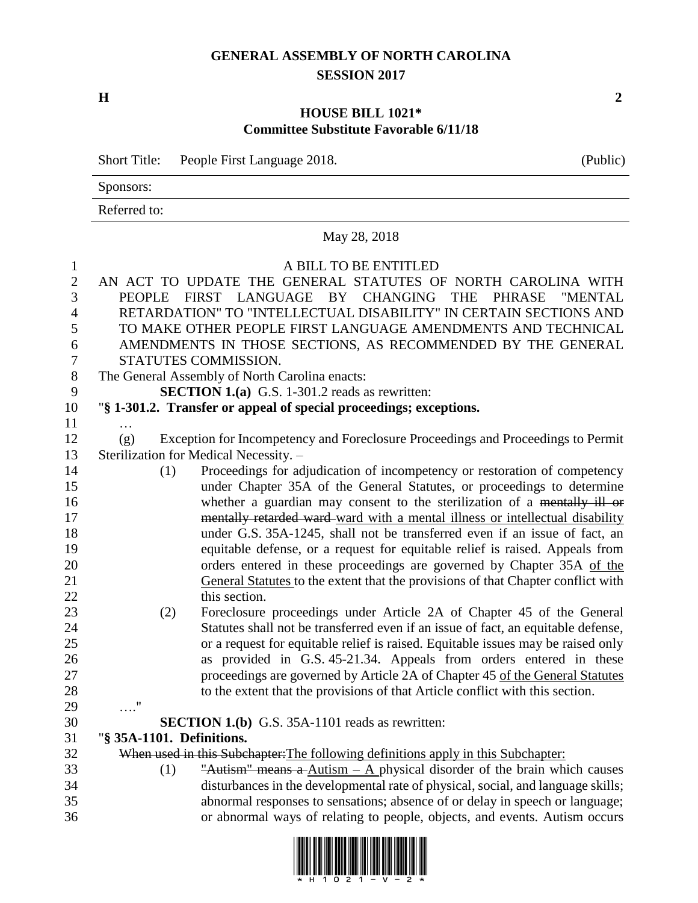## **GENERAL ASSEMBLY OF NORTH CAROLINA SESSION 2017**

**H 2**

#### **HOUSE BILL 1021\* Committee Substitute Favorable 6/11/18**

|                | <b>Short Title:</b>       | People First Language 2018.                                                            | (Public)                 |
|----------------|---------------------------|----------------------------------------------------------------------------------------|--------------------------|
|                | Sponsors:                 |                                                                                        |                          |
|                | Referred to:              |                                                                                        |                          |
|                |                           | May 28, 2018                                                                           |                          |
| 1              |                           | A BILL TO BE ENTITLED                                                                  |                          |
| $\overline{2}$ |                           | AN ACT TO UPDATE THE GENERAL STATUTES OF NORTH CAROLINA WITH                           |                          |
| 3              | <b>PEOPLE</b>             | FIRST LANGUAGE BY CHANGING<br><b>THE</b>                                               | <b>PHRASE</b><br>"MENTAL |
| 4              |                           | RETARDATION" TO "INTELLECTUAL DISABILITY" IN CERTAIN SECTIONS AND                      |                          |
| 5              |                           | TO MAKE OTHER PEOPLE FIRST LANGUAGE AMENDMENTS AND TECHNICAL                           |                          |
| 6              |                           | AMENDMENTS IN THOSE SECTIONS, AS RECOMMENDED BY THE GENERAL                            |                          |
| $\overline{7}$ |                           | STATUTES COMMISSION.                                                                   |                          |
| $8\,$          |                           | The General Assembly of North Carolina enacts:                                         |                          |
| 9              |                           | <b>SECTION 1.(a)</b> G.S. 1-301.2 reads as rewritten:                                  |                          |
| 10             |                           | "§ 1-301.2. Transfer or appeal of special proceedings; exceptions.                     |                          |
| 11             | .                         |                                                                                        |                          |
| 12             | (g)                       | Exception for Incompetency and Foreclosure Proceedings and Proceedings to Permit       |                          |
| 13             |                           | Sterilization for Medical Necessity. -                                                 |                          |
| 14             | (1)                       | Proceedings for adjudication of incompetency or restoration of competency              |                          |
| 15             |                           | under Chapter 35A of the General Statutes, or proceedings to determine                 |                          |
| 16             |                           | whether a guardian may consent to the sterilization of a mentally ill or               |                          |
| 17             |                           | mentally retarded ward-ward with a mental illness or intellectual disability           |                          |
| 18             |                           | under G.S. 35A-1245, shall not be transferred even if an issue of fact, an             |                          |
| 19             |                           | equitable defense, or a request for equitable relief is raised. Appeals from           |                          |
| 20             |                           | orders entered in these proceedings are governed by Chapter 35A of the                 |                          |
| 21             |                           | General Statutes to the extent that the provisions of that Chapter conflict with       |                          |
| 22             |                           | this section.                                                                          |                          |
| 23             | (2)                       | Foreclosure proceedings under Article 2A of Chapter 45 of the General                  |                          |
| 24             |                           | Statutes shall not be transferred even if an issue of fact, an equitable defense,      |                          |
| 25             |                           | or a request for equitable relief is raised. Equitable issues may be raised only       |                          |
| 26             |                           | as provided in G.S. 45-21.34. Appeals from orders entered in these                     |                          |
| 27             |                           | proceedings are governed by Article 2A of Chapter 45 of the General Statutes           |                          |
| 28             |                           | to the extent that the provisions of that Article conflict with this section.          |                          |
| 29             | $\ldots$ "                |                                                                                        |                          |
| 30             |                           | <b>SECTION 1.(b)</b> G.S. 35A-1101 reads as rewritten:                                 |                          |
| 31             | "§ 35A-1101. Definitions. |                                                                                        |                          |
| 32             |                           | When used in this Subchapter: The following definitions apply in this Subchapter:      |                          |
| 33             | (1)                       | "Autism" means a $\Delta$ utism – $\Delta$ physical disorder of the brain which causes |                          |
| 34             |                           | disturbances in the developmental rate of physical, social, and language skills;       |                          |
| 35             |                           | abnormal responses to sensations; absence of or delay in speech or language;           |                          |
| 36             |                           | or abnormal ways of relating to people, objects, and events. Autism occurs             |                          |

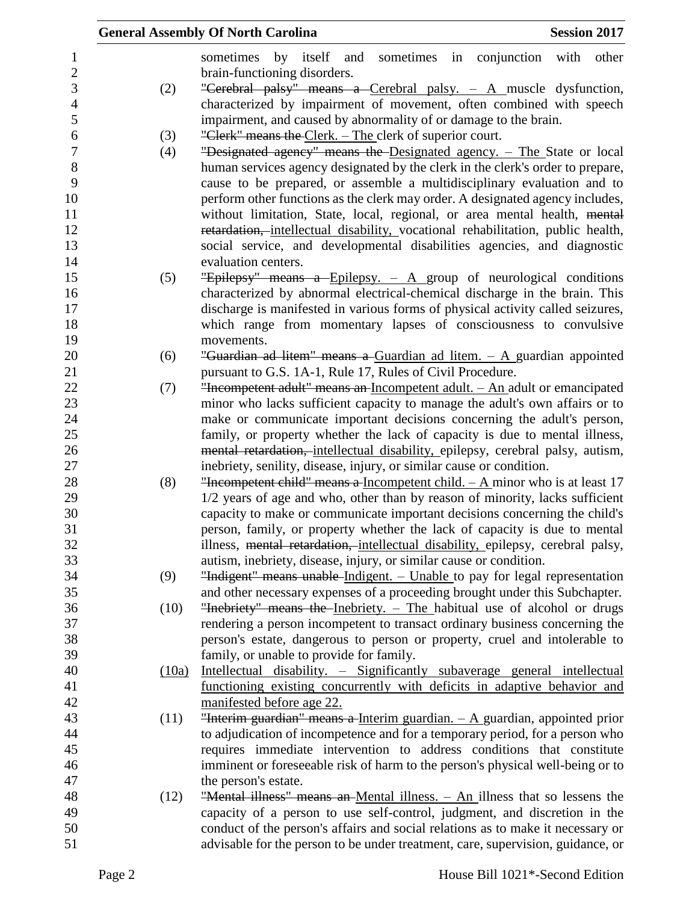|       | <b>Session 2017</b><br><b>General Assembly Of North Carolina</b>                |
|-------|---------------------------------------------------------------------------------|
|       | sometimes by itself<br>and<br>sometimes in conjunction with<br>other            |
|       | brain-functioning disorders.                                                    |
| (2)   | "Cerebral palsy" means a Cerebral palsy. $-$ A muscle dysfunction,              |
|       | characterized by impairment of movement, often combined with speech             |
|       | impairment, and caused by abnormality of or damage to the brain.                |
| (3)   | "Clerk" means the Clerk. – The clerk of superior court.                         |
| (4)   | "Designated agency" means the Designated agency. - The State or local           |
|       | human services agency designated by the clerk in the clerk's order to prepare,  |
|       | cause to be prepared, or assemble a multidisciplinary evaluation and to         |
|       | perform other functions as the clerk may order. A designated agency includes,   |
|       | without limitation, State, local, regional, or area mental health, mental       |
|       | retardation, intellectual disability, vocational rehabilitation, public health, |
|       | social service, and developmental disabilities agencies, and diagnostic         |
|       | evaluation centers.                                                             |
| (5)   | "Epilepsy" means a Epilepsy. $-$ A group of neurological conditions             |
|       | characterized by abnormal electrical-chemical discharge in the brain. This      |
|       | discharge is manifested in various forms of physical activity called seizures,  |
|       | which range from momentary lapses of consciousness to convulsive                |
|       | movements.                                                                      |
| (6)   | "Guardian ad litem" means a Guardian ad litem. $-$ A guardian appointed         |
|       | pursuant to G.S. 1A-1, Rule 17, Rules of Civil Procedure.                       |
| (7)   | "Incompetent adult" means an Incompetent adult. - An adult or emancipated       |
|       | minor who lacks sufficient capacity to manage the adult's own affairs or to     |
|       | make or communicate important decisions concerning the adult's person,          |
|       | family, or property whether the lack of capacity is due to mental illness,      |
|       | mental retardation, intellectual disability, epilepsy, cerebral palsy, autism,  |
|       | inebriety, senility, disease, injury, or similar cause or condition.            |
| (8)   | "Incompetent child" means a Incompetent child. $- A$ minor who is at least 17   |
|       | 1/2 years of age and who, other than by reason of minority, lacks sufficient    |
|       | capacity to make or communicate important decisions concerning the child's      |
|       | person, family, or property whether the lack of capacity is due to mental       |
|       | illness, mental retardation, intellectual disability, epilepsy, cerebral palsy, |
|       | autism, inebriety, disease, injury, or similar cause or condition.              |
| (9)   | "Indigent" means unable Indigent. - Unable to pay for legal representation      |
|       | and other necessary expenses of a proceeding brought under this Subchapter.     |
| (10)  | "Inebriety" means the Inebriety. - The habitual use of alcohol or drugs         |
|       | rendering a person incompetent to transact ordinary business concerning the     |
|       | person's estate, dangerous to person or property, cruel and intolerable to      |
|       | family, or unable to provide for family.                                        |
| (10a) | Intellectual disability. - Significantly subaverage general intellectual        |
|       | functioning existing concurrently with deficits in adaptive behavior and        |
|       | manifested before age 22.                                                       |
| (11)  | "Interim guardian" means a Interim guardian. $-$ A guardian, appointed prior    |
|       | to adjudication of incompetence and for a temporary period, for a person who    |
|       | requires immediate intervention to address conditions that constitute           |
|       | imminent or foreseeable risk of harm to the person's physical well-being or to  |
|       | the person's estate.                                                            |
| (12)  | "Mental illness" means an Mental illness. - An illness that so lessens the      |
|       | capacity of a person to use self-control, judgment, and discretion in the       |
|       | conduct of the person's affairs and social relations as to make it necessary or |
|       | advisable for the person to be under treatment, care, supervision, guidance, or |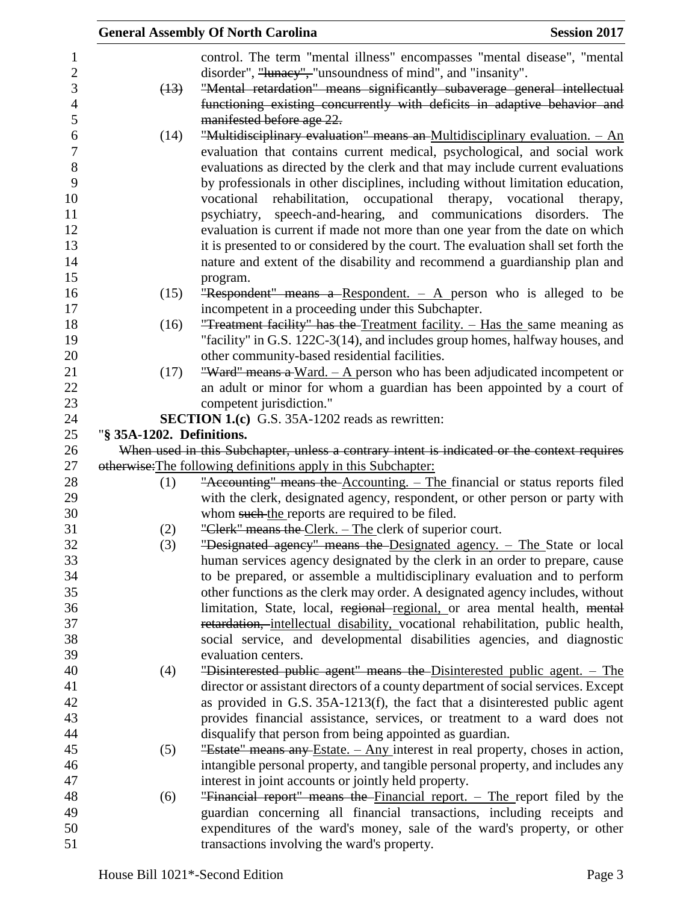|                           | <b>General Assembly Of North Carolina</b>                                                                                                              | <b>Session 2017</b> |
|---------------------------|--------------------------------------------------------------------------------------------------------------------------------------------------------|---------------------|
|                           | control. The term "mental illness" encompasses "mental disease", "mental                                                                               |                     |
|                           | disorder", "lunacy", "unsoundness of mind", and "insanity".                                                                                            |                     |
| (13)                      | "Mental retardation" means significantly subaverage general intellectual                                                                               |                     |
|                           | functioning existing concurrently with deficits in adaptive behavior and                                                                               |                     |
|                           | manifested before age 22.                                                                                                                              |                     |
| (14)                      | "Multidisciplinary evaluation" means an Multidisciplinary evaluation. - An                                                                             |                     |
|                           | evaluation that contains current medical, psychological, and social work                                                                               |                     |
|                           | evaluations as directed by the clerk and that may include current evaluations                                                                          |                     |
|                           | by professionals in other disciplines, including without limitation education,<br>vocational rehabilitation, occupational therapy, vocational therapy, |                     |
|                           | psychiatry, speech-and-hearing, and communications disorders.                                                                                          | The                 |
|                           | evaluation is current if made not more than one year from the date on which                                                                            |                     |
|                           | it is presented to or considered by the court. The evaluation shall set forth the                                                                      |                     |
|                           | nature and extent of the disability and recommend a guardianship plan and                                                                              |                     |
|                           | program.                                                                                                                                               |                     |
| (15)                      | "Respondent" means a Respondent. $-$ A person who is alleged to be                                                                                     |                     |
|                           | incompetent in a proceeding under this Subchapter.                                                                                                     |                     |
| (16)                      | "Treatment facility" has the Treatment facility. - Has the same meaning as                                                                             |                     |
|                           | "facility" in G.S. 122C-3(14), and includes group homes, halfway houses, and                                                                           |                     |
|                           | other community-based residential facilities.                                                                                                          |                     |
| (17)                      | "Ward" means a Ward. $-$ A person who has been adjudicated incompetent or                                                                              |                     |
|                           | an adult or minor for whom a guardian has been appointed by a court of                                                                                 |                     |
|                           | competent jurisdiction."                                                                                                                               |                     |
|                           | <b>SECTION 1.(c)</b> G.S. 35A-1202 reads as rewritten:                                                                                                 |                     |
| "§ 35A-1202. Definitions. |                                                                                                                                                        |                     |
|                           | When used in this Subchapter, unless a contrary intent is indicated or the context requires                                                            |                     |
| (1)                       | otherwise: The following definitions apply in this Subchapter:<br>"Accounting" means the Accounting. - The financial or status reports filed           |                     |
|                           | with the clerk, designated agency, respondent, or other person or party with                                                                           |                     |
|                           | whom such the reports are required to be filed.                                                                                                        |                     |
| (2)                       | "Clerk" means the Clerk. - The clerk of superior court.                                                                                                |                     |
| (3)                       | "Designated agency" means the Designated agency. – The State or local                                                                                  |                     |
|                           | human services agency designated by the clerk in an order to prepare, cause                                                                            |                     |
|                           | to be prepared, or assemble a multidisciplinary evaluation and to perform                                                                              |                     |
|                           | other functions as the clerk may order. A designated agency includes, without                                                                          |                     |
|                           | limitation, State, local, regional-regional, or area mental health, mental                                                                             |                     |
|                           | retardation, intellectual disability, vocational rehabilitation, public health,                                                                        |                     |
|                           | social service, and developmental disabilities agencies, and diagnostic                                                                                |                     |
|                           | evaluation centers.                                                                                                                                    |                     |
| (4)                       | "Disinterested public agent" means the Disinterested public agent. - The                                                                               |                     |
|                           | director or assistant directors of a county department of social services. Except                                                                      |                     |
|                           | as provided in G.S. 35A-1213(f), the fact that a disinterested public agent                                                                            |                     |
|                           | provides financial assistance, services, or treatment to a ward does not                                                                               |                     |
|                           | disqualify that person from being appointed as guardian.                                                                                               |                     |
| (5)                       | "Estate" means any Estate. - Any interest in real property, choses in action,                                                                          |                     |
|                           | intangible personal property, and tangible personal property, and includes any                                                                         |                     |
|                           | interest in joint accounts or jointly held property.                                                                                                   |                     |
| (6)                       | "Financial report" means the Financial report. – The report filed by the<br>guardian concerning all financial transactions, including receipts and     |                     |
|                           | expenditures of the ward's money, sale of the ward's property, or other                                                                                |                     |
|                           | transactions involving the ward's property.                                                                                                            |                     |
|                           |                                                                                                                                                        |                     |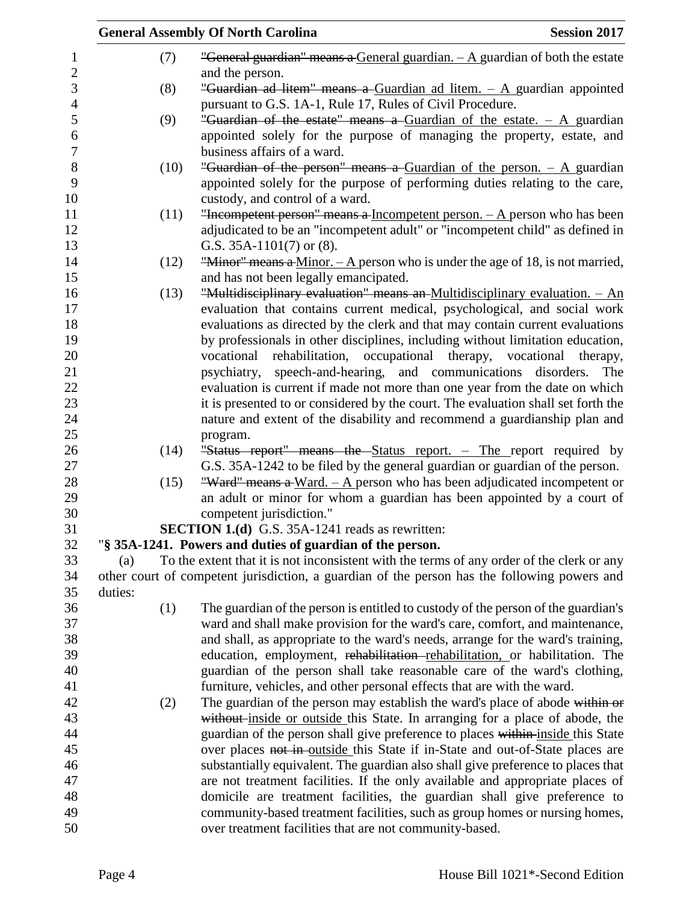|         |      | <b>General Assembly Of North Carolina</b>                                                    | <b>Session 2017</b> |
|---------|------|----------------------------------------------------------------------------------------------|---------------------|
|         | (7)  | "General guardian" means a General guardian. $-A$ guardian of both the estate                |                     |
|         |      | and the person.                                                                              |                     |
|         | (8)  | "Guardian ad litem" means a Guardian ad litem. $-$ A guardian appointed                      |                     |
|         |      | pursuant to G.S. 1A-1, Rule 17, Rules of Civil Procedure.                                    |                     |
|         | (9)  | "Guardian of the estate" means a Guardian of the estate. $-$ A guardian                      |                     |
|         |      | appointed solely for the purpose of managing the property, estate, and                       |                     |
|         |      | business affairs of a ward.                                                                  |                     |
|         | (10) | "Guardian of the person" means a Guardian of the person. $-$ A guardian                      |                     |
|         |      | appointed solely for the purpose of performing duties relating to the care,                  |                     |
|         |      | custody, and control of a ward.                                                              |                     |
|         | (11) | "Incompetent person" means a Incompetent person. $- A$ person who has been                   |                     |
|         |      | adjudicated to be an "incompetent adult" or "incompetent child" as defined in                |                     |
|         |      | G.S. $35A-1101(7)$ or $(8)$ .                                                                |                     |
|         | (12) | "Minor" means a Minor. $- A$ person who is under the age of 18, is not married,              |                     |
|         |      | and has not been legally emancipated.                                                        |                     |
|         | (13) | "Multidisciplinary evaluation" means an Multidisciplinary evaluation. $-$ An                 |                     |
|         |      |                                                                                              |                     |
|         |      | evaluation that contains current medical, psychological, and social work                     |                     |
|         |      | evaluations as directed by the clerk and that may contain current evaluations                |                     |
|         |      | by professionals in other disciplines, including without limitation education,               |                     |
|         |      | vocational rehabilitation, occupational therapy, vocational therapy,                         |                     |
|         |      | psychiatry, speech-and-hearing, and communications disorders.                                | The                 |
|         |      | evaluation is current if made not more than one year from the date on which                  |                     |
|         |      | it is presented to or considered by the court. The evaluation shall set forth the            |                     |
|         |      | nature and extent of the disability and recommend a guardianship plan and                    |                     |
|         |      | program.                                                                                     |                     |
|         | (14) | "Status report" means the Status report. - The report required by                            |                     |
|         |      | G.S. 35A-1242 to be filed by the general guardian or guardian of the person.                 |                     |
|         | (15) | "Ward" means a Ward. $-$ A person who has been adjudicated incompetent or                    |                     |
|         |      | an adult or minor for whom a guardian has been appointed by a court of                       |                     |
|         |      | competent jurisdiction."                                                                     |                     |
|         |      | <b>SECTION 1.(d)</b> G.S. 35A-1241 reads as rewritten:                                       |                     |
|         |      | "§ 35A-1241. Powers and duties of guardian of the person.                                    |                     |
| (a)     |      | To the extent that it is not inconsistent with the terms of any order of the clerk or any    |                     |
|         |      | other court of competent jurisdiction, a guardian of the person has the following powers and |                     |
| duties: |      |                                                                                              |                     |
|         | (1)  | The guardian of the person is entitled to custody of the person of the guardian's            |                     |
|         |      | ward and shall make provision for the ward's care, comfort, and maintenance,                 |                     |
|         |      | and shall, as appropriate to the ward's needs, arrange for the ward's training,              |                     |
|         |      | education, employment, rehabilitation-rehabilitation, or habilitation. The                   |                     |
|         |      | guardian of the person shall take reasonable care of the ward's clothing,                    |                     |
|         |      | furniture, vehicles, and other personal effects that are with the ward.                      |                     |
|         | (2)  | The guardian of the person may establish the ward's place of abode within or                 |                     |
|         |      | without inside or outside this State. In arranging for a place of abode, the                 |                     |
|         |      | guardian of the person shall give preference to places within inside this State              |                     |
|         |      | over places not in outside this State if in-State and out-of-State places are                |                     |
|         |      | substantially equivalent. The guardian also shall give preference to places that             |                     |
|         |      | are not treatment facilities. If the only available and appropriate places of                |                     |
|         |      | domicile are treatment facilities, the guardian shall give preference to                     |                     |
|         |      | community-based treatment facilities, such as group homes or nursing homes,                  |                     |
|         |      |                                                                                              |                     |
|         |      | over treatment facilities that are not community-based.                                      |                     |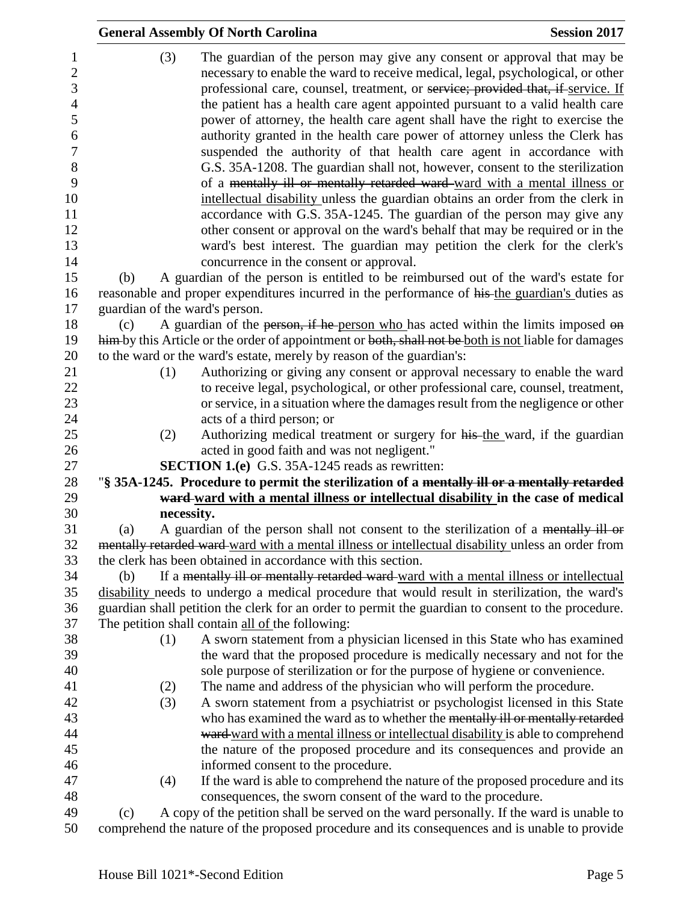|                                                                                                                                  |                                | <b>General Assembly Of North Carolina</b>                                                                                                                                                                                                                                                                                                                                                                                                                                                                                                                                                                                                                                                                                                                                                                                                                                                                                                                                                                                                                      | <b>Session 2017</b> |
|----------------------------------------------------------------------------------------------------------------------------------|--------------------------------|----------------------------------------------------------------------------------------------------------------------------------------------------------------------------------------------------------------------------------------------------------------------------------------------------------------------------------------------------------------------------------------------------------------------------------------------------------------------------------------------------------------------------------------------------------------------------------------------------------------------------------------------------------------------------------------------------------------------------------------------------------------------------------------------------------------------------------------------------------------------------------------------------------------------------------------------------------------------------------------------------------------------------------------------------------------|---------------------|
| $\mathbf{1}$<br>$\sqrt{2}$<br>3<br>$\overline{4}$<br>5<br>$\boldsymbol{6}$<br>$\boldsymbol{7}$<br>8<br>9<br>10<br>11<br>12<br>13 | (3)                            | The guardian of the person may give any consent or approval that may be<br>necessary to enable the ward to receive medical, legal, psychological, or other<br>professional care, counsel, treatment, or service; provided that, if service. If<br>the patient has a health care agent appointed pursuant to a valid health care<br>power of attorney, the health care agent shall have the right to exercise the<br>authority granted in the health care power of attorney unless the Clerk has<br>suspended the authority of that health care agent in accordance with<br>G.S. 35A-1208. The guardian shall not, however, consent to the sterilization<br>of a mentally ill or mentally retarded ward-ward with a mental illness or<br>intellectual disability unless the guardian obtains an order from the clerk in<br>accordance with G.S. 35A-1245. The guardian of the person may give any<br>other consent or approval on the ward's behalf that may be required or in the<br>ward's best interest. The guardian may petition the clerk for the clerk's |                     |
| 14                                                                                                                               |                                | concurrence in the consent or approval.                                                                                                                                                                                                                                                                                                                                                                                                                                                                                                                                                                                                                                                                                                                                                                                                                                                                                                                                                                                                                        |                     |
| 15                                                                                                                               | (b)                            | A guardian of the person is entitled to be reimbursed out of the ward's estate for                                                                                                                                                                                                                                                                                                                                                                                                                                                                                                                                                                                                                                                                                                                                                                                                                                                                                                                                                                             |                     |
| 16                                                                                                                               |                                | reasonable and proper expenditures incurred in the performance of his the guardian's duties as                                                                                                                                                                                                                                                                                                                                                                                                                                                                                                                                                                                                                                                                                                                                                                                                                                                                                                                                                                 |                     |
| 17                                                                                                                               | guardian of the ward's person. |                                                                                                                                                                                                                                                                                                                                                                                                                                                                                                                                                                                                                                                                                                                                                                                                                                                                                                                                                                                                                                                                |                     |
| 18                                                                                                                               | (c)                            | A guardian of the person, if he person who has acted within the limits imposed on                                                                                                                                                                                                                                                                                                                                                                                                                                                                                                                                                                                                                                                                                                                                                                                                                                                                                                                                                                              |                     |
| 19                                                                                                                               |                                | him-by this Article or the order of appointment or both, shall not be both is not liable for damages                                                                                                                                                                                                                                                                                                                                                                                                                                                                                                                                                                                                                                                                                                                                                                                                                                                                                                                                                           |                     |
| 20<br>21                                                                                                                         | (1)                            | to the ward or the ward's estate, merely by reason of the guardian's:<br>Authorizing or giving any consent or approval necessary to enable the ward                                                                                                                                                                                                                                                                                                                                                                                                                                                                                                                                                                                                                                                                                                                                                                                                                                                                                                            |                     |
| 22                                                                                                                               |                                | to receive legal, psychological, or other professional care, counsel, treatment,                                                                                                                                                                                                                                                                                                                                                                                                                                                                                                                                                                                                                                                                                                                                                                                                                                                                                                                                                                               |                     |
| 23                                                                                                                               |                                | or service, in a situation where the damages result from the negligence or other                                                                                                                                                                                                                                                                                                                                                                                                                                                                                                                                                                                                                                                                                                                                                                                                                                                                                                                                                                               |                     |
| 24                                                                                                                               |                                | acts of a third person; or                                                                                                                                                                                                                                                                                                                                                                                                                                                                                                                                                                                                                                                                                                                                                                                                                                                                                                                                                                                                                                     |                     |
| 25                                                                                                                               | (2)                            | Authorizing medical treatment or surgery for his the ward, if the guardian                                                                                                                                                                                                                                                                                                                                                                                                                                                                                                                                                                                                                                                                                                                                                                                                                                                                                                                                                                                     |                     |
| 26                                                                                                                               |                                | acted in good faith and was not negligent."                                                                                                                                                                                                                                                                                                                                                                                                                                                                                                                                                                                                                                                                                                                                                                                                                                                                                                                                                                                                                    |                     |
| 27                                                                                                                               |                                | SECTION 1.(e) G.S. 35A-1245 reads as rewritten:                                                                                                                                                                                                                                                                                                                                                                                                                                                                                                                                                                                                                                                                                                                                                                                                                                                                                                                                                                                                                |                     |
| 28                                                                                                                               |                                | "§ 35A-1245. Procedure to permit the sterilization of a mentally ill or a mentally retarded                                                                                                                                                                                                                                                                                                                                                                                                                                                                                                                                                                                                                                                                                                                                                                                                                                                                                                                                                                    |                     |
| 29                                                                                                                               |                                | ward-ward with a mental illness or intellectual disability in the case of medical                                                                                                                                                                                                                                                                                                                                                                                                                                                                                                                                                                                                                                                                                                                                                                                                                                                                                                                                                                              |                     |
| 30                                                                                                                               | necessity.                     |                                                                                                                                                                                                                                                                                                                                                                                                                                                                                                                                                                                                                                                                                                                                                                                                                                                                                                                                                                                                                                                                |                     |
| 31                                                                                                                               | (a)                            | A guardian of the person shall not consent to the sterilization of a mentally ill or                                                                                                                                                                                                                                                                                                                                                                                                                                                                                                                                                                                                                                                                                                                                                                                                                                                                                                                                                                           |                     |
| 32                                                                                                                               |                                | mentally retarded ward-ward with a mental illness or intellectual disability unless an order from                                                                                                                                                                                                                                                                                                                                                                                                                                                                                                                                                                                                                                                                                                                                                                                                                                                                                                                                                              |                     |
| 33                                                                                                                               |                                | the clerk has been obtained in accordance with this section.                                                                                                                                                                                                                                                                                                                                                                                                                                                                                                                                                                                                                                                                                                                                                                                                                                                                                                                                                                                                   |                     |
| 34                                                                                                                               | (b)                            | If a mentally ill or mentally retarded ward-ward with a mental illness or intellectual                                                                                                                                                                                                                                                                                                                                                                                                                                                                                                                                                                                                                                                                                                                                                                                                                                                                                                                                                                         |                     |
| 35                                                                                                                               |                                | disability needs to undergo a medical procedure that would result in sterilization, the ward's                                                                                                                                                                                                                                                                                                                                                                                                                                                                                                                                                                                                                                                                                                                                                                                                                                                                                                                                                                 |                     |
| 36                                                                                                                               |                                | guardian shall petition the clerk for an order to permit the guardian to consent to the procedure.                                                                                                                                                                                                                                                                                                                                                                                                                                                                                                                                                                                                                                                                                                                                                                                                                                                                                                                                                             |                     |
| 37                                                                                                                               |                                | The petition shall contain all of the following:                                                                                                                                                                                                                                                                                                                                                                                                                                                                                                                                                                                                                                                                                                                                                                                                                                                                                                                                                                                                               |                     |
| 38                                                                                                                               | (1)                            | A sworn statement from a physician licensed in this State who has examined                                                                                                                                                                                                                                                                                                                                                                                                                                                                                                                                                                                                                                                                                                                                                                                                                                                                                                                                                                                     |                     |
| 39                                                                                                                               |                                | the ward that the proposed procedure is medically necessary and not for the                                                                                                                                                                                                                                                                                                                                                                                                                                                                                                                                                                                                                                                                                                                                                                                                                                                                                                                                                                                    |                     |
| 40                                                                                                                               |                                | sole purpose of sterilization or for the purpose of hygiene or convenience.                                                                                                                                                                                                                                                                                                                                                                                                                                                                                                                                                                                                                                                                                                                                                                                                                                                                                                                                                                                    |                     |
| 41<br>42                                                                                                                         | (2)                            | The name and address of the physician who will perform the procedure.                                                                                                                                                                                                                                                                                                                                                                                                                                                                                                                                                                                                                                                                                                                                                                                                                                                                                                                                                                                          |                     |
| 43                                                                                                                               | (3)                            | A sworn statement from a psychiatrist or psychologist licensed in this State<br>who has examined the ward as to whether the mentally ill or mentally retarded                                                                                                                                                                                                                                                                                                                                                                                                                                                                                                                                                                                                                                                                                                                                                                                                                                                                                                  |                     |
| 44                                                                                                                               |                                | ward ward with a mental illness or intellectual disability is able to comprehend                                                                                                                                                                                                                                                                                                                                                                                                                                                                                                                                                                                                                                                                                                                                                                                                                                                                                                                                                                               |                     |
| 45                                                                                                                               |                                | the nature of the proposed procedure and its consequences and provide an                                                                                                                                                                                                                                                                                                                                                                                                                                                                                                                                                                                                                                                                                                                                                                                                                                                                                                                                                                                       |                     |
| 46                                                                                                                               |                                | informed consent to the procedure.                                                                                                                                                                                                                                                                                                                                                                                                                                                                                                                                                                                                                                                                                                                                                                                                                                                                                                                                                                                                                             |                     |
| 47                                                                                                                               | (4)                            | If the ward is able to comprehend the nature of the proposed procedure and its                                                                                                                                                                                                                                                                                                                                                                                                                                                                                                                                                                                                                                                                                                                                                                                                                                                                                                                                                                                 |                     |
| 48                                                                                                                               |                                | consequences, the sworn consent of the ward to the procedure.                                                                                                                                                                                                                                                                                                                                                                                                                                                                                                                                                                                                                                                                                                                                                                                                                                                                                                                                                                                                  |                     |
| 49                                                                                                                               | (c)                            | A copy of the petition shall be served on the ward personally. If the ward is unable to                                                                                                                                                                                                                                                                                                                                                                                                                                                                                                                                                                                                                                                                                                                                                                                                                                                                                                                                                                        |                     |
| 50                                                                                                                               |                                | comprehend the nature of the proposed procedure and its consequences and is unable to provide                                                                                                                                                                                                                                                                                                                                                                                                                                                                                                                                                                                                                                                                                                                                                                                                                                                                                                                                                                  |                     |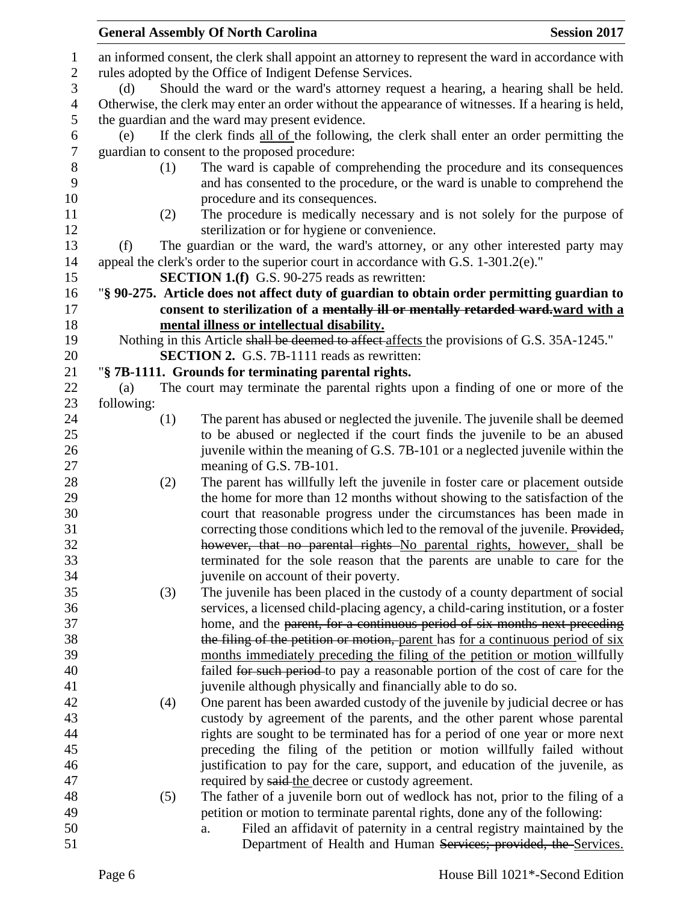|                |            | <b>General Assembly Of North Carolina</b><br><b>Session 2017</b>                                   |  |
|----------------|------------|----------------------------------------------------------------------------------------------------|--|
| $\mathbf{1}$   |            | an informed consent, the clerk shall appoint an attorney to represent the ward in accordance with  |  |
| $\mathbf{2}$   |            | rules adopted by the Office of Indigent Defense Services.                                          |  |
| $\mathfrak{Z}$ | (d)        | Should the ward or the ward's attorney request a hearing, a hearing shall be held.                 |  |
| $\overline{4}$ |            | Otherwise, the clerk may enter an order without the appearance of witnesses. If a hearing is held, |  |
| 5              |            | the guardian and the ward may present evidence.                                                    |  |
| 6              | (e)        | If the clerk finds all of the following, the clerk shall enter an order permitting the             |  |
| $\tau$         |            | guardian to consent to the proposed procedure:                                                     |  |
| 8              | (1)        | The ward is capable of comprehending the procedure and its consequences                            |  |
| 9              |            | and has consented to the procedure, or the ward is unable to comprehend the                        |  |
| 10             |            | procedure and its consequences.                                                                    |  |
| 11             | (2)        | The procedure is medically necessary and is not solely for the purpose of                          |  |
| 12             |            | sterilization or for hygiene or convenience.                                                       |  |
| 13             | (f)        | The guardian or the ward, the ward's attorney, or any other interested party may                   |  |
| 14             |            | appeal the clerk's order to the superior court in accordance with G.S. 1-301.2(e)."                |  |
| 15             |            | <b>SECTION 1.(f)</b> G.S. 90-275 reads as rewritten:                                               |  |
| 16             |            | "§ 90-275. Article does not affect duty of guardian to obtain order permitting guardian to         |  |
| 17             |            | consent to sterilization of a mentally ill or mentally retarded ward, ward with a                  |  |
| 18             |            | mental illness or intellectual disability.                                                         |  |
| 19             |            | Nothing in this Article shall be deemed to affect affects the provisions of G.S. 35A-1245."        |  |
| 20             |            | <b>SECTION 2.</b> G.S. 7B-1111 reads as rewritten:                                                 |  |
| 21             |            | "§ 7B-1111. Grounds for terminating parental rights.                                               |  |
| 22             | (a)        | The court may terminate the parental rights upon a finding of one or more of the                   |  |
| 23             | following: |                                                                                                    |  |
| 24             | (1)        | The parent has abused or neglected the juvenile. The juvenile shall be deemed                      |  |
| 25             |            | to be abused or neglected if the court finds the juvenile to be an abused                          |  |
| 26             |            | juvenile within the meaning of G.S. 7B-101 or a neglected juvenile within the                      |  |
| 27             |            | meaning of G.S. 7B-101.                                                                            |  |
| 28             | (2)        | The parent has willfully left the juvenile in foster care or placement outside                     |  |
| 29             |            | the home for more than 12 months without showing to the satisfaction of the                        |  |
| 30             |            | court that reasonable progress under the circumstances has been made in                            |  |
| 31             |            | correcting those conditions which led to the removal of the juvenile. Provided,                    |  |
| 32             |            | however, that no parental rights No parental rights, however, shall be                             |  |
| 33             |            | terminated for the sole reason that the parents are unable to care for the                         |  |
| 34             |            | juvenile on account of their poverty.                                                              |  |
| 35             | (3)        | The juvenile has been placed in the custody of a county department of social                       |  |
| 36             |            | services, a licensed child-placing agency, a child-caring institution, or a foster                 |  |
| 37             |            | home, and the parent, for a continuous period of six months next preceding                         |  |
| 38             |            | the filing of the petition or motion, parent has for a continuous period of six                    |  |
| 39             |            | months immediately preceding the filing of the petition or motion willfully                        |  |
| 40             |            | failed for such period to pay a reasonable portion of the cost of care for the                     |  |
| 41             |            | juvenile although physically and financially able to do so.                                        |  |
| 42             | (4)        | One parent has been awarded custody of the juvenile by judicial decree or has                      |  |
| 43             |            | custody by agreement of the parents, and the other parent whose parental                           |  |
| 44             |            | rights are sought to be terminated has for a period of one year or more next                       |  |
| 45             |            | preceding the filing of the petition or motion willfully failed without                            |  |
| 46             |            | justification to pay for the care, support, and education of the juvenile, as                      |  |
| 47             |            | required by said-the decree or custody agreement.                                                  |  |
| 48             | (5)        | The father of a juvenile born out of wedlock has not, prior to the filing of a                     |  |
| 49             |            | petition or motion to terminate parental rights, done any of the following:                        |  |
| 50             |            | Filed an affidavit of paternity in a central registry maintained by the<br>a.                      |  |
| 51             |            | Department of Health and Human Services; provided, the Services.                                   |  |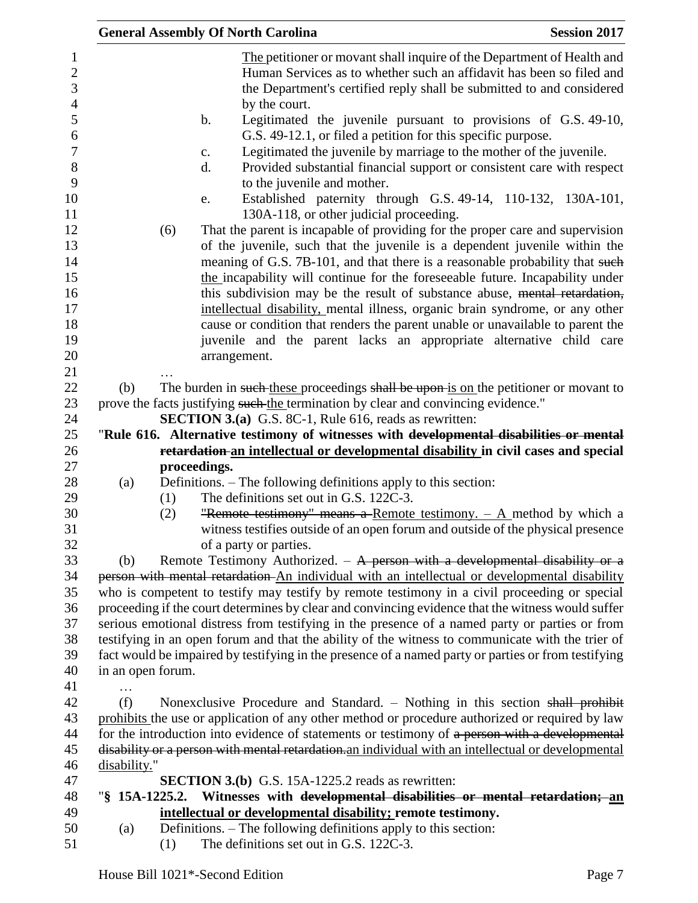|                                                                                                                                |                            | <b>General Assembly Of North Carolina</b>                                                                                                                                                                                                                                                                                                                                                                                                                                                                                                                                                                                                                                                                                                                                                                                                                                                                                                                                                                                                                                                                   | <b>Session 2017</b> |
|--------------------------------------------------------------------------------------------------------------------------------|----------------------------|-------------------------------------------------------------------------------------------------------------------------------------------------------------------------------------------------------------------------------------------------------------------------------------------------------------------------------------------------------------------------------------------------------------------------------------------------------------------------------------------------------------------------------------------------------------------------------------------------------------------------------------------------------------------------------------------------------------------------------------------------------------------------------------------------------------------------------------------------------------------------------------------------------------------------------------------------------------------------------------------------------------------------------------------------------------------------------------------------------------|---------------------|
| 1<br>$\overline{c}$<br>3<br>$\overline{4}$<br>5<br>6<br>$\overline{7}$<br>$8\,$<br>9<br>10<br>11<br>12<br>13<br>14<br>15<br>16 | (6)                        | The petitioner or movant shall inquire of the Department of Health and<br>Human Services as to whether such an affidavit has been so filed and<br>the Department's certified reply shall be submitted to and considered<br>by the court.<br>Legitimated the juvenile pursuant to provisions of G.S. 49-10,<br>b.<br>G.S. 49-12.1, or filed a petition for this specific purpose.<br>Legitimated the juvenile by marriage to the mother of the juvenile.<br>c.<br>Provided substantial financial support or consistent care with respect<br>d.<br>to the juvenile and mother.<br>Established paternity through G.S. 49-14, 110-132, 130A-101,<br>e.<br>130A-118, or other judicial proceeding.<br>That the parent is incapable of providing for the proper care and supervision<br>of the juvenile, such that the juvenile is a dependent juvenile within the<br>meaning of G.S. 7B-101, and that there is a reasonable probability that such<br>the incapability will continue for the foreseeable future. Incapability under<br>this subdivision may be the result of substance abuse, mental retardation, |                     |
| 17                                                                                                                             |                            | intellectual disability, mental illness, organic brain syndrome, or any other                                                                                                                                                                                                                                                                                                                                                                                                                                                                                                                                                                                                                                                                                                                                                                                                                                                                                                                                                                                                                               |                     |
| 18                                                                                                                             |                            | cause or condition that renders the parent unable or unavailable to parent the                                                                                                                                                                                                                                                                                                                                                                                                                                                                                                                                                                                                                                                                                                                                                                                                                                                                                                                                                                                                                              |                     |
| 19                                                                                                                             |                            | juvenile and the parent lacks an appropriate alternative child care                                                                                                                                                                                                                                                                                                                                                                                                                                                                                                                                                                                                                                                                                                                                                                                                                                                                                                                                                                                                                                         |                     |
| 20                                                                                                                             |                            | arrangement.                                                                                                                                                                                                                                                                                                                                                                                                                                                                                                                                                                                                                                                                                                                                                                                                                                                                                                                                                                                                                                                                                                |                     |
| 21                                                                                                                             |                            |                                                                                                                                                                                                                                                                                                                                                                                                                                                                                                                                                                                                                                                                                                                                                                                                                                                                                                                                                                                                                                                                                                             |                     |
| 22                                                                                                                             | (b)                        | The burden in such these proceedings shall be upon is on the petitioner or movant to                                                                                                                                                                                                                                                                                                                                                                                                                                                                                                                                                                                                                                                                                                                                                                                                                                                                                                                                                                                                                        |                     |
| 23<br>24                                                                                                                       |                            | prove the facts justifying such the termination by clear and convincing evidence."<br><b>SECTION 3.(a)</b> G.S. 8C-1, Rule 616, reads as rewritten:                                                                                                                                                                                                                                                                                                                                                                                                                                                                                                                                                                                                                                                                                                                                                                                                                                                                                                                                                         |                     |
| 25                                                                                                                             |                            | "Rule 616. Alternative testimony of witnesses with developmental disabilities or mental                                                                                                                                                                                                                                                                                                                                                                                                                                                                                                                                                                                                                                                                                                                                                                                                                                                                                                                                                                                                                     |                     |
| 26                                                                                                                             |                            | retardation an intellectual or developmental disability in civil cases and special                                                                                                                                                                                                                                                                                                                                                                                                                                                                                                                                                                                                                                                                                                                                                                                                                                                                                                                                                                                                                          |                     |
| 27                                                                                                                             |                            | proceedings.                                                                                                                                                                                                                                                                                                                                                                                                                                                                                                                                                                                                                                                                                                                                                                                                                                                                                                                                                                                                                                                                                                |                     |
| 28                                                                                                                             | (a)                        | Definitions. – The following definitions apply to this section:                                                                                                                                                                                                                                                                                                                                                                                                                                                                                                                                                                                                                                                                                                                                                                                                                                                                                                                                                                                                                                             |                     |
| 29                                                                                                                             | (1)                        | The definitions set out in G.S. 122C-3.                                                                                                                                                                                                                                                                                                                                                                                                                                                                                                                                                                                                                                                                                                                                                                                                                                                                                                                                                                                                                                                                     |                     |
| 30                                                                                                                             | (2)                        | "Remote testimony" means a Remote testimony. $-$ A method by which a                                                                                                                                                                                                                                                                                                                                                                                                                                                                                                                                                                                                                                                                                                                                                                                                                                                                                                                                                                                                                                        |                     |
| 31                                                                                                                             |                            | witness testifies outside of an open forum and outside of the physical presence                                                                                                                                                                                                                                                                                                                                                                                                                                                                                                                                                                                                                                                                                                                                                                                                                                                                                                                                                                                                                             |                     |
| 32                                                                                                                             |                            | of a party or parties.                                                                                                                                                                                                                                                                                                                                                                                                                                                                                                                                                                                                                                                                                                                                                                                                                                                                                                                                                                                                                                                                                      |                     |
| 33                                                                                                                             | (b)                        | Remote Testimony Authorized. $-$ A person with a developmental disability or a                                                                                                                                                                                                                                                                                                                                                                                                                                                                                                                                                                                                                                                                                                                                                                                                                                                                                                                                                                                                                              |                     |
| 34                                                                                                                             |                            | person with mental retardation An individual with an intellectual or developmental disability                                                                                                                                                                                                                                                                                                                                                                                                                                                                                                                                                                                                                                                                                                                                                                                                                                                                                                                                                                                                               |                     |
| 35                                                                                                                             |                            | who is competent to testify may testify by remote testimony in a civil proceeding or special                                                                                                                                                                                                                                                                                                                                                                                                                                                                                                                                                                                                                                                                                                                                                                                                                                                                                                                                                                                                                |                     |
| 36                                                                                                                             |                            | proceeding if the court determines by clear and convincing evidence that the witness would suffer<br>serious emotional distress from testifying in the presence of a named party or parties or from                                                                                                                                                                                                                                                                                                                                                                                                                                                                                                                                                                                                                                                                                                                                                                                                                                                                                                         |                     |
| 37<br>38                                                                                                                       |                            | testifying in an open forum and that the ability of the witness to communicate with the trier of                                                                                                                                                                                                                                                                                                                                                                                                                                                                                                                                                                                                                                                                                                                                                                                                                                                                                                                                                                                                            |                     |
| 39                                                                                                                             |                            | fact would be impaired by testifying in the presence of a named party or parties or from testifying                                                                                                                                                                                                                                                                                                                                                                                                                                                                                                                                                                                                                                                                                                                                                                                                                                                                                                                                                                                                         |                     |
| 40                                                                                                                             | in an open forum.          |                                                                                                                                                                                                                                                                                                                                                                                                                                                                                                                                                                                                                                                                                                                                                                                                                                                                                                                                                                                                                                                                                                             |                     |
| 41                                                                                                                             |                            |                                                                                                                                                                                                                                                                                                                                                                                                                                                                                                                                                                                                                                                                                                                                                                                                                                                                                                                                                                                                                                                                                                             |                     |
| 42                                                                                                                             | (f)                        | Nonexclusive Procedure and Standard. – Nothing in this section shall prohibit                                                                                                                                                                                                                                                                                                                                                                                                                                                                                                                                                                                                                                                                                                                                                                                                                                                                                                                                                                                                                               |                     |
| 43                                                                                                                             |                            | prohibits the use or application of any other method or procedure authorized or required by law                                                                                                                                                                                                                                                                                                                                                                                                                                                                                                                                                                                                                                                                                                                                                                                                                                                                                                                                                                                                             |                     |
| 44                                                                                                                             |                            | for the introduction into evidence of statements or testimony of a person with a developmental                                                                                                                                                                                                                                                                                                                                                                                                                                                                                                                                                                                                                                                                                                                                                                                                                                                                                                                                                                                                              |                     |
| 45                                                                                                                             |                            | disability or a person with mental retardation an individual with an intellectual or developmental                                                                                                                                                                                                                                                                                                                                                                                                                                                                                                                                                                                                                                                                                                                                                                                                                                                                                                                                                                                                          |                     |
| 46                                                                                                                             | disability."               |                                                                                                                                                                                                                                                                                                                                                                                                                                                                                                                                                                                                                                                                                                                                                                                                                                                                                                                                                                                                                                                                                                             |                     |
| 47                                                                                                                             |                            | <b>SECTION 3.(b)</b> G.S. 15A-1225.2 reads as rewritten:                                                                                                                                                                                                                                                                                                                                                                                                                                                                                                                                                                                                                                                                                                                                                                                                                                                                                                                                                                                                                                                    |                     |
| 48                                                                                                                             | $\frac{15}{9}$ 15A-1225.2. | Witnesses with developmental disabilities or mental retardation; an                                                                                                                                                                                                                                                                                                                                                                                                                                                                                                                                                                                                                                                                                                                                                                                                                                                                                                                                                                                                                                         |                     |
| 49                                                                                                                             |                            | intellectual or developmental disability; remote testimony.                                                                                                                                                                                                                                                                                                                                                                                                                                                                                                                                                                                                                                                                                                                                                                                                                                                                                                                                                                                                                                                 |                     |
| 50                                                                                                                             | (a)                        | Definitions. – The following definitions apply to this section:                                                                                                                                                                                                                                                                                                                                                                                                                                                                                                                                                                                                                                                                                                                                                                                                                                                                                                                                                                                                                                             |                     |
| 51                                                                                                                             | (1)                        | The definitions set out in G.S. 122C-3.                                                                                                                                                                                                                                                                                                                                                                                                                                                                                                                                                                                                                                                                                                                                                                                                                                                                                                                                                                                                                                                                     |                     |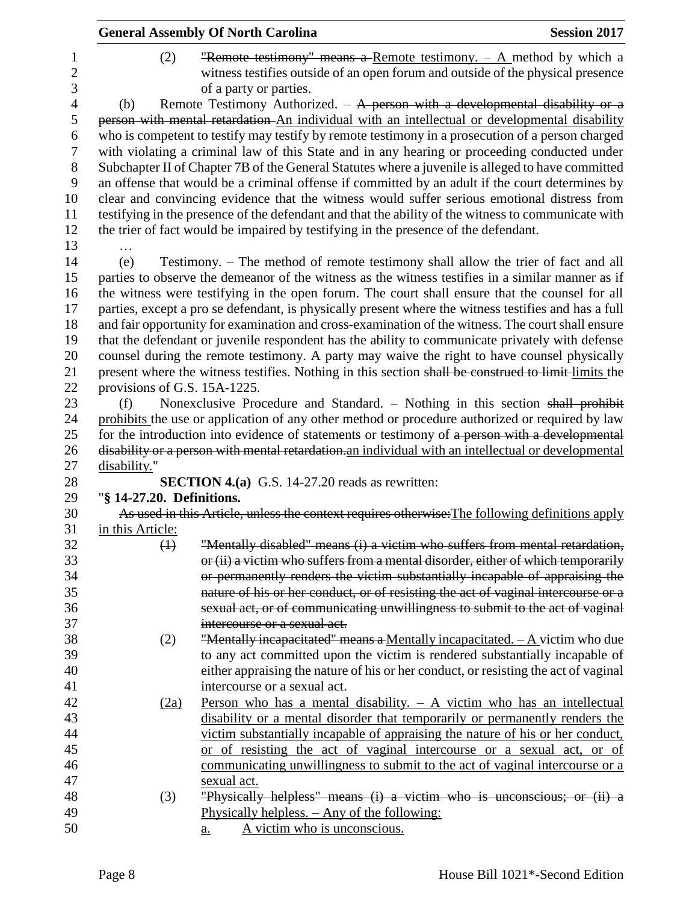|                          |                              | <b>General Assembly Of North Carolina</b>                                                                                                                                         | <b>Session 2017</b> |
|--------------------------|------------------------------|-----------------------------------------------------------------------------------------------------------------------------------------------------------------------------------|---------------------|
| 1<br>$\overline{c}$<br>3 | (2)                          | "Remote testimony" means a Remote testimony. $-$ A method by which a<br>witness testifies outside of an open forum and outside of the physical presence<br>of a party or parties. |                     |
| $\overline{4}$           | (b)                          | Remote Testimony Authorized. $-$ A person with a developmental disability or a                                                                                                    |                     |
| 5                        |                              | person with mental retardation An individual with an intellectual or developmental disability                                                                                     |                     |
| 6                        |                              | who is competent to testify may testify by remote testimony in a prosecution of a person charged                                                                                  |                     |
| $\tau$                   |                              | with violating a criminal law of this State and in any hearing or proceeding conducted under                                                                                      |                     |
| 8                        |                              | Subchapter II of Chapter 7B of the General Statutes where a juvenile is alleged to have committed                                                                                 |                     |
| 9                        |                              | an offense that would be a criminal offense if committed by an adult if the court determines by                                                                                   |                     |
| 10                       |                              | clear and convincing evidence that the witness would suffer serious emotional distress from                                                                                       |                     |
| 11                       |                              | testifying in the presence of the defendant and that the ability of the witness to communicate with                                                                               |                     |
| 12                       |                              | the trier of fact would be impaired by testifying in the presence of the defendant.                                                                                               |                     |
| 13                       |                              |                                                                                                                                                                                   |                     |
| 14                       | (e)                          | Testimony. – The method of remote testimony shall allow the trier of fact and all                                                                                                 |                     |
| 15                       |                              | parties to observe the demeanor of the witness as the witness testifies in a similar manner as if                                                                                 |                     |
| 16                       |                              | the witness were testifying in the open forum. The court shall ensure that the counsel for all                                                                                    |                     |
| 17                       |                              | parties, except a pro se defendant, is physically present where the witness testifies and has a full                                                                              |                     |
| 18                       |                              | and fair opportunity for examination and cross-examination of the witness. The court shall ensure                                                                                 |                     |
| 19                       |                              | that the defendant or juvenile respondent has the ability to communicate privately with defense                                                                                   |                     |
| 20                       |                              | counsel during the remote testimony. A party may waive the right to have counsel physically                                                                                       |                     |
| 21                       |                              | present where the witness testifies. Nothing in this section shall be construed to limit-limits the                                                                               |                     |
| 22                       | provisions of G.S. 15A-1225. |                                                                                                                                                                                   |                     |
| 23                       | (f)                          | Nonexclusive Procedure and Standard. - Nothing in this section shall prohibit                                                                                                     |                     |
| 24                       |                              | prohibits the use or application of any other method or procedure authorized or required by law                                                                                   |                     |
| 25                       |                              | for the introduction into evidence of statements or testimony of a person with a developmental                                                                                    |                     |
| 26                       |                              | disability or a person with mental retardation an individual with an intellectual or developmental                                                                                |                     |
| 27                       | disability."                 |                                                                                                                                                                                   |                     |
| 28                       |                              | <b>SECTION 4.(a)</b> G.S. 14-27.20 reads as rewritten:                                                                                                                            |                     |
| 29<br>30                 | "§ 14-27.20. Definitions.    | As used in this Article, unless the context requires otherwise: The following definitions apply                                                                                   |                     |
| 31                       | in this Article:             |                                                                                                                                                                                   |                     |
| 32                       | $\leftrightarrow$            | "Mentally disabled" means (i) a victim who suffers from mental retardation,                                                                                                       |                     |
| 33                       |                              | or (ii) a victim who suffers from a mental disorder, either of which temporarily                                                                                                  |                     |
| 34                       |                              | or permanently renders the victim substantially incapable of appraising the                                                                                                       |                     |
| 35                       |                              | nature of his or her conduct, or of resisting the act of vaginal intercourse or a                                                                                                 |                     |
| 36                       |                              | sexual act, or of communicating unwillingness to submit to the act of vaginal                                                                                                     |                     |
| 37                       |                              | intercourse or a sexual act.                                                                                                                                                      |                     |
| 38                       | (2)                          | "Mentally incapacitated" means a Mentally incapacitated. $-A$ victim who due                                                                                                      |                     |
| 39                       |                              | to any act committed upon the victim is rendered substantially incapable of                                                                                                       |                     |
| 40                       |                              | either appraising the nature of his or her conduct, or resisting the act of vaginal                                                                                               |                     |
| 41                       |                              | intercourse or a sexual act.                                                                                                                                                      |                     |
| 42                       | (2a)                         | <u>Person who has a mental disability. <math>-</math> A victim who has an intellectual</u>                                                                                        |                     |
| 43                       |                              | disability or a mental disorder that temporarily or permanently renders the                                                                                                       |                     |
| 44                       |                              | victim substantially incapable of appraising the nature of his or her conduct,                                                                                                    |                     |
| 45                       |                              | or of resisting the act of vaginal intercourse or a sexual act, or of                                                                                                             |                     |
| 46                       |                              | communicating unwillingness to submit to the act of vaginal intercourse or a                                                                                                      |                     |
| 47                       |                              | sexual act.                                                                                                                                                                       |                     |
| 48                       | (3)                          | "Physically helpless" means (i) a victim who is unconscious; or (ii) a                                                                                                            |                     |
| 49                       |                              | Physically helpless. - Any of the following:                                                                                                                                      |                     |
| 50                       |                              | A victim who is unconscious.<br><u>a.</u>                                                                                                                                         |                     |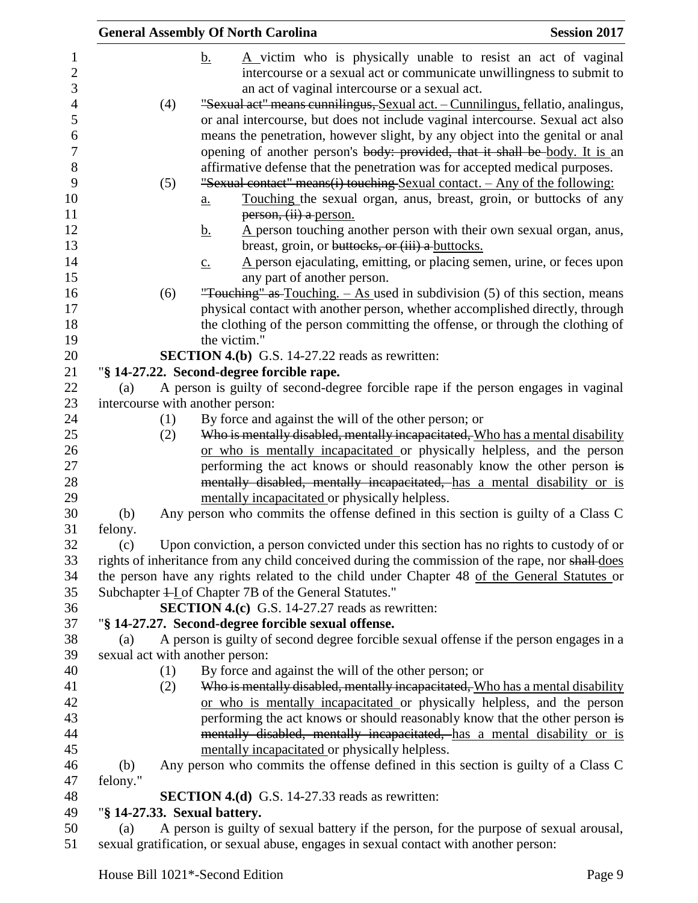|                              |                                  | <b>General Assembly Of North Carolina</b>                                                                                           | <b>Session 2017</b> |
|------------------------------|----------------------------------|-------------------------------------------------------------------------------------------------------------------------------------|---------------------|
|                              | <u>b.</u>                        | A victim who is physically unable to resist an act of vaginal                                                                       |                     |
|                              |                                  | intercourse or a sexual act or communicate unwillingness to submit to                                                               |                     |
|                              |                                  | an act of vaginal intercourse or a sexual act.                                                                                      |                     |
|                              | (4)                              | "Sexual act" means cunnilingus, Sexual act. - Cunnilingus, fellatio, analingus,                                                     |                     |
|                              |                                  | or anal intercourse, but does not include vaginal intercourse. Sexual act also                                                      |                     |
|                              |                                  | means the penetration, however slight, by any object into the genital or anal                                                       |                     |
|                              |                                  | opening of another person's body: provided, that it shall be body. It is an                                                         |                     |
|                              |                                  | affirmative defense that the penetration was for accepted medical purposes.                                                         |                     |
|                              | (5)                              | "Sexual contact" means(i) touching Sexual contact. - Any of the following:                                                          |                     |
|                              | <u>a.</u>                        | Touching the sexual organ, anus, breast, groin, or buttocks of any<br>person, (ii) a person.                                        |                     |
|                              | <u>b.</u>                        | $\underline{A}$ person touching another person with their own sexual organ, anus,                                                   |                     |
|                              |                                  | breast, groin, or buttocks, or (iii) a buttocks.                                                                                    |                     |
|                              | $\underline{c}$ .                | A person ejaculating, emitting, or placing semen, urine, or feces upon                                                              |                     |
|                              |                                  | any part of another person.                                                                                                         |                     |
|                              | (6)                              | "Touching" as Touching. $-$ As used in subdivision (5) of this section, means                                                       |                     |
|                              |                                  | physical contact with another person, whether accomplished directly, through                                                        |                     |
|                              |                                  | the clothing of the person committing the offense, or through the clothing of                                                       |                     |
|                              |                                  | the victim."                                                                                                                        |                     |
|                              |                                  | <b>SECTION 4.(b)</b> G.S. 14-27.22 reads as rewritten:                                                                              |                     |
|                              |                                  | "§ 14-27.22. Second-degree forcible rape.                                                                                           |                     |
| (a)                          |                                  | A person is guilty of second-degree forcible rape if the person engages in vaginal                                                  |                     |
|                              | intercourse with another person: |                                                                                                                                     |                     |
|                              | (1)                              | By force and against the will of the other person; or                                                                               |                     |
|                              | (2)                              | Who is mentally disabled, mentally incapacitated, Who has a mental disability                                                       |                     |
|                              |                                  | or who is mentally incapacitated or physically helpless, and the person                                                             |                     |
|                              |                                  | performing the act knows or should reasonably know the other person is                                                              |                     |
|                              |                                  | mentally disabled, mentally incapacitated, has a mental disability or is                                                            |                     |
| (b)                          |                                  | mentally incapacitated or physically helpless.<br>Any person who commits the offense defined in this section is guilty of a Class C |                     |
| felony.                      |                                  |                                                                                                                                     |                     |
| (c)                          |                                  | Upon conviction, a person convicted under this section has no rights to custody of or                                               |                     |
|                              |                                  | rights of inheritance from any child conceived during the commission of the rape, nor shall does                                    |                     |
|                              |                                  | the person have any rights related to the child under Chapter 48 of the General Statutes or                                         |                     |
|                              |                                  | Subchapter + Lof Chapter 7B of the General Statutes."                                                                               |                     |
|                              |                                  | <b>SECTION 4.(c)</b> G.S. 14-27.27 reads as rewritten:                                                                              |                     |
|                              |                                  | "§ 14-27.27. Second-degree forcible sexual offense.                                                                                 |                     |
| (a)                          |                                  | A person is guilty of second degree forcible sexual offense if the person engages in a                                              |                     |
|                              | sexual act with another person:  |                                                                                                                                     |                     |
|                              | (1)                              | By force and against the will of the other person; or                                                                               |                     |
|                              | (2)                              | Who is mentally disabled, mentally incapacitated, Who has a mental disability                                                       |                     |
|                              |                                  | or who is mentally incapacitated or physically helpless, and the person                                                             |                     |
|                              |                                  | performing the act knows or should reasonably know that the other person is                                                         |                     |
|                              |                                  | mentally disabled, mentally incapacitated, has a mental disability or is                                                            |                     |
|                              |                                  | mentally incapacitated or physically helpless.                                                                                      |                     |
| (b)                          |                                  | Any person who commits the offense defined in this section is guilty of a Class C                                                   |                     |
| felony."                     |                                  |                                                                                                                                     |                     |
|                              |                                  | <b>SECTION 4.(d)</b> G.S. 14-27.33 reads as rewritten:                                                                              |                     |
| "§ 14-27.33. Sexual battery. |                                  |                                                                                                                                     |                     |
| (a)                          |                                  | A person is guilty of sexual battery if the person, for the purpose of sexual arousal,                                              |                     |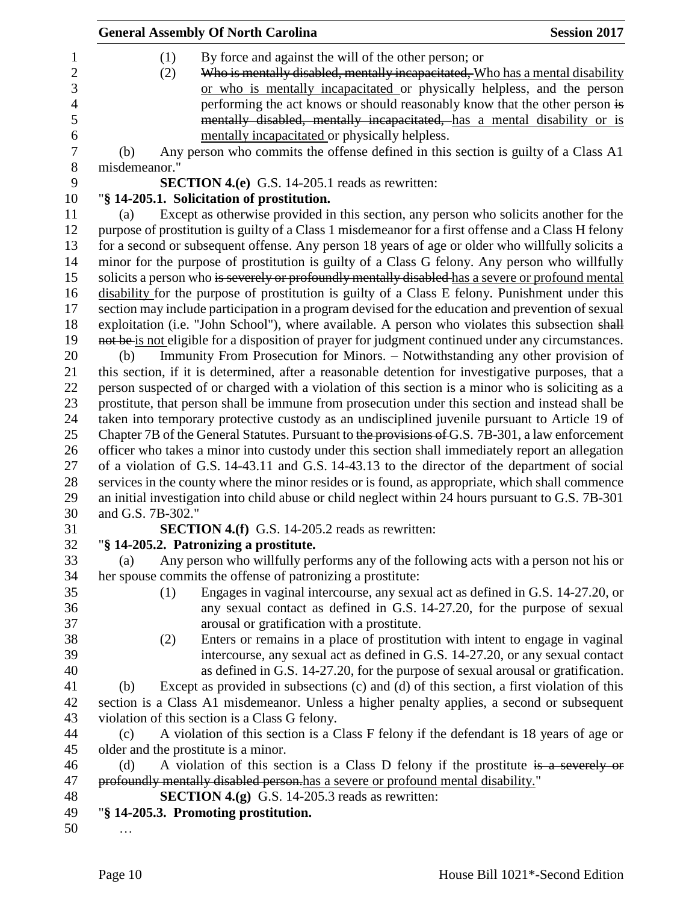| <b>General Assembly Of North Carolina</b>                                                           | <b>Session 2017</b> |
|-----------------------------------------------------------------------------------------------------|---------------------|
| (1)<br>By force and against the will of the other person; or                                        |                     |
| Who is mentally disabled, mentally incapacitated, Who has a mental disability<br>(2)                |                     |
| or who is mentally incapacitated or physically helpless, and the person                             |                     |
| performing the act knows or should reasonably know that the other person is                         |                     |
| mentally disabled, mentally incapacitated, has a mental disability or is                            |                     |
| mentally incapacitated or physically helpless.                                                      |                     |
|                                                                                                     |                     |
| Any person who commits the offense defined in this section is guilty of a Class A1<br>(b)           |                     |
| misdemeanor."                                                                                       |                     |
| <b>SECTION 4.(e)</b> G.S. 14-205.1 reads as rewritten:                                              |                     |
| "§ 14-205.1. Solicitation of prostitution.                                                          |                     |
| Except as otherwise provided in this section, any person who solicits another for the<br>(a)        |                     |
| purpose of prostitution is guilty of a Class 1 misdemeanor for a first offense and a Class H felony |                     |
| for a second or subsequent offense. Any person 18 years of age or older who willfully solicits a    |                     |
| minor for the purpose of prostitution is guilty of a Class G felony. Any person who willfully       |                     |
| solicits a person who is severely or profoundly mentally disabled has a severe or profound mental   |                     |
| disability for the purpose of prostitution is guilty of a Class E felony. Punishment under this     |                     |
| section may include participation in a program devised for the education and prevention of sexual   |                     |
| exploitation (i.e. "John School"), where available. A person who violates this subsection shall     |                     |
| not be is not eligible for a disposition of prayer for judgment continued under any circumstances.  |                     |
| Immunity From Prosecution for Minors. – Notwithstanding any other provision of<br>(b)               |                     |
| this section, if it is determined, after a reasonable detention for investigative purposes, that a  |                     |
| person suspected of or charged with a violation of this section is a minor who is soliciting as a   |                     |
| prostitute, that person shall be immune from prosecution under this section and instead shall be    |                     |
| taken into temporary protective custody as an undisciplined juvenile pursuant to Article 19 of      |                     |
| Chapter 7B of the General Statutes. Pursuant to the provisions of G.S. 7B-301, a law enforcement    |                     |
| officer who takes a minor into custody under this section shall immediately report an allegation    |                     |
| of a violation of G.S. 14-43.11 and G.S. 14-43.13 to the director of the department of social       |                     |
| services in the county where the minor resides or is found, as appropriate, which shall commence    |                     |
| an initial investigation into child abuse or child neglect within 24 hours pursuant to G.S. 7B-301  |                     |
| and G.S. 7B-302."                                                                                   |                     |
| <b>SECTION 4.(f)</b> G.S. 14-205.2 reads as rewritten:                                              |                     |
| "§ 14-205.2. Patronizing a prostitute.                                                              |                     |
| Any person who willfully performs any of the following acts with a person not his or<br>(a)         |                     |
| her spouse commits the offense of patronizing a prostitute:                                         |                     |
| Engages in vaginal intercourse, any sexual act as defined in G.S. 14-27.20, or<br>(1)               |                     |
| any sexual contact as defined in G.S. 14-27.20, for the purpose of sexual                           |                     |
| arousal or gratification with a prostitute.                                                         |                     |
| Enters or remains in a place of prostitution with intent to engage in vaginal<br>(2)                |                     |
| intercourse, any sexual act as defined in G.S. 14-27.20, or any sexual contact                      |                     |
| as defined in G.S. 14-27.20, for the purpose of sexual arousal or gratification.                    |                     |
| Except as provided in subsections (c) and (d) of this section, a first violation of this<br>(b)     |                     |
| section is a Class A1 misdemeanor. Unless a higher penalty applies, a second or subsequent          |                     |
|                                                                                                     |                     |
| violation of this section is a Class G felony.                                                      |                     |
| A violation of this section is a Class F felony if the defendant is 18 years of age or<br>(c)       |                     |
| older and the prostitute is a minor.                                                                |                     |
| A violation of this section is a Class D felony if the prostitute is a severely or<br>(d)           |                     |
| profoundly mentally disabled person.has a severe or profound mental disability."                    |                     |
| <b>SECTION 4.(g)</b> G.S. 14-205.3 reads as rewritten:                                              |                     |
| "§ 14-205.3. Promoting prostitution.                                                                |                     |
|                                                                                                     |                     |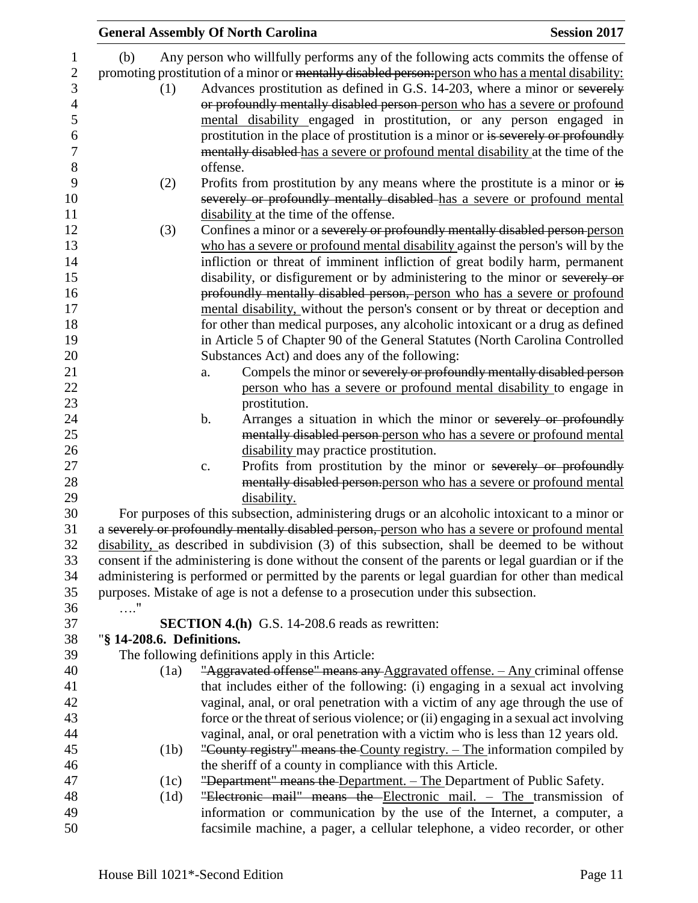|                           | <b>General Assembly Of North Carolina</b>                                                                                       | <b>Session 2017</b> |
|---------------------------|---------------------------------------------------------------------------------------------------------------------------------|---------------------|
| (b)                       | Any person who willfully performs any of the following acts commits the offense of                                              |                     |
|                           | promoting prostitution of a minor or mentally disabled person-person who has a mental disability:                               |                     |
| (1)                       | Advances prostitution as defined in G.S. 14-203, where a minor or severely                                                      |                     |
|                           | or profoundly mentally disabled person-person who has a severe or profound                                                      |                     |
|                           | mental disability engaged in prostitution, or any person engaged in                                                             |                     |
|                           |                                                                                                                                 |                     |
|                           | prostitution in the place of prostitution is a minor or is severely or profoundly                                               |                     |
|                           | mentally disabled has a severe or profound mental disability at the time of the<br>offense.                                     |                     |
|                           |                                                                                                                                 |                     |
| (2)                       | Profits from prostitution by any means where the prostitute is a minor or is                                                    |                     |
|                           | severely or profoundly mentally disabled-has a severe or profound mental                                                        |                     |
|                           | disability at the time of the offense.                                                                                          |                     |
| (3)                       | Confines a minor or a severely or profoundly mentally disabled person-person                                                    |                     |
|                           | who has a severe or profound mental disability against the person's will by the                                                 |                     |
|                           | infliction or threat of imminent infliction of great bodily harm, permanent                                                     |                     |
|                           | disability, or disfigurement or by administering to the minor or severely or                                                    |                     |
|                           | profoundly mentally disabled person, person who has a severe or profound                                                        |                     |
|                           | mental disability, without the person's consent or by threat or deception and                                                   |                     |
|                           | for other than medical purposes, any alcoholic intoxicant or a drug as defined                                                  |                     |
|                           | in Article 5 of Chapter 90 of the General Statutes (North Carolina Controlled<br>Substances Act) and does any of the following: |                     |
|                           | Compels the minor or severely or profoundly mentally disabled person<br>a.                                                      |                     |
|                           | person who has a severe or profound mental disability to engage in                                                              |                     |
|                           | prostitution.                                                                                                                   |                     |
|                           | Arranges a situation in which the minor or severely or profoundly<br>b.                                                         |                     |
|                           | mentally disabled person-person who has a severe or profound mental                                                             |                     |
|                           | disability may practice prostitution.                                                                                           |                     |
|                           | Profits from prostitution by the minor or severely or profoundly<br>c.                                                          |                     |
|                           | mentally disabled person.person who has a severe or profound mental                                                             |                     |
|                           | disability.                                                                                                                     |                     |
|                           | For purposes of this subsection, administering drugs or an alcoholic intoxicant to a minor or                                   |                     |
|                           | a severely or profoundly mentally disabled person, person who has a severe or profound mental                                   |                     |
|                           | disability, as described in subdivision (3) of this subsection, shall be deemed to be without                                   |                     |
|                           | consent if the administering is done without the consent of the parents or legal guardian or if the                             |                     |
|                           | administering is performed or permitted by the parents or legal guardian for other than medical                                 |                     |
|                           | purposes. Mistake of age is not a defense to a prosecution under this subsection.                                               |                     |
| . '                       |                                                                                                                                 |                     |
|                           | <b>SECTION 4.(h)</b> G.S. 14-208.6 reads as rewritten:                                                                          |                     |
| "§ 14-208.6. Definitions. |                                                                                                                                 |                     |
|                           | The following definitions apply in this Article:                                                                                |                     |
| (1a)                      | "Aggravated offense" means any Aggravated offense. - Any criminal offense                                                       |                     |
|                           | that includes either of the following: (i) engaging in a sexual act involving                                                   |                     |
|                           | vaginal, anal, or oral penetration with a victim of any age through the use of                                                  |                     |
|                           | force or the threat of serious violence; or (ii) engaging in a sexual act involving                                             |                     |
|                           | vaginal, anal, or oral penetration with a victim who is less than 12 years old.                                                 |                     |
| (1b)                      | "County registry" means the County registry. - The information compiled by                                                      |                     |
|                           | the sheriff of a county in compliance with this Article.                                                                        |                     |
| (1c)                      | "Department" means the Department. - The Department of Public Safety.                                                           |                     |
| (1d)                      | "Electronic mail" means the Electronic mail. - The transmission of                                                              |                     |
|                           | information or communication by the use of the Internet, a computer, a                                                          |                     |
|                           | facsimile machine, a pager, a cellular telephone, a video recorder, or other                                                    |                     |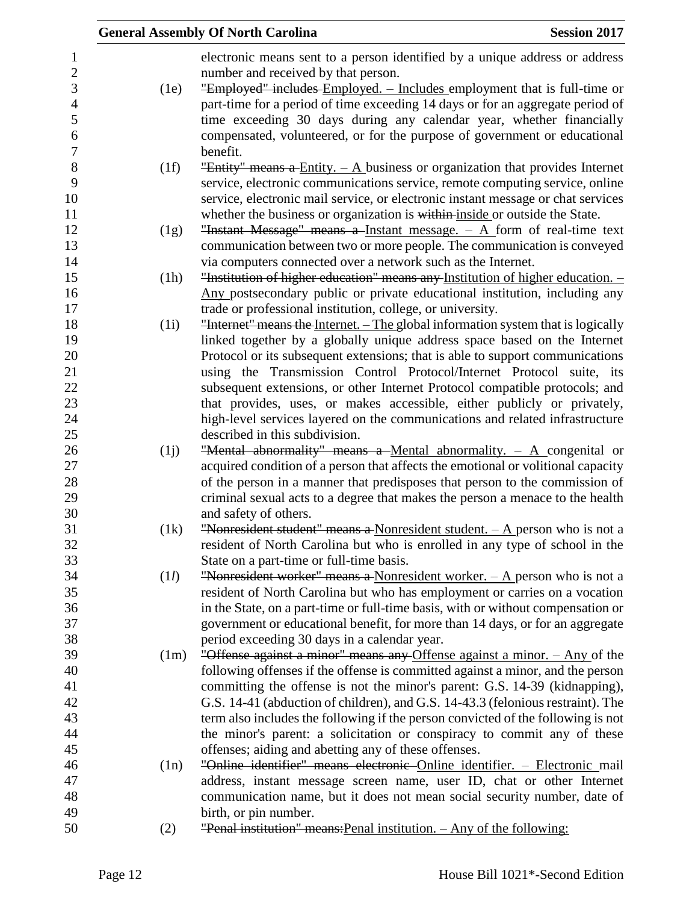|      | <b>Session 2017</b><br><b>General Assembly Of North Carolina</b>                 |  |
|------|----------------------------------------------------------------------------------|--|
|      | electronic means sent to a person identified by a unique address or address      |  |
|      | number and received by that person.                                              |  |
| (1e) | "Employed" includes Employed. - Includes employment that is full-time or         |  |
|      | part-time for a period of time exceeding 14 days or for an aggregate period of   |  |
|      | time exceeding 30 days during any calendar year, whether financially             |  |
|      | compensated, volunteered, or for the purpose of government or educational        |  |
|      | benefit.                                                                         |  |
| (1f) | "Entity" means a Entity. $- A$ business or organization that provides Internet   |  |
|      | service, electronic communications service, remote computing service, online     |  |
|      | service, electronic mail service, or electronic instant message or chat services |  |
|      | whether the business or organization is within inside or outside the State.      |  |
| (1g) | "Instant Message" means a Instant message. - A form of real-time text            |  |
|      | communication between two or more people. The communication is conveyed          |  |
|      | via computers connected over a network such as the Internet.                     |  |
| (1h) | "Institution of higher education" means any Institution of higher education. -   |  |
|      | Any postsecondary public or private educational institution, including any       |  |
|      | trade or professional institution, college, or university.                       |  |
| (1i) | "Internet" means the Internet. - The global information system that is logically |  |
|      | linked together by a globally unique address space based on the Internet         |  |
|      | Protocol or its subsequent extensions; that is able to support communications    |  |
|      | using the Transmission Control Protocol/Internet Protocol suite, its             |  |
|      | subsequent extensions, or other Internet Protocol compatible protocols; and      |  |
|      | that provides, uses, or makes accessible, either publicly or privately,          |  |
|      | high-level services layered on the communications and related infrastructure     |  |
|      | described in this subdivision.                                                   |  |
| (1j) | "Mental abnormality" means a Mental abnormality. $-$ A congenital or             |  |
|      | acquired condition of a person that affects the emotional or volitional capacity |  |
|      | of the person in a manner that predisposes that person to the commission of      |  |
|      | criminal sexual acts to a degree that makes the person a menace to the health    |  |
|      | and safety of others.                                                            |  |
| (1k) | "Nonresident student" means a Nonresident student. $- A$ person who is not a     |  |
|      | resident of North Carolina but who is enrolled in any type of school in the      |  |
|      | State on a part-time or full-time basis.                                         |  |
| (1l) | "Nonresident worker" means a Nonresident worker. $- A$ person who is not a       |  |
|      | resident of North Carolina but who has employment or carries on a vocation       |  |
|      | in the State, on a part-time or full-time basis, with or without compensation or |  |
|      | government or educational benefit, for more than 14 days, or for an aggregate    |  |
|      | period exceeding 30 days in a calendar year.                                     |  |
| (1m) | "Offense against a minor" means any Offense against a minor. - Any of the        |  |
|      | following offenses if the offense is committed against a minor, and the person   |  |
|      | committing the offense is not the minor's parent: G.S. 14-39 (kidnapping),       |  |
|      | G.S. 14-41 (abduction of children), and G.S. 14-43.3 (felonious restraint). The  |  |
|      | term also includes the following if the person convicted of the following is not |  |
|      | the minor's parent: a solicitation or conspiracy to commit any of these          |  |
|      | offenses; aiding and abetting any of these offenses.                             |  |
| (1n) | "Online identifier" means electronic Online identifier. - Electronic mail        |  |
|      | address, instant message screen name, user ID, chat or other Internet            |  |
|      | communication name, but it does not mean social security number, date of         |  |
|      | birth, or pin number.                                                            |  |
| (2)  | "Penal institution" means: Penal institution. - Any of the following:            |  |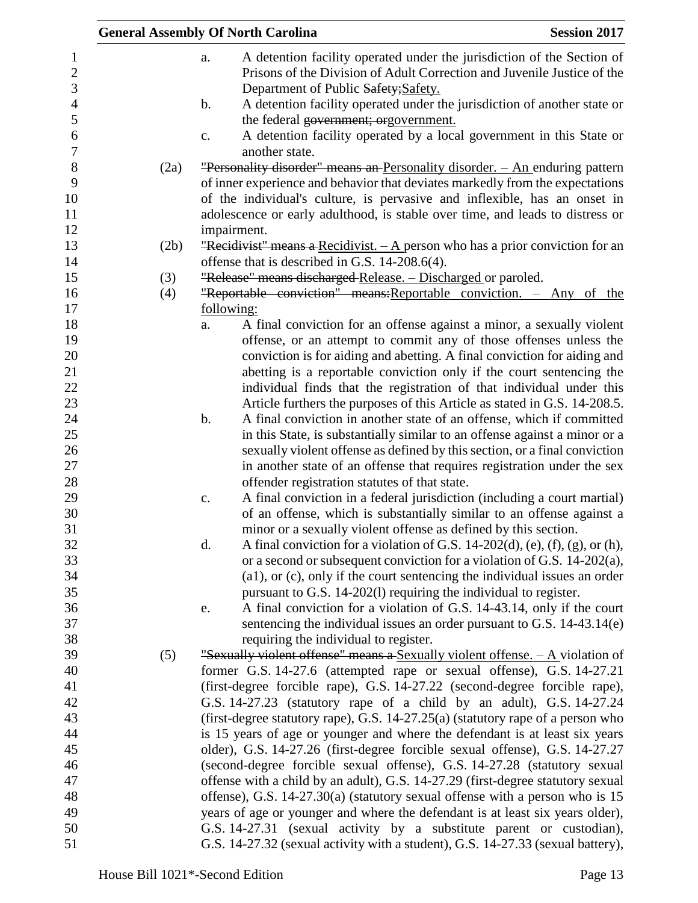|      |       | <b>General Assembly Of North Carolina</b>                                                                                                                | <b>Session 2017</b> |
|------|-------|----------------------------------------------------------------------------------------------------------------------------------------------------------|---------------------|
|      | a.    | A detention facility operated under the jurisdiction of the Section of                                                                                   |                     |
|      |       | Prisons of the Division of Adult Correction and Juvenile Justice of the                                                                                  |                     |
|      |       | Department of Public Safety; Safety.                                                                                                                     |                     |
|      | b.    | A detention facility operated under the jurisdiction of another state or                                                                                 |                     |
|      |       | the federal government; orgovernment.                                                                                                                    |                     |
|      | c.    | A detention facility operated by a local government in this State or<br>another state.                                                                   |                     |
| (2a) |       | "Personality disorder" means an Personality disorder. - An enduring pattern                                                                              |                     |
|      |       | of inner experience and behavior that deviates markedly from the expectations                                                                            |                     |
|      |       | of the individual's culture, is pervasive and inflexible, has an onset in                                                                                |                     |
|      |       | adolescence or early adulthood, is stable over time, and leads to distress or                                                                            |                     |
|      |       | impairment.                                                                                                                                              |                     |
| (2b) |       | "Recidivist" means a Recidivist. $- A$ person who has a prior conviction for an                                                                          |                     |
|      |       | offense that is described in G.S. 14-208.6(4).                                                                                                           |                     |
| (3)  |       | "Release" means discharged Release. - Discharged or paroled.                                                                                             |                     |
| (4)  |       | "Reportable conviction" means: Reportable conviction. - Any of the                                                                                       |                     |
|      |       | following:                                                                                                                                               |                     |
|      | a.    | A final conviction for an offense against a minor, a sexually violent                                                                                    |                     |
|      |       | offense, or an attempt to commit any of those offenses unless the                                                                                        |                     |
|      |       | conviction is for aiding and abetting. A final conviction for aiding and                                                                                 |                     |
|      |       | abetting is a reportable conviction only if the court sentencing the                                                                                     |                     |
|      |       | individual finds that the registration of that individual under this                                                                                     |                     |
|      |       | Article furthers the purposes of this Article as stated in G.S. 14-208.5.                                                                                |                     |
|      | $b$ . | A final conviction in another state of an offense, which if committed                                                                                    |                     |
|      |       | in this State, is substantially similar to an offense against a minor or a<br>sexually violent offense as defined by this section, or a final conviction |                     |
|      |       | in another state of an offense that requires registration under the sex                                                                                  |                     |
|      |       | offender registration statutes of that state.                                                                                                            |                     |
|      | c.    | A final conviction in a federal jurisdiction (including a court martial)                                                                                 |                     |
|      |       | of an offense, which is substantially similar to an offense against a                                                                                    |                     |
|      |       | minor or a sexually violent offense as defined by this section.                                                                                          |                     |
|      | d.    | A final conviction for a violation of G.S. 14-202(d), (e), (f), (g), or (h),                                                                             |                     |
|      |       | or a second or subsequent conviction for a violation of G.S. 14-202(a),                                                                                  |                     |
|      |       | (a1), or (c), only if the court sentencing the individual issues an order                                                                                |                     |
|      |       | pursuant to G.S. 14-202(1) requiring the individual to register.                                                                                         |                     |
|      | e.    | A final conviction for a violation of G.S. 14-43.14, only if the court                                                                                   |                     |
|      |       | sentencing the individual issues an order pursuant to G.S. $14-43.14(e)$                                                                                 |                     |
|      |       | requiring the individual to register.                                                                                                                    |                     |
| (5)  |       | "Sexually violent offense" means a Sexually violent offense. - A violation of                                                                            |                     |
|      |       | former G.S. 14-27.6 (attempted rape or sexual offense), G.S. 14-27.21                                                                                    |                     |
|      |       | (first-degree forcible rape), G.S. 14-27.22 (second-degree forcible rape),                                                                               |                     |
|      |       | G.S. 14-27.23 (statutory rape of a child by an adult), G.S. 14-27.24                                                                                     |                     |
|      |       | (first-degree statutory rape), G.S. 14-27.25(a) (statutory rape of a person who                                                                          |                     |
|      |       | is 15 years of age or younger and where the defendant is at least six years                                                                              |                     |
|      |       | older), G.S. 14-27.26 (first-degree forcible sexual offense), G.S. 14-27.27                                                                              |                     |
|      |       | (second-degree forcible sexual offense), G.S. 14-27.28 (statutory sexual                                                                                 |                     |
|      |       | offense with a child by an adult), G.S. 14-27.29 (first-degree statutory sexual                                                                          |                     |
|      |       | offense), G.S. 14-27.30(a) (statutory sexual offense with a person who is 15                                                                             |                     |
|      |       | years of age or younger and where the defendant is at least six years older),                                                                            |                     |
|      |       | G.S. 14-27.31 (sexual activity by a substitute parent or custodian),                                                                                     |                     |
|      |       | G.S. 14-27.32 (sexual activity with a student), G.S. 14-27.33 (sexual battery),                                                                          |                     |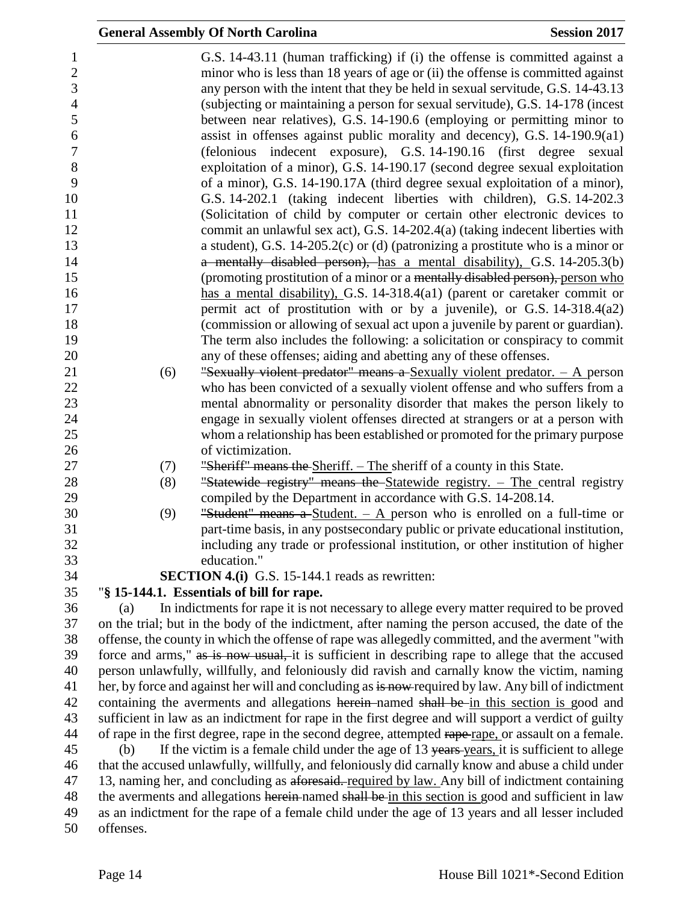|           | <b>General Assembly Of North Carolina</b>                                                                                                                                                                                                                                                                                                                                                                                                                                                                                                                                                                                                                                                                                                                                                              | <b>Session 2017</b> |
|-----------|--------------------------------------------------------------------------------------------------------------------------------------------------------------------------------------------------------------------------------------------------------------------------------------------------------------------------------------------------------------------------------------------------------------------------------------------------------------------------------------------------------------------------------------------------------------------------------------------------------------------------------------------------------------------------------------------------------------------------------------------------------------------------------------------------------|---------------------|
|           | G.S. 14-43.11 (human trafficking) if (i) the offense is committed against a<br>minor who is less than 18 years of age or (ii) the offense is committed against<br>any person with the intent that they be held in sexual servitude, G.S. 14-43.13<br>(subjecting or maintaining a person for sexual servitude), G.S. 14-178 (incest<br>between near relatives), G.S. 14-190.6 (employing or permitting minor to<br>assist in offenses against public morality and decency), G.S. $14-190.9(a1)$<br>(felonious indecent exposure), G.S. 14-190.16 (first degree<br>exploitation of a minor), G.S. 14-190.17 (second degree sexual exploitation<br>of a minor), G.S. 14-190.17A (third degree sexual exploitation of a minor),<br>G.S. 14-202.1 (taking indecent liberties with children), G.S. 14-202.3 | sexual              |
|           | (Solicitation of child by computer or certain other electronic devices to                                                                                                                                                                                                                                                                                                                                                                                                                                                                                                                                                                                                                                                                                                                              |                     |
|           | commit an unlawful sex act), G.S. 14-202.4(a) (taking indecent liberties with                                                                                                                                                                                                                                                                                                                                                                                                                                                                                                                                                                                                                                                                                                                          |                     |
|           | a student), G.S. 14-205.2(c) or (d) (patronizing a prostitute who is a minor or                                                                                                                                                                                                                                                                                                                                                                                                                                                                                                                                                                                                                                                                                                                        |                     |
|           | a mentally disabled person), has a mental disability), G.S. 14-205.3(b)                                                                                                                                                                                                                                                                                                                                                                                                                                                                                                                                                                                                                                                                                                                                |                     |
|           | (promoting prostitution of a minor or a mentally disabled person), person who                                                                                                                                                                                                                                                                                                                                                                                                                                                                                                                                                                                                                                                                                                                          |                     |
|           | has a mental disability), G.S. 14-318.4(a1) (parent or caretaker commit or                                                                                                                                                                                                                                                                                                                                                                                                                                                                                                                                                                                                                                                                                                                             |                     |
|           | permit act of prostitution with or by a juvenile), or G.S. 14-318.4(a2)                                                                                                                                                                                                                                                                                                                                                                                                                                                                                                                                                                                                                                                                                                                                |                     |
|           | (commission or allowing of sexual act upon a juvenile by parent or guardian).                                                                                                                                                                                                                                                                                                                                                                                                                                                                                                                                                                                                                                                                                                                          |                     |
|           | The term also includes the following: a solicitation or conspiracy to commit<br>any of these offenses; aiding and abetting any of these offenses.                                                                                                                                                                                                                                                                                                                                                                                                                                                                                                                                                                                                                                                      |                     |
| (6)       | "Sexually violent predator" means a Sexually violent predator. $-$ A person                                                                                                                                                                                                                                                                                                                                                                                                                                                                                                                                                                                                                                                                                                                            |                     |
|           | who has been convicted of a sexually violent offense and who suffers from a                                                                                                                                                                                                                                                                                                                                                                                                                                                                                                                                                                                                                                                                                                                            |                     |
|           | mental abnormality or personality disorder that makes the person likely to                                                                                                                                                                                                                                                                                                                                                                                                                                                                                                                                                                                                                                                                                                                             |                     |
|           | engage in sexually violent offenses directed at strangers or at a person with                                                                                                                                                                                                                                                                                                                                                                                                                                                                                                                                                                                                                                                                                                                          |                     |
|           | whom a relationship has been established or promoted for the primary purpose                                                                                                                                                                                                                                                                                                                                                                                                                                                                                                                                                                                                                                                                                                                           |                     |
|           | of victimization.                                                                                                                                                                                                                                                                                                                                                                                                                                                                                                                                                                                                                                                                                                                                                                                      |                     |
| (7)       | "Sheriff" means the Sheriff. – The sheriff of a county in this State.                                                                                                                                                                                                                                                                                                                                                                                                                                                                                                                                                                                                                                                                                                                                  |                     |
| (8)       | "Statewide registry" means the Statewide registry. - The central registry                                                                                                                                                                                                                                                                                                                                                                                                                                                                                                                                                                                                                                                                                                                              |                     |
|           | compiled by the Department in accordance with G.S. 14-208.14.                                                                                                                                                                                                                                                                                                                                                                                                                                                                                                                                                                                                                                                                                                                                          |                     |
| (9)       | "Student" means a Student. $-$ A person who is enrolled on a full-time or<br>part-time basis, in any postsecondary public or private educational institution,                                                                                                                                                                                                                                                                                                                                                                                                                                                                                                                                                                                                                                          |                     |
|           | including any trade or professional institution, or other institution of higher                                                                                                                                                                                                                                                                                                                                                                                                                                                                                                                                                                                                                                                                                                                        |                     |
|           | education."                                                                                                                                                                                                                                                                                                                                                                                                                                                                                                                                                                                                                                                                                                                                                                                            |                     |
|           | <b>SECTION 4.(i)</b> G.S. 15-144.1 reads as rewritten:                                                                                                                                                                                                                                                                                                                                                                                                                                                                                                                                                                                                                                                                                                                                                 |                     |
|           | "§ 15-144.1. Essentials of bill for rape.                                                                                                                                                                                                                                                                                                                                                                                                                                                                                                                                                                                                                                                                                                                                                              |                     |
| (a)       | In indictments for rape it is not necessary to allege every matter required to be proved                                                                                                                                                                                                                                                                                                                                                                                                                                                                                                                                                                                                                                                                                                               |                     |
|           | on the trial; but in the body of the indictment, after naming the person accused, the date of the                                                                                                                                                                                                                                                                                                                                                                                                                                                                                                                                                                                                                                                                                                      |                     |
|           | offense, the county in which the offense of rape was allegedly committed, and the averment "with                                                                                                                                                                                                                                                                                                                                                                                                                                                                                                                                                                                                                                                                                                       |                     |
|           | force and arms," as is now usual, it is sufficient in describing rape to allege that the accused                                                                                                                                                                                                                                                                                                                                                                                                                                                                                                                                                                                                                                                                                                       |                     |
|           | person unlawfully, willfully, and feloniously did ravish and carnally know the victim, naming                                                                                                                                                                                                                                                                                                                                                                                                                                                                                                                                                                                                                                                                                                          |                     |
|           | her, by force and against her will and concluding as is now required by law. Any bill of indictment                                                                                                                                                                                                                                                                                                                                                                                                                                                                                                                                                                                                                                                                                                    |                     |
|           | containing the averments and allegations herein-named shall be in this section is good and                                                                                                                                                                                                                                                                                                                                                                                                                                                                                                                                                                                                                                                                                                             |                     |
|           | sufficient in law as an indictment for rape in the first degree and will support a verdict of guilty<br>of rape in the first degree, rape in the second degree, attempted rape rape, or assault on a female.                                                                                                                                                                                                                                                                                                                                                                                                                                                                                                                                                                                           |                     |
| (b)       | If the victim is a female child under the age of 13 years years, it is sufficient to allege                                                                                                                                                                                                                                                                                                                                                                                                                                                                                                                                                                                                                                                                                                            |                     |
|           | that the accused unlawfully, willfully, and feloniously did carnally know and abuse a child under                                                                                                                                                                                                                                                                                                                                                                                                                                                                                                                                                                                                                                                                                                      |                     |
|           | 13, naming her, and concluding as aforesaid. required by law. Any bill of indictment containing                                                                                                                                                                                                                                                                                                                                                                                                                                                                                                                                                                                                                                                                                                        |                     |
|           | the averments and allegations herein-named shall be in this section is good and sufficient in law                                                                                                                                                                                                                                                                                                                                                                                                                                                                                                                                                                                                                                                                                                      |                     |
| offenses. | as an indictment for the rape of a female child under the age of 13 years and all lesser included                                                                                                                                                                                                                                                                                                                                                                                                                                                                                                                                                                                                                                                                                                      |                     |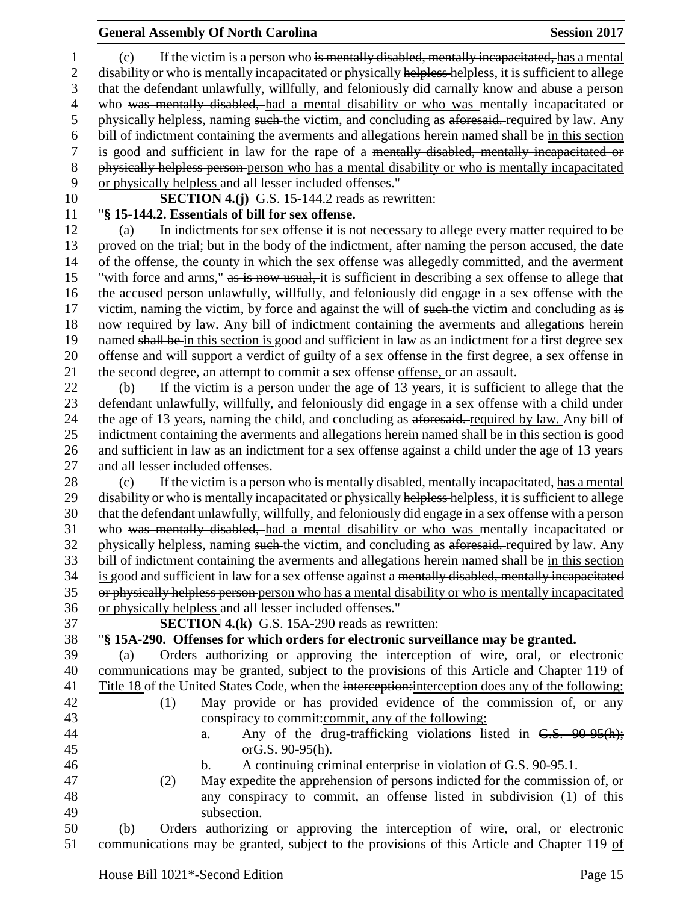1 (c) If the victim is a person who is mentally disabled, mentally incapacitated, has a mental 2 disability or who is mentally incapacitated or physically helpless-helpless, it is sufficient to allege that the defendant unlawfully, willfully, and feloniously did carnally know and abuse a person who was mentally disabled, had a mental disability or who was mentally incapacitated or 5 physically helpless, naming such the victim, and concluding as aforesaid, required by law. Any bill of indictment containing the averments and allegations herein named shall be in this section is good and sufficient in law for the rape of a mentally disabled, mentally incapacitated or physically helpless person person who has a mental disability or who is mentally incapacitated or physically helpless and all lesser included offenses." **SECTION 4.(j)** G.S. 15-144.2 reads as rewritten:

# "**§ 15-144.2. Essentials of bill for sex offense.**

 (a) In indictments for sex offense it is not necessary to allege every matter required to be proved on the trial; but in the body of the indictment, after naming the person accused, the date of the offense, the county in which the sex offense was allegedly committed, and the averment "with force and arms," as is now usual, it is sufficient in describing a sex offense to allege that the accused person unlawfully, willfully, and feloniously did engage in a sex offense with the 17 victim, naming the victim, by force and against the will of such the victim and concluding as is 18 now-required by law. Any bill of indictment containing the averments and allegations herein 19 named shall be in this section is good and sufficient in law as an indictment for a first degree sex offense and will support a verdict of guilty of a sex offense in the first degree, a sex offense in 21 the second degree, an attempt to commit a sex offense offense, or an assault.

 (b) If the victim is a person under the age of 13 years, it is sufficient to allege that the defendant unlawfully, willfully, and feloniously did engage in a sex offense with a child under the age of 13 years, naming the child, and concluding as aforesaid. required by law. Any bill of 25 indictment containing the averments and allegations herein named shall be in this section is good and sufficient in law as an indictment for a sex offense against a child under the age of 13 years 27 and all lesser included offenses.

28 (c) If the victim is a person who is mentally disabled, mentally incapacitated, has a mental 29 disability or who is mentally incapacitated or physically helpless-helpless, it is sufficient to allege that the defendant unlawfully, willfully, and feloniously did engage in a sex offense with a person who was mentally disabled, had a mental disability or who was mentally incapacitated or physically helpless, naming such the victim, and concluding as aforesaid. required by law. Any 33 bill of indictment containing the averments and allegations herein-named shall be in this section is good and sufficient in law for a sex offense against a mentally disabled, mentally incapacitated or physically helpless person person who has a mental disability or who is mentally incapacitated or physically helpless and all lesser included offenses."

**SECTION 4.(k)** G.S. 15A-290 reads as rewritten:

"**§ 15A-290. Offenses for which orders for electronic surveillance may be granted.**

 (a) Orders authorizing or approving the interception of wire, oral, or electronic communications may be granted, subject to the provisions of this Article and Chapter 119 of Title 18 of the United States Code, when the interception:interception does any of the following:

- (1) May provide or has provided evidence of the commission of, or any 43 conspiracy to commit: commit, any of the following:
- 
- 44 a. Any of the drug-trafficking violations listed in G.S. 90-95(h); orG.S. 90-95(h).
	-
- b. A continuing criminal enterprise in violation of G.S. 90-95.1. (2) May expedite the apprehension of persons indicted for the commission of, or
- any conspiracy to commit, an offense listed in subdivision (1) of this subsection.

 (b) Orders authorizing or approving the interception of wire, oral, or electronic communications may be granted, subject to the provisions of this Article and Chapter 119 of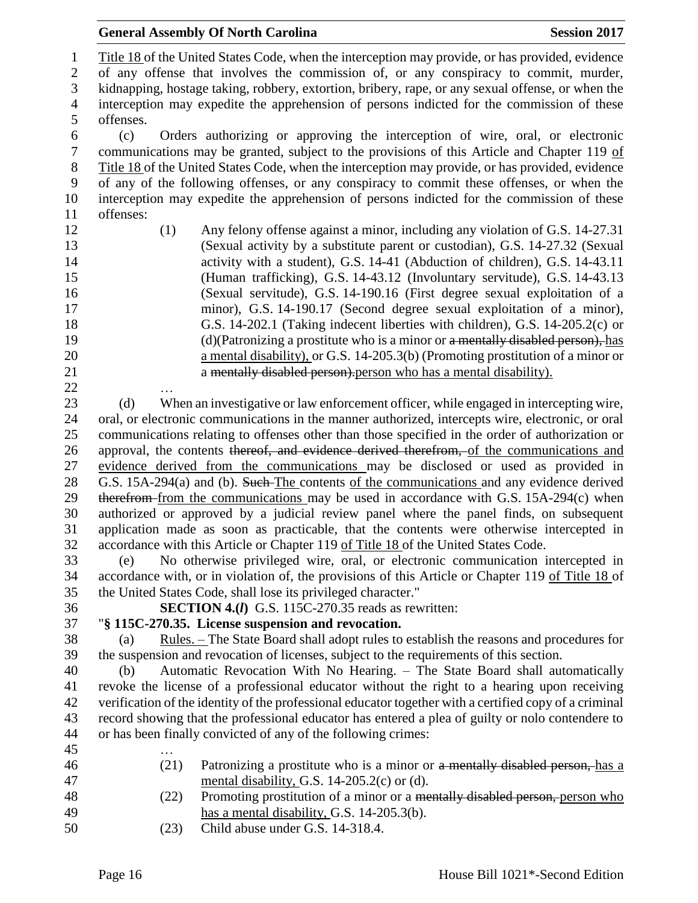|                  |           | <b>General Assembly Of North Carolina</b>                                                              | <b>Session 2017</b> |
|------------------|-----------|--------------------------------------------------------------------------------------------------------|---------------------|
| $\mathbf{1}$     |           | Title 18 of the United States Code, when the interception may provide, or has provided, evidence       |                     |
| $\mathbf{2}$     |           | of any offense that involves the commission of, or any conspiracy to commit, murder,                   |                     |
| 3                |           | kidnapping, hostage taking, robbery, extortion, bribery, rape, or any sexual offense, or when the      |                     |
| $\overline{4}$   |           | interception may expedite the apprehension of persons indicted for the commission of these             |                     |
| 5                | offenses. |                                                                                                        |                     |
| 6                | (c)       | Orders authorizing or approving the interception of wire, oral, or electronic                          |                     |
| $\boldsymbol{7}$ |           | communications may be granted, subject to the provisions of this Article and Chapter 119 of            |                     |
| $8\,$            |           | Title 18 of the United States Code, when the interception may provide, or has provided, evidence       |                     |
| 9                |           | of any of the following offenses, or any conspiracy to commit these offenses, or when the              |                     |
| 10               |           | interception may expedite the apprehension of persons indicted for the commission of these             |                     |
| 11               | offenses: |                                                                                                        |                     |
| 12               | (1)       | Any felony offense against a minor, including any violation of G.S. 14-27.31                           |                     |
| 13               |           | (Sexual activity by a substitute parent or custodian), G.S. 14-27.32 (Sexual                           |                     |
| 14               |           | activity with a student), G.S. 14-41 (Abduction of children), G.S. 14-43.11                            |                     |
| 15               |           | (Human trafficking), G.S. 14-43.12 (Involuntary servitude), G.S. 14-43.13                              |                     |
| 16               |           | (Sexual servitude), G.S. 14-190.16 (First degree sexual exploitation of a                              |                     |
| 17               |           | minor), G.S. 14-190.17 (Second degree sexual exploitation of a minor),                                 |                     |
| 18               |           | G.S. 14-202.1 (Taking indecent liberties with children), G.S. 14-205.2(c) or                           |                     |
| 19               |           | (d) (Patronizing a prostitute who is a minor or a mentally disabled person), has                       |                     |
| 20               |           | a mental disability), or G.S. 14-205.3(b) (Promoting prostitution of a minor or                        |                     |
| 21               |           | a mentally disabled person). person who has a mental disability).                                      |                     |
| 22               |           |                                                                                                        |                     |
| 23               | (d)       | When an investigative or law enforcement officer, while engaged in intercepting wire,                  |                     |
| 24               |           | oral, or electronic communications in the manner authorized, intercepts wire, electronic, or oral      |                     |
| 25               |           | communications relating to offenses other than those specified in the order of authorization or        |                     |
| 26               |           | approval, the contents thereof, and evidence derived therefrom, of the communications and              |                     |
| 27               |           | evidence derived from the communications may be disclosed or used as provided in                       |                     |
| 28               |           | G.S. 15A-294(a) and (b). Such The contents of the communications and any evidence derived              |                     |
| 29               |           | therefrom from the communications may be used in accordance with G.S. 15A-294(c) when                  |                     |
| 30               |           | authorized or approved by a judicial review panel where the panel finds, on subsequent                 |                     |
| 31               |           | application made as soon as practicable, that the contents were otherwise intercepted in               |                     |
| 32               |           | accordance with this Article or Chapter 119 of Title 18 of the United States Code.                     |                     |
| 33               | (e)       | No otherwise privileged wire, oral, or electronic communication intercepted in                         |                     |
| 34               |           | accordance with, or in violation of, the provisions of this Article or Chapter 119 of Title 18 of      |                     |
| 35               |           | the United States Code, shall lose its privileged character."                                          |                     |
| 36               |           | <b>SECTION 4.(I)</b> G.S. 115C-270.35 reads as rewritten:                                              |                     |
| 37               |           | "§ 115C-270.35. License suspension and revocation.                                                     |                     |
| 38               | (a)       | <u>Rules. – The State Board shall adopt rules to establish the reasons and procedures for</u>          |                     |
| 39               |           | the suspension and revocation of licenses, subject to the requirements of this section.                |                     |
| 40               | (b)       | Automatic Revocation With No Hearing. - The State Board shall automatically                            |                     |
| 41               |           | revoke the license of a professional educator without the right to a hearing upon receiving            |                     |
| 42               |           | verification of the identity of the professional educator together with a certified copy of a criminal |                     |
| 43               |           | record showing that the professional educator has entered a plea of guilty or nolo contendere to       |                     |
| 44               |           | or has been finally convicted of any of the following crimes:                                          |                     |
| 45               |           |                                                                                                        |                     |
| 46               | (21)      | Patronizing a prostitute who is a minor or a mentally disabled person, has a                           |                     |
| 47               |           | mental disability, G.S. 14-205.2(c) or (d).                                                            |                     |
| 48               | (22)      | Promoting prostitution of a minor or a mentally disabled person, person who                            |                     |
| 49               |           | has a mental disability, G.S. $14-205.3(b)$ .                                                          |                     |
| 50               | (23)      | Child abuse under G.S. 14-318.4.                                                                       |                     |
|                  |           |                                                                                                        |                     |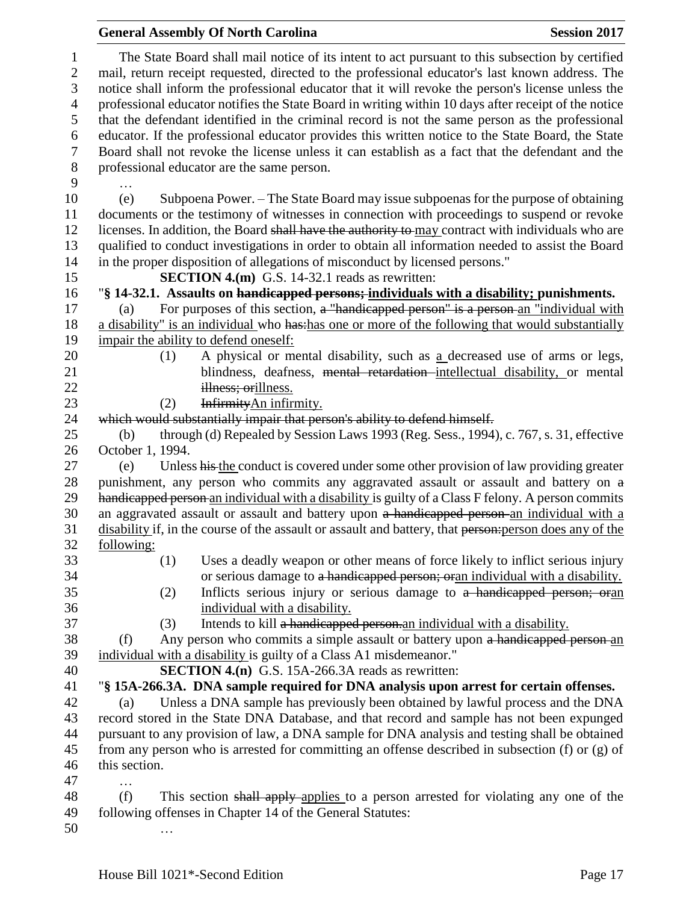|                                                             | <b>General Assembly Of North Carolina</b>                                                                                                                                                                                                                                                                                                                                                                                                                                                                                                                                                                               | <b>Session 2017</b> |
|-------------------------------------------------------------|-------------------------------------------------------------------------------------------------------------------------------------------------------------------------------------------------------------------------------------------------------------------------------------------------------------------------------------------------------------------------------------------------------------------------------------------------------------------------------------------------------------------------------------------------------------------------------------------------------------------------|---------------------|
| $\mathbf{1}$<br>$\sqrt{2}$<br>3<br>$\overline{4}$<br>5<br>6 | The State Board shall mail notice of its intent to act pursuant to this subsection by certified<br>mail, return receipt requested, directed to the professional educator's last known address. The<br>notice shall inform the professional educator that it will revoke the person's license unless the<br>professional educator notifies the State Board in writing within 10 days after receipt of the notice<br>that the defendant identified in the criminal record is not the same person as the professional<br>educator. If the professional educator provides this written notice to the State Board, the State |                     |
| $\tau$<br>$8\,$                                             | Board shall not revoke the license unless it can establish as a fact that the defendant and the<br>professional educator are the same person.                                                                                                                                                                                                                                                                                                                                                                                                                                                                           |                     |
| 9                                                           |                                                                                                                                                                                                                                                                                                                                                                                                                                                                                                                                                                                                                         |                     |
| 10<br>11<br>12<br>13<br>14                                  | Subpoena Power. – The State Board may issue subpoenas for the purpose of obtaining<br>(e)<br>documents or the testimony of witnesses in connection with proceedings to suspend or revoke<br>licenses. In addition, the Board shall have the authority to may contract with individuals who are<br>qualified to conduct investigations in order to obtain all information needed to assist the Board<br>in the proper disposition of allegations of misconduct by licensed persons."                                                                                                                                     |                     |
| 15                                                          | <b>SECTION 4.(m)</b> G.S. 14-32.1 reads as rewritten:                                                                                                                                                                                                                                                                                                                                                                                                                                                                                                                                                                   |                     |
| 16                                                          | "§ 14-32.1. Assaults on handicapped persons; individuals with a disability; punishments.                                                                                                                                                                                                                                                                                                                                                                                                                                                                                                                                |                     |
| 17                                                          | For purposes of this section, a "handicapped person" is a person-an "individual with<br>(a)                                                                                                                                                                                                                                                                                                                                                                                                                                                                                                                             |                     |
| 18<br>19                                                    | a disability" is an individual who hasthas one or more of the following that would substantially<br>impair the ability to defend oneself:                                                                                                                                                                                                                                                                                                                                                                                                                                                                               |                     |
| 20                                                          | A physical or mental disability, such as a decreased use of arms or legs,<br>(1)                                                                                                                                                                                                                                                                                                                                                                                                                                                                                                                                        |                     |
| 21                                                          | blindness, deafness, mental retardation intellectual disability, or mental                                                                                                                                                                                                                                                                                                                                                                                                                                                                                                                                              |                     |
| 22                                                          | illness; orillness.                                                                                                                                                                                                                                                                                                                                                                                                                                                                                                                                                                                                     |                     |
| 23                                                          | Infirmity An infirmity.<br>(2)                                                                                                                                                                                                                                                                                                                                                                                                                                                                                                                                                                                          |                     |
| 24                                                          | which would substantially impair that person's ability to defend himself.                                                                                                                                                                                                                                                                                                                                                                                                                                                                                                                                               |                     |
| 25                                                          | through (d) Repealed by Session Laws 1993 (Reg. Sess., 1994), c. 767, s. 31, effective<br>(b)                                                                                                                                                                                                                                                                                                                                                                                                                                                                                                                           |                     |
| 26                                                          | October 1, 1994.                                                                                                                                                                                                                                                                                                                                                                                                                                                                                                                                                                                                        |                     |
| 27                                                          | Unless his the conduct is covered under some other provision of law providing greater<br>(e)                                                                                                                                                                                                                                                                                                                                                                                                                                                                                                                            |                     |
| 28                                                          | punishment, any person who commits any aggravated assault or assault and battery on a                                                                                                                                                                                                                                                                                                                                                                                                                                                                                                                                   |                     |
| 29                                                          | handicapped person an individual with a disability is guilty of a Class F felony. A person commits                                                                                                                                                                                                                                                                                                                                                                                                                                                                                                                      |                     |
| 30                                                          | an aggravated assault or assault and battery upon a handicapped person an individual with a                                                                                                                                                                                                                                                                                                                                                                                                                                                                                                                             |                     |
| 31                                                          | disability if, in the course of the assault or assault and battery, that person: person does any of the                                                                                                                                                                                                                                                                                                                                                                                                                                                                                                                 |                     |
| 32                                                          | following:                                                                                                                                                                                                                                                                                                                                                                                                                                                                                                                                                                                                              |                     |
| 33                                                          | Uses a deadly weapon or other means of force likely to inflict serious injury<br>(1)                                                                                                                                                                                                                                                                                                                                                                                                                                                                                                                                    |                     |
| 34                                                          | or serious damage to a handicapped person; or an individual with a disability.                                                                                                                                                                                                                                                                                                                                                                                                                                                                                                                                          |                     |
| 35                                                          | Inflicts serious injury or serious damage to a handicapped person; oran<br>(2)                                                                                                                                                                                                                                                                                                                                                                                                                                                                                                                                          |                     |
| 36                                                          | individual with a disability.                                                                                                                                                                                                                                                                                                                                                                                                                                                                                                                                                                                           |                     |
| 37                                                          | Intends to kill a handicapped person an individual with a disability.<br>(3)                                                                                                                                                                                                                                                                                                                                                                                                                                                                                                                                            |                     |
| 38                                                          | Any person who commits a simple assault or battery upon a handicapped person-an<br>(f)                                                                                                                                                                                                                                                                                                                                                                                                                                                                                                                                  |                     |
| 39                                                          | individual with a disability is guilty of a Class A1 misdemeanor."                                                                                                                                                                                                                                                                                                                                                                                                                                                                                                                                                      |                     |
| 40                                                          | <b>SECTION 4.(n)</b> G.S. 15A-266.3A reads as rewritten:                                                                                                                                                                                                                                                                                                                                                                                                                                                                                                                                                                |                     |
| 41                                                          | "§ 15A-266.3A. DNA sample required for DNA analysis upon arrest for certain offenses.                                                                                                                                                                                                                                                                                                                                                                                                                                                                                                                                   |                     |
| 42                                                          | Unless a DNA sample has previously been obtained by lawful process and the DNA<br>(a)                                                                                                                                                                                                                                                                                                                                                                                                                                                                                                                                   |                     |
| 43                                                          | record stored in the State DNA Database, and that record and sample has not been expunged                                                                                                                                                                                                                                                                                                                                                                                                                                                                                                                               |                     |
| 44                                                          | pursuant to any provision of law, a DNA sample for DNA analysis and testing shall be obtained                                                                                                                                                                                                                                                                                                                                                                                                                                                                                                                           |                     |
| 45                                                          | from any person who is arrested for committing an offense described in subsection (f) or (g) of                                                                                                                                                                                                                                                                                                                                                                                                                                                                                                                         |                     |
| 46                                                          | this section.                                                                                                                                                                                                                                                                                                                                                                                                                                                                                                                                                                                                           |                     |
| 47                                                          | .<br>(f)                                                                                                                                                                                                                                                                                                                                                                                                                                                                                                                                                                                                                |                     |
| 48<br>49                                                    | This section shall apply applies to a person arrested for violating any one of the<br>following offenses in Chapter 14 of the General Statutes:                                                                                                                                                                                                                                                                                                                                                                                                                                                                         |                     |
| 50                                                          |                                                                                                                                                                                                                                                                                                                                                                                                                                                                                                                                                                                                                         |                     |
|                                                             |                                                                                                                                                                                                                                                                                                                                                                                                                                                                                                                                                                                                                         |                     |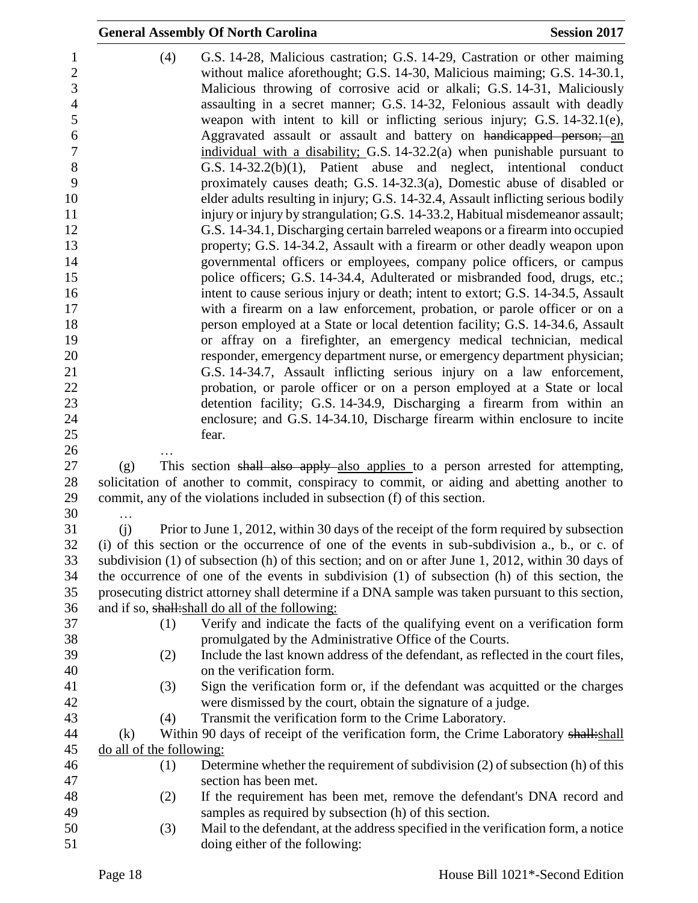|                                                                                                             |                                 | <b>General Assembly Of North Carolina</b>                                                                                                                                                                                                                                                                                                                                                                                                                                                                                                                                                                                                                                                                                                                                                                                                                                  | <b>Session 2017</b> |
|-------------------------------------------------------------------------------------------------------------|---------------------------------|----------------------------------------------------------------------------------------------------------------------------------------------------------------------------------------------------------------------------------------------------------------------------------------------------------------------------------------------------------------------------------------------------------------------------------------------------------------------------------------------------------------------------------------------------------------------------------------------------------------------------------------------------------------------------------------------------------------------------------------------------------------------------------------------------------------------------------------------------------------------------|---------------------|
| $\mathbf{1}$<br>$\boldsymbol{2}$<br>3<br>$\overline{4}$<br>5<br>6<br>$\boldsymbol{7}$<br>8<br>9<br>10<br>11 | (4)                             | G.S. 14-28, Malicious castration; G.S. 14-29, Castration or other maiming<br>without malice aforethought; G.S. 14-30, Malicious maiming; G.S. 14-30.1,<br>Malicious throwing of corrosive acid or alkali; G.S. 14-31, Maliciously<br>assaulting in a secret manner; G.S. 14-32, Felonious assault with deadly<br>weapon with intent to kill or inflicting serious injury; G.S. 14-32.1(e),<br>Aggravated assault or assault and battery on handicapped person; an<br>individual with a disability; G.S. 14-32.2(a) when punishable pursuant to<br>G.S. $14-32.2(b)(1)$ , Patient abuse and neglect, intentional conduct<br>proximately causes death; G.S. 14-32.3(a), Domestic abuse of disabled or<br>elder adults resulting in injury; G.S. 14-32.4, Assault inflicting serious bodily<br>injury or injury by strangulation; G.S. 14-33.2, Habitual misdemeanor assault; |                     |
| 12                                                                                                          |                                 | G.S. 14-34.1, Discharging certain barreled weapons or a firearm into occupied                                                                                                                                                                                                                                                                                                                                                                                                                                                                                                                                                                                                                                                                                                                                                                                              |                     |
| 13<br>14                                                                                                    |                                 | property; G.S. 14-34.2, Assault with a firearm or other deadly weapon upon<br>governmental officers or employees, company police officers, or campus                                                                                                                                                                                                                                                                                                                                                                                                                                                                                                                                                                                                                                                                                                                       |                     |
| 15                                                                                                          |                                 | police officers; G.S. 14-34.4, Adulterated or misbranded food, drugs, etc.;                                                                                                                                                                                                                                                                                                                                                                                                                                                                                                                                                                                                                                                                                                                                                                                                |                     |
| 16                                                                                                          |                                 | intent to cause serious injury or death; intent to extort; G.S. 14-34.5, Assault                                                                                                                                                                                                                                                                                                                                                                                                                                                                                                                                                                                                                                                                                                                                                                                           |                     |
| 17                                                                                                          |                                 | with a firearm on a law enforcement, probation, or parole officer or on a                                                                                                                                                                                                                                                                                                                                                                                                                                                                                                                                                                                                                                                                                                                                                                                                  |                     |
| 18                                                                                                          |                                 | person employed at a State or local detention facility; G.S. 14-34.6, Assault                                                                                                                                                                                                                                                                                                                                                                                                                                                                                                                                                                                                                                                                                                                                                                                              |                     |
| 19                                                                                                          |                                 | or affray on a firefighter, an emergency medical technician, medical                                                                                                                                                                                                                                                                                                                                                                                                                                                                                                                                                                                                                                                                                                                                                                                                       |                     |
| 20<br>21                                                                                                    |                                 | responder, emergency department nurse, or emergency department physician;                                                                                                                                                                                                                                                                                                                                                                                                                                                                                                                                                                                                                                                                                                                                                                                                  |                     |
| 22                                                                                                          |                                 | G.S. 14-34.7, Assault inflicting serious injury on a law enforcement,<br>probation, or parole officer or on a person employed at a State or local                                                                                                                                                                                                                                                                                                                                                                                                                                                                                                                                                                                                                                                                                                                          |                     |
| 23                                                                                                          |                                 | detention facility; G.S. 14-34.9, Discharging a firearm from within an                                                                                                                                                                                                                                                                                                                                                                                                                                                                                                                                                                                                                                                                                                                                                                                                     |                     |
| 24                                                                                                          |                                 | enclosure; and G.S. 14-34.10, Discharge firearm within enclosure to incite                                                                                                                                                                                                                                                                                                                                                                                                                                                                                                                                                                                                                                                                                                                                                                                                 |                     |
| 25                                                                                                          |                                 | fear.                                                                                                                                                                                                                                                                                                                                                                                                                                                                                                                                                                                                                                                                                                                                                                                                                                                                      |                     |
| 26                                                                                                          |                                 |                                                                                                                                                                                                                                                                                                                                                                                                                                                                                                                                                                                                                                                                                                                                                                                                                                                                            |                     |
| 27                                                                                                          | (g)                             | This section shall also apply also applies to a person arrested for attempting,                                                                                                                                                                                                                                                                                                                                                                                                                                                                                                                                                                                                                                                                                                                                                                                            |                     |
| 28<br>29                                                                                                    |                                 | solicitation of another to commit, conspiracy to commit, or aiding and abetting another to<br>commit, any of the violations included in subsection (f) of this section.                                                                                                                                                                                                                                                                                                                                                                                                                                                                                                                                                                                                                                                                                                    |                     |
| 30                                                                                                          | $\cdots$                        |                                                                                                                                                                                                                                                                                                                                                                                                                                                                                                                                                                                                                                                                                                                                                                                                                                                                            |                     |
| 31                                                                                                          | (i)                             | Prior to June 1, 2012, within 30 days of the receipt of the form required by subsection                                                                                                                                                                                                                                                                                                                                                                                                                                                                                                                                                                                                                                                                                                                                                                                    |                     |
| 32                                                                                                          |                                 | (i) of this section or the occurrence of one of the events in sub-subdivision a., b., or c. of                                                                                                                                                                                                                                                                                                                                                                                                                                                                                                                                                                                                                                                                                                                                                                             |                     |
| 33                                                                                                          |                                 | subdivision (1) of subsection (h) of this section; and on or after June 1, 2012, within 30 days of                                                                                                                                                                                                                                                                                                                                                                                                                                                                                                                                                                                                                                                                                                                                                                         |                     |
| 34                                                                                                          |                                 | the occurrence of one of the events in subdivision (1) of subsection (h) of this section, the                                                                                                                                                                                                                                                                                                                                                                                                                                                                                                                                                                                                                                                                                                                                                                              |                     |
| 35                                                                                                          |                                 | prosecuting district attorney shall determine if a DNA sample was taken pursuant to this section,                                                                                                                                                                                                                                                                                                                                                                                                                                                                                                                                                                                                                                                                                                                                                                          |                     |
| 36<br>37                                                                                                    | (1)                             | and if so, shall: shall do all of the following:<br>Verify and indicate the facts of the qualifying event on a verification form                                                                                                                                                                                                                                                                                                                                                                                                                                                                                                                                                                                                                                                                                                                                           |                     |
| 38                                                                                                          |                                 | promulgated by the Administrative Office of the Courts.                                                                                                                                                                                                                                                                                                                                                                                                                                                                                                                                                                                                                                                                                                                                                                                                                    |                     |
| 39                                                                                                          | (2)                             | Include the last known address of the defendant, as reflected in the court files,                                                                                                                                                                                                                                                                                                                                                                                                                                                                                                                                                                                                                                                                                                                                                                                          |                     |
| 40                                                                                                          |                                 | on the verification form.                                                                                                                                                                                                                                                                                                                                                                                                                                                                                                                                                                                                                                                                                                                                                                                                                                                  |                     |
| 41                                                                                                          | (3)                             | Sign the verification form or, if the defendant was acquitted or the charges                                                                                                                                                                                                                                                                                                                                                                                                                                                                                                                                                                                                                                                                                                                                                                                               |                     |
| 42                                                                                                          |                                 | were dismissed by the court, obtain the signature of a judge.                                                                                                                                                                                                                                                                                                                                                                                                                                                                                                                                                                                                                                                                                                                                                                                                              |                     |
| 43                                                                                                          | (4)                             | Transmit the verification form to the Crime Laboratory.                                                                                                                                                                                                                                                                                                                                                                                                                                                                                                                                                                                                                                                                                                                                                                                                                    |                     |
| 44                                                                                                          | (k)                             | Within 90 days of receipt of the verification form, the Crime Laboratory shall: shall                                                                                                                                                                                                                                                                                                                                                                                                                                                                                                                                                                                                                                                                                                                                                                                      |                     |
| 45<br>46                                                                                                    | do all of the following:<br>(1) | Determine whether the requirement of subdivision $(2)$ of subsection $(h)$ of this                                                                                                                                                                                                                                                                                                                                                                                                                                                                                                                                                                                                                                                                                                                                                                                         |                     |
| 47                                                                                                          |                                 | section has been met.                                                                                                                                                                                                                                                                                                                                                                                                                                                                                                                                                                                                                                                                                                                                                                                                                                                      |                     |
| 48                                                                                                          | (2)                             | If the requirement has been met, remove the defendant's DNA record and                                                                                                                                                                                                                                                                                                                                                                                                                                                                                                                                                                                                                                                                                                                                                                                                     |                     |
| 49                                                                                                          |                                 | samples as required by subsection (h) of this section.                                                                                                                                                                                                                                                                                                                                                                                                                                                                                                                                                                                                                                                                                                                                                                                                                     |                     |
| 50                                                                                                          | (3)                             | Mail to the defendant, at the address specified in the verification form, a notice                                                                                                                                                                                                                                                                                                                                                                                                                                                                                                                                                                                                                                                                                                                                                                                         |                     |
| 51                                                                                                          |                                 | doing either of the following:                                                                                                                                                                                                                                                                                                                                                                                                                                                                                                                                                                                                                                                                                                                                                                                                                                             |                     |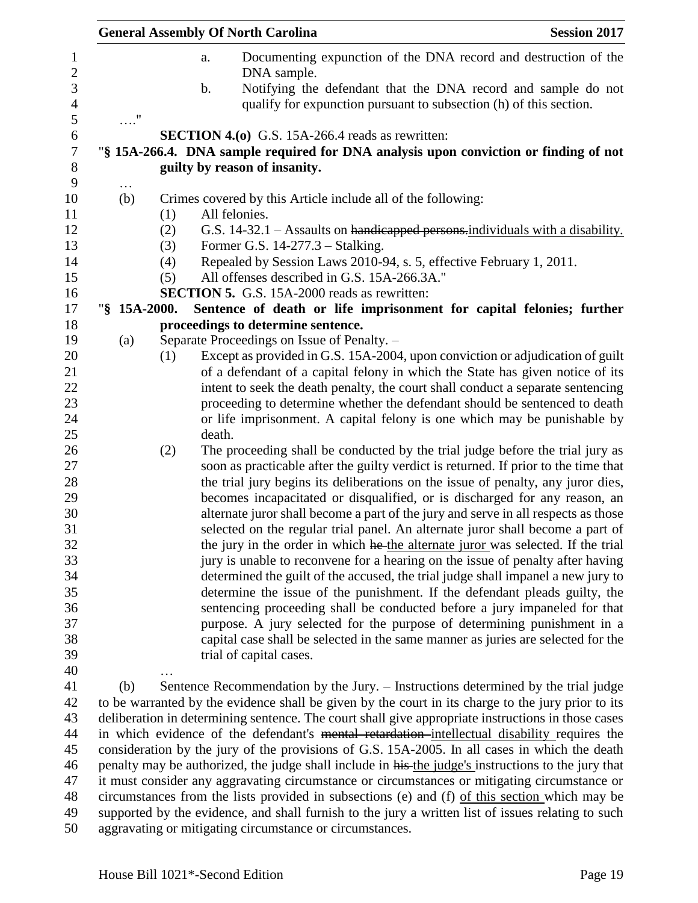|              |            | <b>General Assembly Of North Carolina</b>                                                                                                                          | <b>Session 2017</b> |
|--------------|------------|--------------------------------------------------------------------------------------------------------------------------------------------------------------------|---------------------|
|              |            | Documenting expunction of the DNA record and destruction of the<br>a.<br>DNA sample.                                                                               |                     |
|              |            | Notifying the defendant that the DNA record and sample do not<br>b.<br>qualify for expunction pursuant to subsection (h) of this section.                          |                     |
| $\ldots$ "   |            |                                                                                                                                                                    |                     |
|              |            | <b>SECTION 4.(0)</b> G.S. 15A-266.4 reads as rewritten:                                                                                                            |                     |
|              |            | "§ 15A-266.4. DNA sample required for DNA analysis upon conviction or finding of not                                                                               |                     |
|              |            | guilty by reason of insanity.                                                                                                                                      |                     |
|              |            |                                                                                                                                                                    |                     |
| (b)          |            | Crimes covered by this Article include all of the following:                                                                                                       |                     |
|              | (1)        | All felonies.                                                                                                                                                      |                     |
|              | (2)        | G.S. 14-32.1 – Assaults on handicapped persons-individuals with a disability.                                                                                      |                     |
|              | (3)<br>(4) | Former G.S. $14-277.3$ – Stalking.<br>Repealed by Session Laws 2010-94, s. 5, effective February 1, 2011.                                                          |                     |
|              | (5)        | All offenses described in G.S. 15A-266.3A."                                                                                                                        |                     |
|              |            | <b>SECTION 5.</b> G.S. 15A-2000 reads as rewritten:                                                                                                                |                     |
| "§ 15A-2000. |            | Sentence of death or life imprisonment for capital felonies; further                                                                                               |                     |
|              |            | proceedings to determine sentence.                                                                                                                                 |                     |
| (a)          |            | Separate Proceedings on Issue of Penalty. -                                                                                                                        |                     |
|              | (1)        | Except as provided in G.S. 15A-2004, upon conviction or adjudication of guilt                                                                                      |                     |
|              |            | of a defendant of a capital felony in which the State has given notice of its                                                                                      |                     |
|              |            | intent to seek the death penalty, the court shall conduct a separate sentencing                                                                                    |                     |
|              |            | proceeding to determine whether the defendant should be sentenced to death                                                                                         |                     |
|              |            | or life imprisonment. A capital felony is one which may be punishable by                                                                                           |                     |
|              |            | death.                                                                                                                                                             |                     |
|              | (2)        | The proceeding shall be conducted by the trial judge before the trial jury as                                                                                      |                     |
|              |            | soon as practicable after the guilty verdict is returned. If prior to the time that                                                                                |                     |
|              |            | the trial jury begins its deliberations on the issue of penalty, any juror dies,                                                                                   |                     |
|              |            | becomes incapacitated or disqualified, or is discharged for any reason, an                                                                                         |                     |
|              |            | alternate juror shall become a part of the jury and serve in all respects as those                                                                                 |                     |
|              |            | selected on the regular trial panel. An alternate juror shall become a part of                                                                                     |                     |
|              |            | the jury in the order in which he the alternate juror was selected. If the trial<br>jury is unable to reconvene for a hearing on the issue of penalty after having |                     |
|              |            | determined the guilt of the accused, the trial judge shall impanel a new jury to                                                                                   |                     |
|              |            | determine the issue of the punishment. If the defendant pleads guilty, the                                                                                         |                     |
|              |            | sentencing proceeding shall be conducted before a jury impaneled for that                                                                                          |                     |
|              |            | purpose. A jury selected for the purpose of determining punishment in a                                                                                            |                     |
|              |            | capital case shall be selected in the same manner as juries are selected for the                                                                                   |                     |
|              |            | trial of capital cases.                                                                                                                                            |                     |
|              |            |                                                                                                                                                                    |                     |
| (b)          |            | Sentence Recommendation by the Jury. - Instructions determined by the trial judge                                                                                  |                     |
|              |            | to be warranted by the evidence shall be given by the court in its charge to the jury prior to its                                                                 |                     |
|              |            | deliberation in determining sentence. The court shall give appropriate instructions in those cases                                                                 |                     |
|              |            | in which evidence of the defendant's mental retardation-intellectual disability requires the                                                                       |                     |
|              |            | consideration by the jury of the provisions of G.S. 15A-2005. In all cases in which the death                                                                      |                     |
|              |            | penalty may be authorized, the judge shall include in his the judge's instructions to the jury that                                                                |                     |
|              |            | it must consider any aggravating circumstance or circumstances or mitigating circumstance or                                                                       |                     |
|              |            | circumstances from the lists provided in subsections (e) and (f) of this section which may be                                                                      |                     |
|              |            | supported by the evidence, and shall furnish to the jury a written list of issues relating to such                                                                 |                     |
|              |            | aggravating or mitigating circumstance or circumstances.                                                                                                           |                     |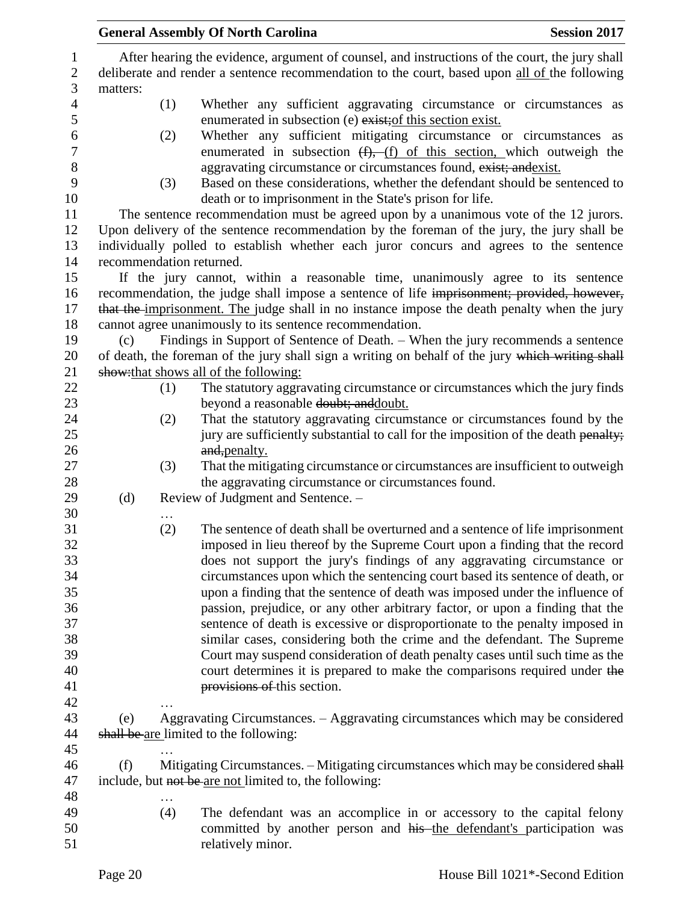|                |          |     | <b>General Assembly Of North Carolina</b>                                                        | <b>Session 2017</b> |
|----------------|----------|-----|--------------------------------------------------------------------------------------------------|---------------------|
| $\mathbf{1}$   |          |     | After hearing the evidence, argument of counsel, and instructions of the court, the jury shall   |                     |
| $\sqrt{2}$     |          |     | deliberate and render a sentence recommendation to the court, based upon all of the following    |                     |
| 3              | matters: |     |                                                                                                  |                     |
| $\overline{4}$ |          | (1) | Whether any sufficient aggravating circumstance or circumstances as                              |                     |
| 5              |          |     | enumerated in subsection (e) exist; of this section exist.                                       |                     |
| 6              |          | (2) | Whether any sufficient mitigating circumstance or circumstances as                               |                     |
| $\tau$         |          |     | enumerated in subsection $(f)$ , $(f)$ of this section, which outweigh the                       |                     |
| 8              |          |     | aggravating circumstance or circumstances found, exist; and exist.                               |                     |
| 9              |          | (3) | Based on these considerations, whether the defendant should be sentenced to                      |                     |
| 10             |          |     | death or to imprisonment in the State's prison for life.                                         |                     |
| 11             |          |     | The sentence recommendation must be agreed upon by a unanimous vote of the 12 jurors.            |                     |
| 12             |          |     | Upon delivery of the sentence recommendation by the foreman of the jury, the jury shall be       |                     |
| 13             |          |     | individually polled to establish whether each juror concurs and agrees to the sentence           |                     |
| 14             |          |     | recommendation returned.                                                                         |                     |
| 15             |          |     | If the jury cannot, within a reasonable time, unanimously agree to its sentence                  |                     |
| 16             |          |     | recommendation, the judge shall impose a sentence of life imprisonment; provided, however,       |                     |
| 17             |          |     | that the imprisonment. The judge shall in no instance impose the death penalty when the jury     |                     |
| 18             |          |     | cannot agree unanimously to its sentence recommendation.                                         |                     |
| 19             | (c)      |     | Findings in Support of Sentence of Death. - When the jury recommends a sentence                  |                     |
| 20             |          |     | of death, the foreman of the jury shall sign a writing on behalf of the jury which writing shall |                     |
| 21             |          |     | show: that shows all of the following:                                                           |                     |
| 22             |          | (1) | The statutory aggravating circumstance or circumstances which the jury finds                     |                     |
| 23             |          |     | beyond a reasonable doubt; and doubt.                                                            |                     |
| 24             |          | (2) | That the statutory aggravating circumstance or circumstances found by the                        |                     |
| 25             |          |     | jury are sufficiently substantial to call for the imposition of the death penalty;               |                     |
| 26             |          |     | and, penalty.                                                                                    |                     |
| 27             |          | (3) | That the mitigating circumstance or circumstances are insufficient to outweigh                   |                     |
| 28             |          |     | the aggravating circumstance or circumstances found.                                             |                     |
| 29             | (d)      |     | Review of Judgment and Sentence. -                                                               |                     |
| 30             |          | .   |                                                                                                  |                     |
| 31             |          | (2) | The sentence of death shall be overturned and a sentence of life imprisonment                    |                     |
| 32             |          |     | imposed in lieu thereof by the Supreme Court upon a finding that the record                      |                     |
| 33             |          |     | does not support the jury's findings of any aggravating circumstance or                          |                     |
| 34             |          |     | circumstances upon which the sentencing court based its sentence of death, or                    |                     |
| 35             |          |     | upon a finding that the sentence of death was imposed under the influence of                     |                     |
| 36             |          |     | passion, prejudice, or any other arbitrary factor, or upon a finding that the                    |                     |
| 37             |          |     | sentence of death is excessive or disproportionate to the penalty imposed in                     |                     |
| 38             |          |     | similar cases, considering both the crime and the defendant. The Supreme                         |                     |
| 39             |          |     | Court may suspend consideration of death penalty cases until such time as the                    |                     |
| 40             |          |     | court determines it is prepared to make the comparisons required under the                       |                     |
| 41             |          |     | provisions of this section.                                                                      |                     |
| 42             |          |     |                                                                                                  |                     |
| 43             | (e)      |     | Aggravating Circumstances. – Aggravating circumstances which may be considered                   |                     |
| 44             |          |     | shall be are limited to the following:                                                           |                     |
| 45             |          |     |                                                                                                  |                     |
| 46             | (f)      |     | Mitigating Circumstances. - Mitigating circumstances which may be considered shall               |                     |
| 47             |          |     | include, but not be are not limited to, the following:                                           |                     |
| 48             |          | .   |                                                                                                  |                     |
| 49             |          | (4) | The defendant was an accomplice in or accessory to the capital felony                            |                     |
| 50             |          |     | committed by another person and his the defendant's participation was                            |                     |
| 51             |          |     | relatively minor.                                                                                |                     |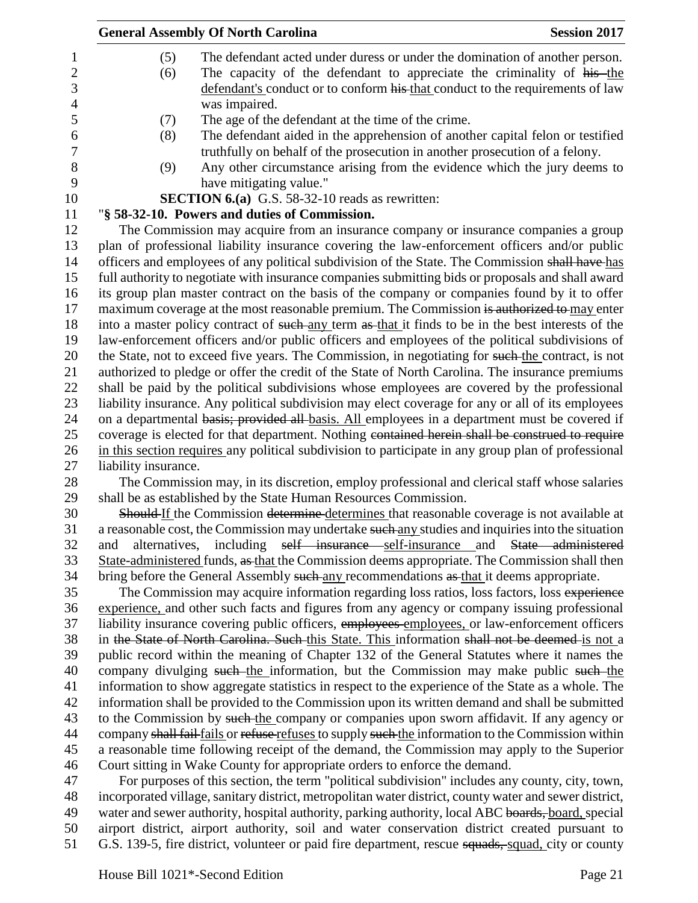|                      |     | <b>General Assembly Of North Carolina</b>                                  |  |                                                                                                        | <b>Session 2017</b> |
|----------------------|-----|----------------------------------------------------------------------------|--|--------------------------------------------------------------------------------------------------------|---------------------|
|                      | (5) |                                                                            |  | The defendant acted under duress or under the domination of another person.                            |                     |
|                      | (6) |                                                                            |  | The capacity of the defendant to appreciate the criminality of his-the                                 |                     |
|                      |     |                                                                            |  | defendant's conduct or to conform his that conduct to the requirements of law                          |                     |
|                      |     | was impaired.                                                              |  |                                                                                                        |                     |
|                      | (7) | The age of the defendant at the time of the crime.                         |  |                                                                                                        |                     |
|                      | (8) |                                                                            |  | The defendant aided in the apprehension of another capital felon or testified                          |                     |
|                      |     |                                                                            |  | truthfully on behalf of the prosecution in another prosecution of a felony.                            |                     |
|                      | (9) |                                                                            |  | Any other circumstance arising from the evidence which the jury deems to                               |                     |
|                      |     | have mitigating value."                                                    |  |                                                                                                        |                     |
|                      |     | <b>SECTION 6.(a)</b> G.S. 58-32-10 reads as rewritten:                     |  |                                                                                                        |                     |
|                      |     | "§ 58-32-10. Powers and duties of Commission.                              |  |                                                                                                        |                     |
|                      |     |                                                                            |  | The Commission may acquire from an insurance company or insurance companies a group                    |                     |
|                      |     |                                                                            |  | plan of professional liability insurance covering the law-enforcement officers and/or public           |                     |
|                      |     |                                                                            |  | officers and employees of any political subdivision of the State. The Commission shall have has        |                     |
|                      |     |                                                                            |  | full authority to negotiate with insurance companies submitting bids or proposals and shall award      |                     |
|                      |     |                                                                            |  | its group plan master contract on the basis of the company or companies found by it to offer           |                     |
|                      |     |                                                                            |  | maximum coverage at the most reasonable premium. The Commission is authorized to may enter             |                     |
|                      |     |                                                                            |  | into a master policy contract of such any term as that it finds to be in the best interests of the     |                     |
|                      |     |                                                                            |  | law-enforcement officers and/or public officers and employees of the political subdivisions of         |                     |
|                      |     |                                                                            |  | the State, not to exceed five years. The Commission, in negotiating for such the contract, is not      |                     |
|                      |     |                                                                            |  | authorized to pledge or offer the credit of the State of North Carolina. The insurance premiums        |                     |
|                      |     |                                                                            |  | shall be paid by the political subdivisions whose employees are covered by the professional            |                     |
|                      |     |                                                                            |  | liability insurance. Any political subdivision may elect coverage for any or all of its employees      |                     |
|                      |     |                                                                            |  | on a departmental basis; provided all basis. All employees in a department must be covered if          |                     |
|                      |     |                                                                            |  | coverage is elected for that department. Nothing contained herein shall be construed to require        |                     |
|                      |     |                                                                            |  | in this section requires any political subdivision to participate in any group plan of professional    |                     |
| liability insurance. |     |                                                                            |  |                                                                                                        |                     |
|                      |     |                                                                            |  | The Commission may, in its discretion, employ professional and clerical staff whose salaries           |                     |
|                      |     | shall be as established by the State Human Resources Commission.           |  |                                                                                                        |                     |
|                      |     |                                                                            |  | Should If the Commission determine determines that reasonable coverage is not available at             |                     |
|                      |     |                                                                            |  | a reasonable cost, the Commission may undertake such any studies and inquiries into the situation      |                     |
| and                  |     |                                                                            |  | alternatives, including self insurance self-insurance and State administered                           |                     |
|                      |     |                                                                            |  | State-administered funds, as that the Commission deems appropriate. The Commission shall then          |                     |
|                      |     |                                                                            |  | bring before the General Assembly such any recommendations as that it deems appropriate.               |                     |
|                      |     |                                                                            |  | The Commission may acquire information regarding loss ratios, loss factors, loss experience            |                     |
|                      |     |                                                                            |  | experience, and other such facts and figures from any agency or company issuing professional           |                     |
|                      |     |                                                                            |  | liability insurance covering public officers, employees employees, or law-enforcement officers         |                     |
|                      |     |                                                                            |  | in the State of North Carolina. Such-this State. This information shall not be deemed-is not a         |                     |
|                      |     |                                                                            |  | public record within the meaning of Chapter 132 of the General Statutes where it names the             |                     |
|                      |     |                                                                            |  | company divulging such the information, but the Commission may make public such the                    |                     |
|                      |     |                                                                            |  | information to show aggregate statistics in respect to the experience of the State as a whole. The     |                     |
|                      |     |                                                                            |  | information shall be provided to the Commission upon its written demand and shall be submitted         |                     |
|                      |     |                                                                            |  | to the Commission by such the company or companies upon sworn affidavit. If any agency or              |                     |
|                      |     |                                                                            |  | company shall fail-fails or refuse refuses to supply such the information to the Commission within     |                     |
|                      |     |                                                                            |  | a reasonable time following receipt of the demand, the Commission may apply to the Superior            |                     |
|                      |     | Court sitting in Wake County for appropriate orders to enforce the demand. |  |                                                                                                        |                     |
|                      |     |                                                                            |  | For purposes of this section, the term "political subdivision" includes any county, city, town,        |                     |
|                      |     |                                                                            |  | incorporated village, sanitary district, metropolitan water district, county water and sewer district, |                     |
|                      |     |                                                                            |  | water and sewer authority, hospital authority, parking authority, local ABC boards, board, special     |                     |

 airport district, airport authority, soil and water conservation district created pursuant to 51 G.S. 139-5, fire district, volunteer or paid fire department, rescue squads, squad, city or county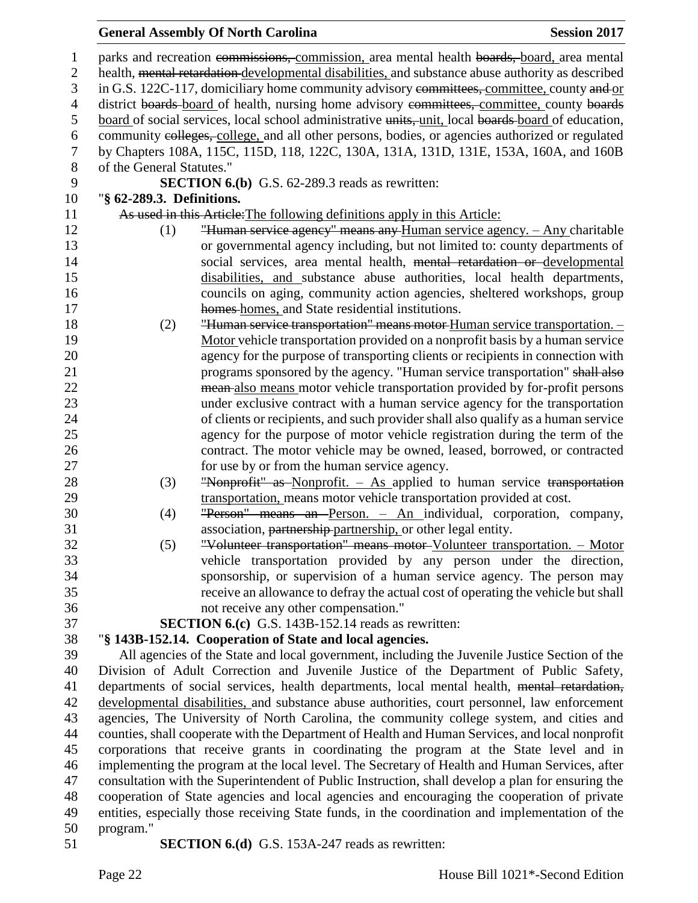| $\mathbf{1}$     | parks and recreation commissions, commission, area mental health boards, board, area mental         |  |  |  |
|------------------|-----------------------------------------------------------------------------------------------------|--|--|--|
| $\overline{2}$   | health, mental retardation-developmental disabilities, and substance abuse authority as described   |  |  |  |
| 3                | in G.S. 122C-117, domiciliary home community advisory committees, committee, county and or          |  |  |  |
| $\overline{4}$   | district boards board of health, nursing home advisory committees, committee, county boards         |  |  |  |
| 5                | board of social services, local school administrative units, unit, local boards board of education, |  |  |  |
| 6                | community colleges, college, and all other persons, bodies, or agencies authorized or regulated     |  |  |  |
| $\boldsymbol{7}$ | by Chapters 108A, 115C, 115D, 118, 122C, 130A, 131A, 131D, 131E, 153A, 160A, and 160B               |  |  |  |
| $8\,$            | of the General Statutes."                                                                           |  |  |  |
| $\boldsymbol{9}$ | <b>SECTION 6.(b)</b> G.S. 62-289.3 reads as rewritten:                                              |  |  |  |
| 10               | "§ 62-289.3. Definitions.                                                                           |  |  |  |
| 11               | As used in this Article: The following definitions apply in this Article:                           |  |  |  |
| 12               | "Human service agency" means any Human service agency. - Any charitable<br>(1)                      |  |  |  |
| 13               | or governmental agency including, but not limited to: county departments of                         |  |  |  |
| 14               | social services, area mental health, mental retardation or developmental                            |  |  |  |
| 15               | disabilities, and substance abuse authorities, local health departments,                            |  |  |  |
| 16               | councils on aging, community action agencies, sheltered workshops, group                            |  |  |  |
| 17               | homes-homes, and State residential institutions.                                                    |  |  |  |
| 18               | "Human service transportation" means motor Human service transportation. -<br>(2)                   |  |  |  |
| 19               | Motor vehicle transportation provided on a nonprofit basis by a human service                       |  |  |  |
| 20               | agency for the purpose of transporting clients or recipients in connection with                     |  |  |  |
| 21               | programs sponsored by the agency. "Human service transportation" shall also                         |  |  |  |
| 22               | mean-also means motor vehicle transportation provided by for-profit persons                         |  |  |  |
| 23               | under exclusive contract with a human service agency for the transportation                         |  |  |  |
| 24               | of clients or recipients, and such provider shall also qualify as a human service                   |  |  |  |
| 25               | agency for the purpose of motor vehicle registration during the term of the                         |  |  |  |
| 26               | contract. The motor vehicle may be owned, leased, borrowed, or contracted                           |  |  |  |
| 27               | for use by or from the human service agency.                                                        |  |  |  |
| 28               | "Nonprofit" as Nonprofit. - As applied to human service transportation<br>(3)                       |  |  |  |
| 29               | transportation, means motor vehicle transportation provided at cost.                                |  |  |  |
| 30               | "Person" means an Person. - An individual, corporation, company,<br>(4)                             |  |  |  |
| 31               | association, partnership-partnership, or other legal entity.                                        |  |  |  |
| 32               | "Volunteer transportation" means motor Volunteer transportation. - Motor<br>(5)                     |  |  |  |
| 33               | vehicle transportation provided by any person under the direction,                                  |  |  |  |
| 34               | sponsorship, or supervision of a human service agency. The person may                               |  |  |  |
| 35               | receive an allowance to defray the actual cost of operating the vehicle but shall                   |  |  |  |
| 36               | not receive any other compensation."                                                                |  |  |  |
| 37               | <b>SECTION 6.(c)</b> G.S. 143B-152.14 reads as rewritten:                                           |  |  |  |
| 38               | "§ 143B-152.14. Cooperation of State and local agencies.                                            |  |  |  |
| 39               | All agencies of the State and local government, including the Juvenile Justice Section of the       |  |  |  |
| 40               | Division of Adult Correction and Juvenile Justice of the Department of Public Safety,               |  |  |  |
| 41               | departments of social services, health departments, local mental health, mental retardation,        |  |  |  |
| 42               | developmental disabilities, and substance abuse authorities, court personnel, law enforcement       |  |  |  |
| 43               | agencies, The University of North Carolina, the community college system, and cities and            |  |  |  |
| 44               | counties, shall cooperate with the Department of Health and Human Services, and local nonprofit     |  |  |  |
| 45               | corporations that receive grants in coordinating the program at the State level and in              |  |  |  |
| 46               | implementing the program at the local level. The Secretary of Health and Human Services, after      |  |  |  |
| 47               | consultation with the Superintendent of Public Instruction, shall develop a plan for ensuring the   |  |  |  |
| 48               | cooperation of State agencies and local agencies and encouraging the cooperation of private         |  |  |  |
| 49               | entities, especially those receiving State funds, in the coordination and implementation of the     |  |  |  |
| 50               | program."                                                                                           |  |  |  |
| 51               | <b>SECTION 6.(d)</b> G.S. 153A-247 reads as rewritten:                                              |  |  |  |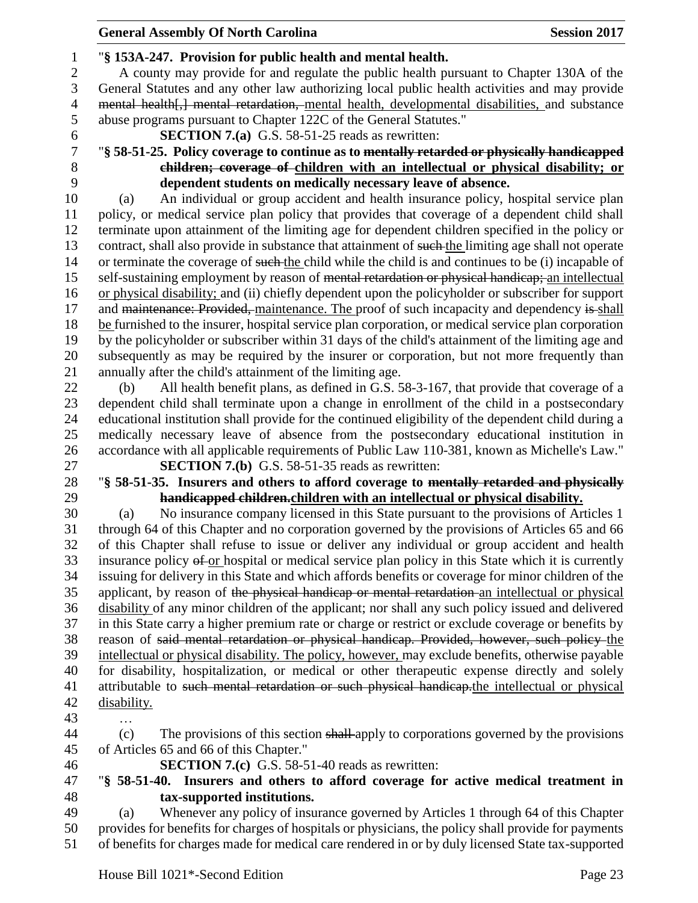"**§ 153A-247. Provision for public health and mental health.** A county may provide for and regulate the public health pursuant to Chapter 130A of the General Statutes and any other law authorizing local public health activities and may provide mental health[,] mental retardation, mental health, developmental disabilities, and substance abuse programs pursuant to Chapter 122C of the General Statutes." **SECTION 7.(a)** G.S. 58-51-25 reads as rewritten: "**§ 58-51-25. Policy coverage to continue as to mentally retarded or physically handicapped children; coverage of children with an intellectual or physical disability; or dependent students on medically necessary leave of absence.** (a) An individual or group accident and health insurance policy, hospital service plan policy, or medical service plan policy that provides that coverage of a dependent child shall terminate upon attainment of the limiting age for dependent children specified in the policy or 13 contract, shall also provide in substance that attainment of such the limiting age shall not operate or terminate the coverage of such the child while the child is and continues to be (i) incapable of 15 self-sustaining employment by reason of mental retardation or physical handicap; an intellectual or physical disability; and (ii) chiefly dependent upon the policyholder or subscriber for support 17 and maintenance: Provided, maintenance. The proof of such incapacity and dependency is shall be furnished to the insurer, hospital service plan corporation, or medical service plan corporation by the policyholder or subscriber within 31 days of the child's attainment of the limiting age and subsequently as may be required by the insurer or corporation, but not more frequently than annually after the child's attainment of the limiting age. (b) All health benefit plans, as defined in G.S. 58-3-167, that provide that coverage of a dependent child shall terminate upon a change in enrollment of the child in a postsecondary educational institution shall provide for the continued eligibility of the dependent child during a medically necessary leave of absence from the postsecondary educational institution in accordance with all applicable requirements of Public Law 110-381, known as Michelle's Law." **SECTION 7.(b)** G.S. 58-51-35 reads as rewritten: "**§ 58-51-35. Insurers and others to afford coverage to mentally retarded and physically handicapped children.children with an intellectual or physical disability.** (a) No insurance company licensed in this State pursuant to the provisions of Articles 1 through 64 of this Chapter and no corporation governed by the provisions of Articles 65 and 66 of this Chapter shall refuse to issue or deliver any individual or group accident and health 33 insurance policy  $\theta$ -or hospital or medical service plan policy in this State which it is currently issuing for delivery in this State and which affords benefits or coverage for minor children of the 35 applicant, by reason of the physical handicap or mental retardation an intellectual or physical disability of any minor children of the applicant; nor shall any such policy issued and delivered in this State carry a higher premium rate or charge or restrict or exclude coverage or benefits by reason of said mental retardation or physical handicap. Provided, however, such policy the intellectual or physical disability. The policy, however, may exclude benefits, otherwise payable for disability, hospitalization, or medical or other therapeutic expense directly and solely 41 attributable to such mental retardation or such physical handicap.the intellectual or physical disability. … (c) The provisions of this section shall apply to corporations governed by the provisions of Articles 65 and 66 of this Chapter." **SECTION 7.(c)** G.S. 58-51-40 reads as rewritten: "**§ 58-51-40. Insurers and others to afford coverage for active medical treatment in tax-supported institutions.**

 (a) Whenever any policy of insurance governed by Articles 1 through 64 of this Chapter provides for benefits for charges of hospitals or physicians, the policy shall provide for payments of benefits for charges made for medical care rendered in or by duly licensed State tax-supported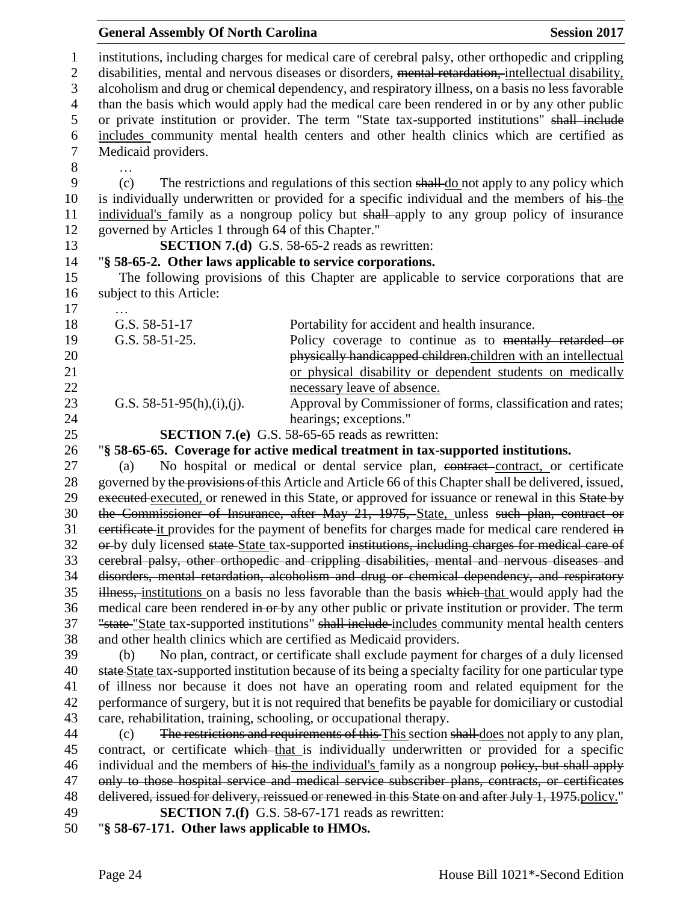|                              | <b>General Assembly Of North Carolina</b>                                                         |                                                                                                                                                                                                            | <b>Session 2017</b> |
|------------------------------|---------------------------------------------------------------------------------------------------|------------------------------------------------------------------------------------------------------------------------------------------------------------------------------------------------------------|---------------------|
| $\mathbf{1}$<br>$\mathbf{2}$ |                                                                                                   | institutions, including charges for medical care of cerebral palsy, other orthopedic and crippling<br>disabilities, mental and nervous diseases or disorders, mental retardation, intellectual disability, |                     |
| 3                            | alcoholism and drug or chemical dependency, and respiratory illness, on a basis no less favorable |                                                                                                                                                                                                            |                     |
| $\overline{4}$               |                                                                                                   | than the basis which would apply had the medical care been rendered in or by any other public                                                                                                              |                     |
| 5                            |                                                                                                   | or private institution or provider. The term "State tax-supported institutions" shall include                                                                                                              |                     |
| 6                            |                                                                                                   | includes community mental health centers and other health clinics which are certified as                                                                                                                   |                     |
| $\tau$                       | Medicaid providers.                                                                               |                                                                                                                                                                                                            |                     |
| $8\,$                        |                                                                                                   |                                                                                                                                                                                                            |                     |
| 9                            | (c)                                                                                               | The restrictions and regulations of this section shall do not apply to any policy which                                                                                                                    |                     |
| 10                           |                                                                                                   | is individually underwritten or provided for a specific individual and the members of his-the                                                                                                              |                     |
| 11                           |                                                                                                   | individual's family as a nongroup policy but shall-apply to any group policy of insurance                                                                                                                  |                     |
| 12                           | governed by Articles 1 through 64 of this Chapter."                                               |                                                                                                                                                                                                            |                     |
| 13                           |                                                                                                   | <b>SECTION 7.(d)</b> G.S. 58-65-2 reads as rewritten:                                                                                                                                                      |                     |
| 14                           | "§ 58-65-2. Other laws applicable to service corporations.                                        |                                                                                                                                                                                                            |                     |
| 15                           |                                                                                                   | The following provisions of this Chapter are applicable to service corporations that are                                                                                                                   |                     |
| 16                           | subject to this Article:                                                                          |                                                                                                                                                                                                            |                     |
| 17<br>18                     | G.S. 58-51-17                                                                                     | Portability for accident and health insurance.                                                                                                                                                             |                     |
| 19                           | G.S. 58-51-25.                                                                                    | Policy coverage to continue as to mentally retarded or                                                                                                                                                     |                     |
| 20                           |                                                                                                   | physically handicapped children.children with an intellectual                                                                                                                                              |                     |
| 21                           |                                                                                                   | or physical disability or dependent students on medically                                                                                                                                                  |                     |
| 22                           |                                                                                                   | necessary leave of absence.                                                                                                                                                                                |                     |
| 23                           | G.S. $58-51-95(h),(i),(j)$ .                                                                      | Approval by Commissioner of forms, classification and rates;                                                                                                                                               |                     |
| 24                           |                                                                                                   | hearings; exceptions."                                                                                                                                                                                     |                     |
| 25                           |                                                                                                   | <b>SECTION 7.(e)</b> G.S. 58-65-65 reads as rewritten:                                                                                                                                                     |                     |
| 26                           |                                                                                                   | "§ 58-65-65. Coverage for active medical treatment in tax-supported institutions.                                                                                                                          |                     |
| 27                           | (a)                                                                                               | No hospital or medical or dental service plan, contract-contract, or certificate                                                                                                                           |                     |
| 28                           |                                                                                                   | governed by the provisions of this Article and Article 66 of this Chapter shall be delivered, issued,                                                                                                      |                     |
| 29                           |                                                                                                   | executed executed, or renewed in this State, or approved for issuance or renewal in this State by                                                                                                          |                     |
| 30                           |                                                                                                   | the Commissioner of Insurance, after May 21, 1975, State, unless such plan, contract or                                                                                                                    |                     |
| 31                           |                                                                                                   | eertificate it provides for the payment of benefits for charges made for medical care rendered in                                                                                                          |                     |
| 32                           |                                                                                                   | or-by duly licensed state State tax-supported institutions, including charges for medical care of                                                                                                          |                     |
| 33<br>34                     |                                                                                                   | cerebral palsy, other orthopedic and crippling disabilities, mental and nervous diseases and<br>disorders, mental retardation, alcoholism and drug or chemical dependency, and respiratory                 |                     |
| 35                           |                                                                                                   | illness, institutions on a basis no less favorable than the basis which that would apply had the                                                                                                           |                     |
| 36                           |                                                                                                   | medical care been rendered in or by any other public or private institution or provider. The term                                                                                                          |                     |
| 37                           |                                                                                                   | "state-"State tax-supported institutions" shall include includes community mental health centers                                                                                                           |                     |
| 38                           |                                                                                                   | and other health clinics which are certified as Medicaid providers.                                                                                                                                        |                     |
| 39                           | (b)                                                                                               | No plan, contract, or certificate shall exclude payment for charges of a duly licensed                                                                                                                     |                     |
| 40                           |                                                                                                   | state State tax-supported institution because of its being a specialty facility for one particular type                                                                                                    |                     |
| 41                           |                                                                                                   | of illness nor because it does not have an operating room and related equipment for the                                                                                                                    |                     |
| 42                           |                                                                                                   | performance of surgery, but it is not required that benefits be payable for domiciliary or custodial                                                                                                       |                     |
| 43                           | care, rehabilitation, training, schooling, or occupational therapy.                               |                                                                                                                                                                                                            |                     |
| 44                           | (c)                                                                                               | The restrictions and requirements of this This section shall does not apply to any plan,                                                                                                                   |                     |
| 45                           |                                                                                                   | contract, or certificate which that is individually underwritten or provided for a specific                                                                                                                |                     |
| 46                           |                                                                                                   | individual and the members of his-the individual's family as a nongroup policy, but shall apply                                                                                                            |                     |
| 47                           |                                                                                                   | only to those hospital service and medical service subscriber plans, contracts, or certificates                                                                                                            |                     |
| 48                           |                                                                                                   | delivered, issued for delivery, reissued or renewed in this State on and after July 1, 1975.policy."                                                                                                       |                     |
| 49                           |                                                                                                   | <b>SECTION 7.(f)</b> G.S. 58-67-171 reads as rewritten:                                                                                                                                                    |                     |
| 50                           | "§ 58-67-171. Other laws applicable to HMOs.                                                      |                                                                                                                                                                                                            |                     |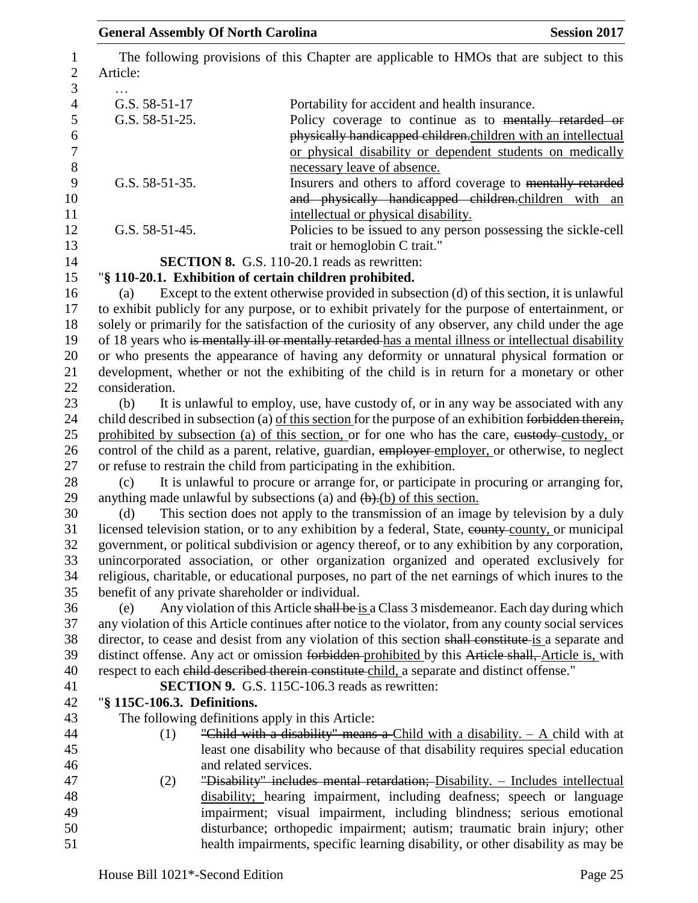| <b>General Assembly Of North Carolina</b>         |                                                                                                                                                                                           | <b>Session 2017</b> |
|---------------------------------------------------|-------------------------------------------------------------------------------------------------------------------------------------------------------------------------------------------|---------------------|
| Article:                                          | The following provisions of this Chapter are applicable to HMOs that are subject to this                                                                                                  |                     |
| G.S. 58-51-17                                     |                                                                                                                                                                                           |                     |
| G.S. 58-51-25.                                    | Portability for accident and health insurance.<br>Policy coverage to continue as to mentally retarded or                                                                                  |                     |
|                                                   | physically handicapped children.children with an intellectual<br>or physical disability or dependent students on medically<br>necessary leave of absence.                                 |                     |
| G.S. 58-51-35.                                    | Insurers and others to afford coverage to mentally retarded                                                                                                                               |                     |
|                                                   | and physically handicapped children.children with an                                                                                                                                      |                     |
|                                                   | intellectual or physical disability.                                                                                                                                                      |                     |
| G.S. 58-51-45.                                    | Policies to be issued to any person possessing the sickle-cell                                                                                                                            |                     |
|                                                   | trait or hemoglobin C trait."                                                                                                                                                             |                     |
|                                                   | <b>SECTION 8.</b> G.S. 110-20.1 reads as rewritten:                                                                                                                                       |                     |
|                                                   | "§ 110-20.1. Exhibition of certain children prohibited.                                                                                                                                   |                     |
| (a)                                               | Except to the extent otherwise provided in subsection (d) of this section, it is unlawful                                                                                                 |                     |
|                                                   | to exhibit publicly for any purpose, or to exhibit privately for the purpose of entertainment, or                                                                                         |                     |
|                                                   | solely or primarily for the satisfaction of the curiosity of any observer, any child under the age                                                                                        |                     |
|                                                   | of 18 years who is mentally ill or mentally retarded-has a mental illness or intellectual disability                                                                                      |                     |
|                                                   | or who presents the appearance of having any deformity or unnatural physical formation or                                                                                                 |                     |
|                                                   | development, whether or not the exhibiting of the child is in return for a monetary or other                                                                                              |                     |
| consideration.                                    |                                                                                                                                                                                           |                     |
| (b)                                               | It is unlawful to employ, use, have custody of, or in any way be associated with any                                                                                                      |                     |
|                                                   | child described in subsection (a) of this section for the purpose of an exhibition forbidden therein,                                                                                     |                     |
|                                                   | prohibited by subsection (a) of this section, or for one who has the care, eustody-custody, or                                                                                            |                     |
|                                                   | control of the child as a parent, relative, guardian, employer employer, or otherwise, to neglect                                                                                         |                     |
|                                                   | or refuse to restrain the child from participating in the exhibition.                                                                                                                     |                     |
| (c)                                               | It is unlawful to procure or arrange for, or participate in procuring or arranging for,                                                                                                   |                     |
| (d)                                               | anything made unlawful by subsections (a) and $(\theta)$ . (b) of this section.                                                                                                           |                     |
|                                                   | This section does not apply to the transmission of an image by television by a duly<br>licensed television station, or to any exhibition by a federal, State, eounty-county, or municipal |                     |
|                                                   | government, or political subdivision or agency thereof, or to any exhibition by any corporation,                                                                                          |                     |
|                                                   | unincorporated association, or other organization organized and operated exclusively for                                                                                                  |                     |
|                                                   | religious, charitable, or educational purposes, no part of the net earnings of which inures to the                                                                                        |                     |
| benefit of any private shareholder or individual. |                                                                                                                                                                                           |                     |
| (e)                                               | Any violation of this Article shall be is a Class 3 misdemeanor. Each day during which                                                                                                    |                     |
|                                                   | any violation of this Article continues after notice to the violator, from any county social services                                                                                     |                     |
|                                                   | director, to cease and desist from any violation of this section shall constitute is a separate and                                                                                       |                     |
|                                                   | distinct offense. Any act or omission forbidden prohibited by this Article shall, Article is, with                                                                                        |                     |
|                                                   | respect to each child described therein constitute child, a separate and distinct offense."                                                                                               |                     |
|                                                   | <b>SECTION 9.</b> G.S. 115C-106.3 reads as rewritten:                                                                                                                                     |                     |
| "§ 115C-106.3. Definitions.                       |                                                                                                                                                                                           |                     |
| The following definitions apply in this Article:  |                                                                                                                                                                                           |                     |
| (1)                                               | "Child with a disability" means a Child with a disability. $- A$ child with at                                                                                                            |                     |
|                                                   | least one disability who because of that disability requires special education                                                                                                            |                     |
|                                                   | and related services.                                                                                                                                                                     |                     |
| (2)                                               | "Disability" includes mental retardation; Disability. - Includes intellectual                                                                                                             |                     |
|                                                   | disability; hearing impairment, including deafness; speech or language                                                                                                                    |                     |
|                                                   | impairment; visual impairment, including blindness; serious emotional                                                                                                                     |                     |
|                                                   | disturbance; orthopedic impairment; autism; traumatic brain injury; other                                                                                                                 |                     |
|                                                   | health impairments, specific learning disability, or other disability as may be                                                                                                           |                     |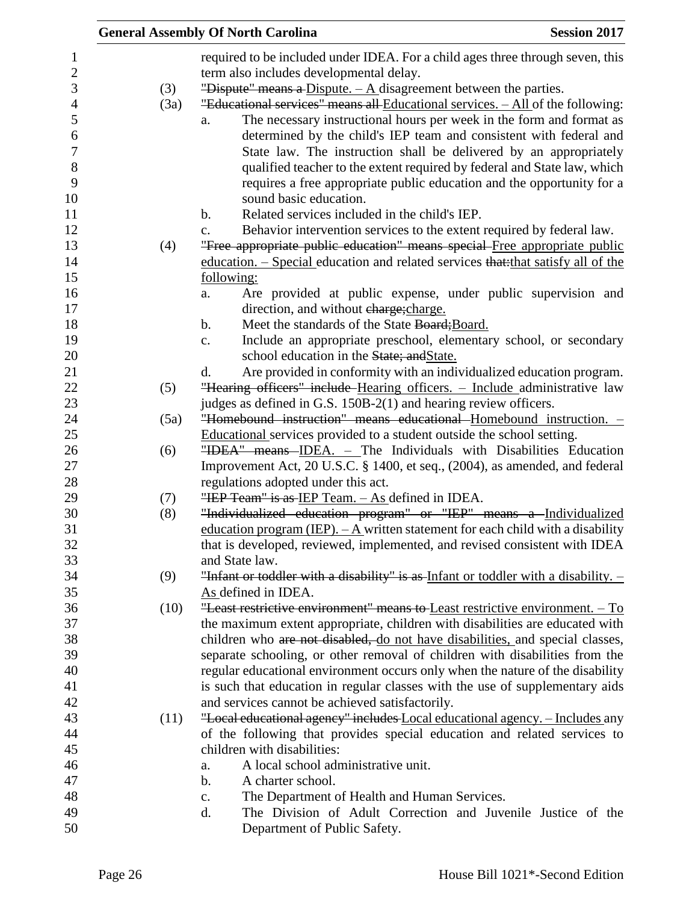|                  |      | <b>Session 2017</b><br><b>General Assembly Of North Carolina</b>                                                                                                |
|------------------|------|-----------------------------------------------------------------------------------------------------------------------------------------------------------------|
| $\mathbf{1}$     |      | required to be included under IDEA. For a child ages three through seven, this                                                                                  |
| $\sqrt{2}$       |      | term also includes developmental delay.                                                                                                                         |
| 3                | (3)  | "Dispute" means a Dispute. $-A$ disagreement between the parties.                                                                                               |
| $\overline{4}$   | (3a) | "Educational services" means all Educational services. - All of the following:                                                                                  |
| 5                |      | The necessary instructional hours per week in the form and format as<br>a.                                                                                      |
| $\boldsymbol{6}$ |      | determined by the child's IEP team and consistent with federal and                                                                                              |
| $\overline{7}$   |      | State law. The instruction shall be delivered by an appropriately                                                                                               |
| $8\,$            |      | qualified teacher to the extent required by federal and State law, which                                                                                        |
| 9                |      | requires a free appropriate public education and the opportunity for a                                                                                          |
| 10               |      | sound basic education.<br>Related services included in the child's IEP.                                                                                         |
| 11<br>12         |      | b.                                                                                                                                                              |
| 13               | (4)  | Behavior intervention services to the extent required by federal law.<br>c.<br>"Free appropriate public education" means special Free appropriate public        |
| 14               |      | education. – Special education and related services that that satisfy all of the                                                                                |
| 15               |      | following:                                                                                                                                                      |
| 16               |      | Are provided at public expense, under public supervision and<br>a.                                                                                              |
| 17               |      | direction, and without eharge; charge.                                                                                                                          |
| 18               |      | Meet the standards of the State Board; Board.<br>$\mathbf b$ .                                                                                                  |
| 19               |      | Include an appropriate preschool, elementary school, or secondary<br>c.                                                                                         |
| 20               |      | school education in the State; and State.                                                                                                                       |
| 21               |      | Are provided in conformity with an individualized education program.<br>d.                                                                                      |
| 22               | (5)  | "Hearing officers" include Hearing officers. - Include administrative law                                                                                       |
| 23               |      | judges as defined in G.S. 150B-2(1) and hearing review officers.                                                                                                |
| 24               | (5a) | "Homebound instruction" means educational Homebound instruction. -                                                                                              |
| 25               |      | Educational services provided to a student outside the school setting.                                                                                          |
| 26               | (6)  | "IDEA" means IDEA. - The Individuals with Disabilities Education                                                                                                |
| 27               |      | Improvement Act, 20 U.S.C. § 1400, et seq., (2004), as amended, and federal                                                                                     |
| 28               |      | regulations adopted under this act.                                                                                                                             |
| 29               | (7)  | "IEP Team" is as IEP Team. $-$ As defined in IDEA.                                                                                                              |
| 30<br>31         | (8)  | "Individualized education program" or "IEP" means a Individualized                                                                                              |
| 32               |      | education program (IEP). $-$ A written statement for each child with a disability<br>that is developed, reviewed, implemented, and revised consistent with IDEA |
| 33               |      | and State law.                                                                                                                                                  |
| 34               | (9)  | "Infant or toddler with a disability" is as Infant or toddler with a disability. -                                                                              |
| 35               |      | As defined in IDEA.                                                                                                                                             |
| 36               | (10) | "Least restrictive environment" means to Least restrictive environment. $-$ To                                                                                  |
| 37               |      | the maximum extent appropriate, children with disabilities are educated with                                                                                    |
| 38               |      | children who are not disabled, do not have disabilities, and special classes,                                                                                   |
| 39               |      | separate schooling, or other removal of children with disabilities from the                                                                                     |
| 40               |      | regular educational environment occurs only when the nature of the disability                                                                                   |
| 41               |      | is such that education in regular classes with the use of supplementary aids                                                                                    |
| 42               |      | and services cannot be achieved satisfactorily.                                                                                                                 |
| 43               | (11) | "Local educational agency" includes Local educational agency. - Includes any                                                                                    |
| 44               |      | of the following that provides special education and related services to                                                                                        |
| 45               |      | children with disabilities:                                                                                                                                     |
| 46               |      | A local school administrative unit.<br>a.                                                                                                                       |
| 47               |      | A charter school.<br>b.                                                                                                                                         |
| 48               |      | The Department of Health and Human Services.<br>$\mathbf{c}$ .                                                                                                  |
| 49<br>50         |      | The Division of Adult Correction and Juvenile Justice of the<br>d.                                                                                              |
|                  |      | Department of Public Safety.                                                                                                                                    |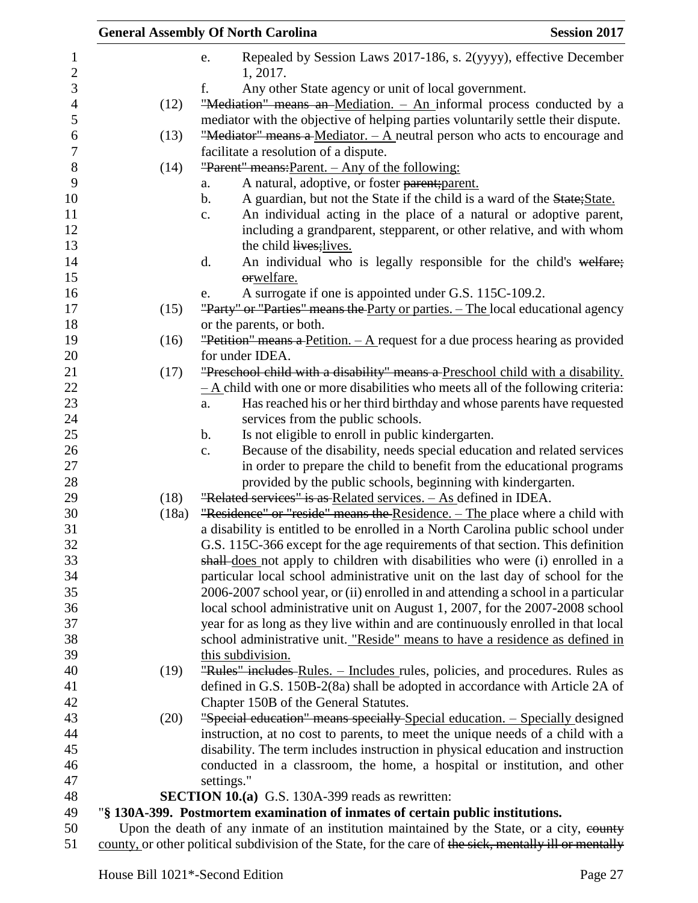|       | <b>General Assembly Of North Carolina</b>                                                               | <b>Session 2017</b> |
|-------|---------------------------------------------------------------------------------------------------------|---------------------|
|       | Repealed by Session Laws 2017-186, s. 2(yyyy), effective December<br>e.<br>1, 2017.                     |                     |
|       | f.<br>Any other State agency or unit of local government.                                               |                     |
| (12)  | "Mediation" means an Mediation. - An informal process conducted by a                                    |                     |
|       | mediator with the objective of helping parties voluntarily settle their dispute.                        |                     |
| (13)  | "Mediator" means a Mediator. $- A$ neutral person who acts to encourage and                             |                     |
|       | facilitate a resolution of a dispute.                                                                   |                     |
| (14)  | "Parent" means: Parent. - Any of the following:                                                         |                     |
|       | A natural, adoptive, or foster parent; parent.<br>a.                                                    |                     |
|       | A guardian, but not the State if the child is a ward of the State; State.<br>$\mathbf b$ .              |                     |
|       | An individual acting in the place of a natural or adoptive parent,<br>c.                                |                     |
|       | including a grandparent, stepparent, or other relative, and with whom                                   |                     |
|       | the child lives; lives.                                                                                 |                     |
|       | An individual who is legally responsible for the child's welfare;<br>d.                                 |                     |
|       | orwelfare.                                                                                              |                     |
|       | A surrogate if one is appointed under G.S. 115C-109.2.<br>e.                                            |                     |
| (15)  | "Party" or "Parties" means the Party or parties. - The local educational agency                         |                     |
|       | or the parents, or both.                                                                                |                     |
| (16)  | "Petition" means a Petition. $- A$ request for a due process hearing as provided                        |                     |
|       | for under IDEA.                                                                                         |                     |
| (17)  | "Preschool child with a disability" means a Preschool child with a disability.                          |                     |
|       | $-\mathbf{A}$ child with one or more disabilities who meets all of the following criteria:              |                     |
|       | Has reached his or her third birthday and whose parents have requested<br>a.                            |                     |
|       | services from the public schools.                                                                       |                     |
|       | $\mathbf b$ .<br>Is not eligible to enroll in public kindergarten.                                      |                     |
|       | Because of the disability, needs special education and related services<br>$C_{\bullet}$                |                     |
|       | in order to prepare the child to benefit from the educational programs                                  |                     |
|       | provided by the public schools, beginning with kindergarten.                                            |                     |
| (18)  | "Related services" is as Related services. - As defined in IDEA.                                        |                     |
| (18a) | "Residence" or "reside" means the Residence. - The place where a child with                             |                     |
|       | a disability is entitled to be enrolled in a North Carolina public school under                         |                     |
|       | G.S. 115C-366 except for the age requirements of that section. This definition                          |                     |
|       | shall does not apply to children with disabilities who were (i) enrolled in a                           |                     |
|       | particular local school administrative unit on the last day of school for the                           |                     |
|       | 2006-2007 school year, or (ii) enrolled in and attending a school in a particular                       |                     |
|       | local school administrative unit on August 1, 2007, for the 2007-2008 school                            |                     |
|       | year for as long as they live within and are continuously enrolled in that local                        |                     |
|       | school administrative unit. "Reside" means to have a residence as defined in<br>this subdivision.       |                     |
| (19)  | "Rules" includes-Rules. - Includes rules, policies, and procedures. Rules as                            |                     |
|       | defined in G.S. 150B-2(8a) shall be adopted in accordance with Article 2A of                            |                     |
|       | Chapter 150B of the General Statutes.                                                                   |                     |
| (20)  | "Special education" means specially Special education. - Specially designed                             |                     |
|       | instruction, at no cost to parents, to meet the unique needs of a child with a                          |                     |
|       | disability. The term includes instruction in physical education and instruction                         |                     |
|       | conducted in a classroom, the home, a hospital or institution, and other                                |                     |
|       | settings."                                                                                              |                     |
|       | <b>SECTION 10.(a)</b> G.S. 130A-399 reads as rewritten:                                                 |                     |
|       | "§ 130A-399. Postmortem examination of inmates of certain public institutions.                          |                     |
|       | Upon the death of any inmate of an institution maintained by the State, or a city, eounty               |                     |
|       | county, or other political subdivision of the State, for the care of the sick, mentally ill or mentally |                     |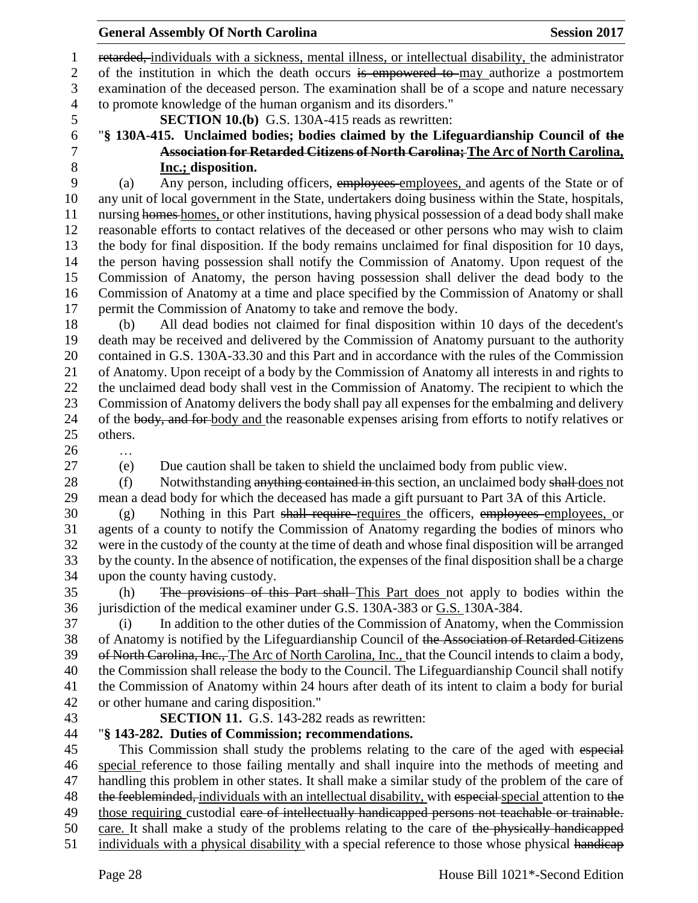retarded, individuals with a sickness, mental illness, or intellectual disability, the administrator 2 of the institution in which the death occurs is empowered to may authorize a postmortem examination of the deceased person. The examination shall be of a scope and nature necessary to promote knowledge of the human organism and its disorders."

- 
- 
- 
- **SECTION 10.(b)** G.S. 130A-415 reads as rewritten:
- "**§ 130A-415. Unclaimed bodies; bodies claimed by the Lifeguardianship Council of the Association for Retarded Citizens of North Carolina; The Arc of North Carolina,**

**Inc.; disposition.**<br>9 (a) Any person, inclu-(a) Any person, including officers, employees employees, and agents of the State or of any unit of local government in the State, undertakers doing business within the State, hospitals, nursing homes homes, or other institutions, having physical possession of a dead body shall make reasonable efforts to contact relatives of the deceased or other persons who may wish to claim the body for final disposition. If the body remains unclaimed for final disposition for 10 days, the person having possession shall notify the Commission of Anatomy. Upon request of the Commission of Anatomy, the person having possession shall deliver the dead body to the Commission of Anatomy at a time and place specified by the Commission of Anatomy or shall permit the Commission of Anatomy to take and remove the body.

 (b) All dead bodies not claimed for final disposition within 10 days of the decedent's death may be received and delivered by the Commission of Anatomy pursuant to the authority contained in G.S. 130A-33.30 and this Part and in accordance with the rules of the Commission of Anatomy. Upon receipt of a body by the Commission of Anatomy all interests in and rights to the unclaimed dead body shall vest in the Commission of Anatomy. The recipient to which the Commission of Anatomy delivers the body shall pay all expenses for the embalming and delivery 24 of the body, and for body and the reasonable expenses arising from efforts to notify relatives or others.

- …
- 

(e) Due caution shall be taken to shield the unclaimed body from public view.

28 (f) Notwithstanding anything contained in this section, an unclaimed body shall does not mean a dead body for which the deceased has made a gift pursuant to Part 3A of this Article.

 (g) Nothing in this Part shall require requires the officers, employees employees, or agents of a county to notify the Commission of Anatomy regarding the bodies of minors who were in the custody of the county at the time of death and whose final disposition will be arranged by the county. In the absence of notification, the expenses of the final disposition shall be a charge upon the county having custody.

 (h) The provisions of this Part shall This Part does not apply to bodies within the jurisdiction of the medical examiner under G.S. 130A-383 or G.S. 130A-384.

 (i) In addition to the other duties of the Commission of Anatomy, when the Commission of Anatomy is notified by the Lifeguardianship Council of the Association of Retarded Citizens 39 of North Carolina, Inc., The Arc of North Carolina, Inc., that the Council intends to claim a body, the Commission shall release the body to the Council. The Lifeguardianship Council shall notify the Commission of Anatomy within 24 hours after death of its intent to claim a body for burial or other humane and caring disposition."

## **SECTION 11.** G.S. 143-282 reads as rewritten:

# "**§ 143-282. Duties of Commission; recommendations.**

45 This Commission shall study the problems relating to the care of the aged with especial special reference to those failing mentally and shall inquire into the methods of meeting and handling this problem in other states. It shall make a similar study of the problem of the care of 48 the feebleminded, individuals with an intellectual disability, with especial special attention to the 49 those requiring custodial eare of intellectually handicapped persons not teachable or trainable. care. It shall make a study of the problems relating to the care of the physically handicapped 51 individuals with a physical disability with a special reference to those whose physical handicap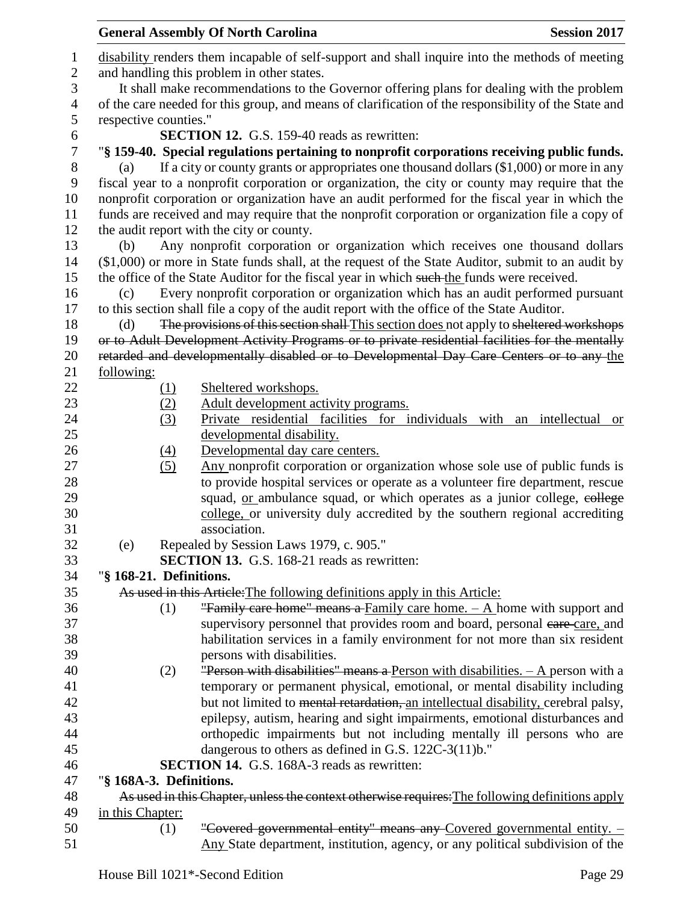|                         |     | <b>General Assembly Of North Carolina</b>                                                                                                                                                                                                                                                       | <b>Session 2017</b> |
|-------------------------|-----|-------------------------------------------------------------------------------------------------------------------------------------------------------------------------------------------------------------------------------------------------------------------------------------------------|---------------------|
|                         |     | disability renders them incapable of self-support and shall inquire into the methods of meeting                                                                                                                                                                                                 |                     |
|                         |     | and handling this problem in other states.                                                                                                                                                                                                                                                      |                     |
|                         |     | It shall make recommendations to the Governor offering plans for dealing with the problem                                                                                                                                                                                                       |                     |
|                         |     | of the care needed for this group, and means of clarification of the responsibility of the State and                                                                                                                                                                                            |                     |
| respective counties."   |     |                                                                                                                                                                                                                                                                                                 |                     |
|                         |     | <b>SECTION 12.</b> G.S. 159-40 reads as rewritten:                                                                                                                                                                                                                                              |                     |
|                         |     | "§ 159-40. Special regulations pertaining to nonprofit corporations receiving public funds.                                                                                                                                                                                                     |                     |
| (a)                     |     | If a city or county grants or appropriates one thousand dollars $(\$1,000)$ or more in any<br>fiscal year to a nonprofit corporation or organization, the city or county may require that the<br>nonprofit corporation or organization have an audit performed for the fiscal year in which the |                     |
|                         |     | funds are received and may require that the nonprofit corporation or organization file a copy of<br>the audit report with the city or county.                                                                                                                                                   |                     |
| (b)                     |     | Any nonprofit corporation or organization which receives one thousand dollars                                                                                                                                                                                                                   |                     |
|                         |     | (\$1,000) or more in State funds shall, at the request of the State Auditor, submit to an audit by                                                                                                                                                                                              |                     |
|                         |     | the office of the State Auditor for the fiscal year in which such the funds were received.                                                                                                                                                                                                      |                     |
| (c)                     |     | Every nonprofit corporation or organization which has an audit performed pursuant                                                                                                                                                                                                               |                     |
|                         |     | to this section shall file a copy of the audit report with the office of the State Auditor.                                                                                                                                                                                                     |                     |
| (d)                     |     | The provisions of this section shall-This section does not apply to sheltered workshops                                                                                                                                                                                                         |                     |
|                         |     | or to Adult Development Activity Programs or to private residential facilities for the mentally                                                                                                                                                                                                 |                     |
|                         |     | retarded and developmentally disabled or to Developmental Day Care Centers or to any the                                                                                                                                                                                                        |                     |
| following:              |     |                                                                                                                                                                                                                                                                                                 |                     |
|                         | (1) | Sheltered workshops.                                                                                                                                                                                                                                                                            |                     |
|                         | (2) | Adult development activity programs.                                                                                                                                                                                                                                                            |                     |
|                         | (3) | Private residential facilities for individuals with an intellectual                                                                                                                                                                                                                             | <sub>or</sub>       |
|                         |     | developmental disability.                                                                                                                                                                                                                                                                       |                     |
|                         | (4) | Developmental day care centers.                                                                                                                                                                                                                                                                 |                     |
|                         | (5) | Any nonprofit corporation or organization whose sole use of public funds is                                                                                                                                                                                                                     |                     |
|                         |     | to provide hospital services or operate as a volunteer fire department, rescue                                                                                                                                                                                                                  |                     |
|                         |     | squad, <u>or</u> ambulance squad, or which operates as a junior college, eollege                                                                                                                                                                                                                |                     |
|                         |     | college, or university duly accredited by the southern regional accrediting                                                                                                                                                                                                                     |                     |
|                         |     | association.                                                                                                                                                                                                                                                                                    |                     |
| (e)                     |     | Repealed by Session Laws 1979, c. 905."                                                                                                                                                                                                                                                         |                     |
|                         |     | <b>SECTION 13.</b> G.S. 168-21 reads as rewritten:                                                                                                                                                                                                                                              |                     |
| "§ 168-21. Definitions. |     |                                                                                                                                                                                                                                                                                                 |                     |
|                         |     | As used in this Article: The following definitions apply in this Article:                                                                                                                                                                                                                       |                     |
|                         | (1) | "Family care home" means a Family care home. - A home with support and                                                                                                                                                                                                                          |                     |
|                         |     | supervisory personnel that provides room and board, personal eare care, and                                                                                                                                                                                                                     |                     |
|                         |     | habilitation services in a family environment for not more than six resident                                                                                                                                                                                                                    |                     |
|                         |     | persons with disabilities.                                                                                                                                                                                                                                                                      |                     |
|                         | (2) | "Person with disabilities" means a Person with disabilities. $- A$ person with a                                                                                                                                                                                                                |                     |
|                         |     | temporary or permanent physical, emotional, or mental disability including                                                                                                                                                                                                                      |                     |
|                         |     | but not limited to mental retardation, an intellectual disability, cerebral palsy,                                                                                                                                                                                                              |                     |
|                         |     | epilepsy, autism, hearing and sight impairments, emotional disturbances and                                                                                                                                                                                                                     |                     |
|                         |     | orthopedic impairments but not including mentally ill persons who are                                                                                                                                                                                                                           |                     |
|                         |     | dangerous to others as defined in G.S. 122C-3(11)b."                                                                                                                                                                                                                                            |                     |
|                         |     | SECTION 14. G.S. 168A-3 reads as rewritten:                                                                                                                                                                                                                                                     |                     |
| "§ 168A-3. Definitions. |     |                                                                                                                                                                                                                                                                                                 |                     |
|                         |     | As used in this Chapter, unless the context otherwise requires: The following definitions apply                                                                                                                                                                                                 |                     |
| in this Chapter:        |     |                                                                                                                                                                                                                                                                                                 |                     |
|                         | (1) | "Covered governmental entity" means any Covered governmental entity. -                                                                                                                                                                                                                          |                     |
|                         |     | Any State department, institution, agency, or any political subdivision of the                                                                                                                                                                                                                  |                     |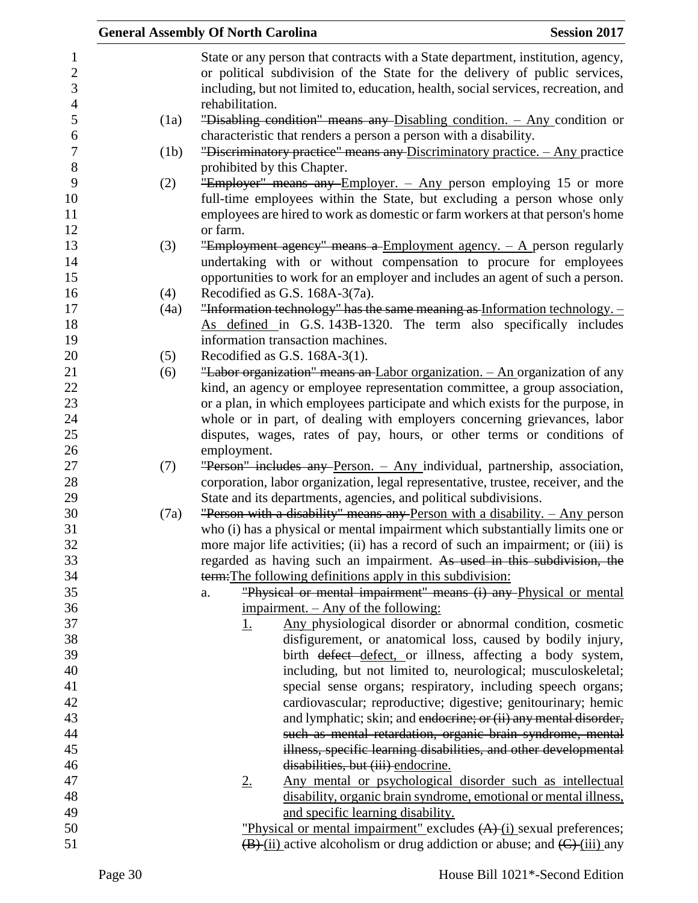| <b>General Assembly Of North Carolina</b><br><b>Session 2017</b>                                                                                                                                                                                     |      |
|------------------------------------------------------------------------------------------------------------------------------------------------------------------------------------------------------------------------------------------------------|------|
| State or any person that contracts with a State department, institution, agency,<br>or political subdivision of the State for the delivery of public services,<br>including, but not limited to, education, health, social services, recreation, and |      |
| rehabilitation.<br>"Disabling condition" means any Disabling condition. - Any condition or                                                                                                                                                           | (1a) |
| characteristic that renders a person a person with a disability.                                                                                                                                                                                     |      |
| "Discriminatory practice" means any Discriminatory practice. - Any practice<br>prohibited by this Chapter.                                                                                                                                           | (1b) |
| "Employer" means any Employer. - Any person employing 15 or more<br>full-time employees within the State, but excluding a person whose only<br>employees are hired to work as domestic or farm workers at that person's home<br>or farm.             | (2)  |
| "Employment agency" means a Employment agency. $-$ A person regularly                                                                                                                                                                                | (3)  |
| undertaking with or without compensation to procure for employees<br>opportunities to work for an employer and includes an agent of such a person.                                                                                                   |      |
| Recodified as G.S. 168A-3(7a).                                                                                                                                                                                                                       | (4)  |
| "Information technology" has the same meaning as Information technology. $-$                                                                                                                                                                         | (4a) |
| As defined in G.S. 143B-1320. The term also specifically includes                                                                                                                                                                                    |      |
| information transaction machines.                                                                                                                                                                                                                    |      |
| Recodified as G.S. $168A-3(1)$ .                                                                                                                                                                                                                     | (5)  |
| "Labor organization" means an Labor organization. $-$ An organization of any                                                                                                                                                                         | (6)  |
| kind, an agency or employee representation committee, a group association,                                                                                                                                                                           |      |
| or a plan, in which employees participate and which exists for the purpose, in                                                                                                                                                                       |      |
| whole or in part, of dealing with employers concerning grievances, labor                                                                                                                                                                             |      |
| disputes, wages, rates of pay, hours, or other terms or conditions of                                                                                                                                                                                |      |
| employment.                                                                                                                                                                                                                                          |      |
| "Person" includes any Person. - Any individual, partnership, association,                                                                                                                                                                            | (7)  |
| corporation, labor organization, legal representative, trustee, receiver, and the                                                                                                                                                                    |      |
| State and its departments, agencies, and political subdivisions.                                                                                                                                                                                     |      |
| "Person with a disability" means any Person with a disability. - Any person<br>who (i) has a physical or mental impairment which substantially limits one or                                                                                         | (7a) |
| more major life activities; (ii) has a record of such an impairment; or (iii) is                                                                                                                                                                     |      |
| regarded as having such an impairment. As used in this subdivision, the                                                                                                                                                                              |      |
| term: The following definitions apply in this subdivision:                                                                                                                                                                                           |      |
| "Physical or mental impairment" means (i) any Physical or mental<br>a.                                                                                                                                                                               |      |
| impairment. – Any of the following:                                                                                                                                                                                                                  |      |
| Any physiological disorder or abnormal condition, cosmetic<br><u>1.</u>                                                                                                                                                                              |      |
| disfigurement, or anatomical loss, caused by bodily injury,                                                                                                                                                                                          |      |
| birth defect defect, or illness, affecting a body system,                                                                                                                                                                                            |      |
| including, but not limited to, neurological; musculoskeletal;                                                                                                                                                                                        |      |
| special sense organs; respiratory, including speech organs;                                                                                                                                                                                          |      |
| cardiovascular; reproductive; digestive; genitourinary; hemic                                                                                                                                                                                        |      |
| and lymphatic; skin; and endocrine; or (ii) any mental disorder,                                                                                                                                                                                     |      |
| such as mental retardation, organic brain syndrome, mental                                                                                                                                                                                           |      |
| illness, specific learning disabilities, and other developmental                                                                                                                                                                                     |      |
| disabilities, but (iii) endocrine.                                                                                                                                                                                                                   |      |
| Any mental or psychological disorder such as intellectual<br>$2_{\cdot}$                                                                                                                                                                             |      |
| disability, organic brain syndrome, emotional or mental illness,                                                                                                                                                                                     |      |
| and specific learning disability.                                                                                                                                                                                                                    |      |
| "Physical or mental impairment" excludes $(A)$ - $(i)$ sexual preferences;                                                                                                                                                                           |      |
| $(\mathbf{B})$ (ii) active alcoholism or drug addiction or abuse; and $(\mathbf{C})$ (iii) any                                                                                                                                                       |      |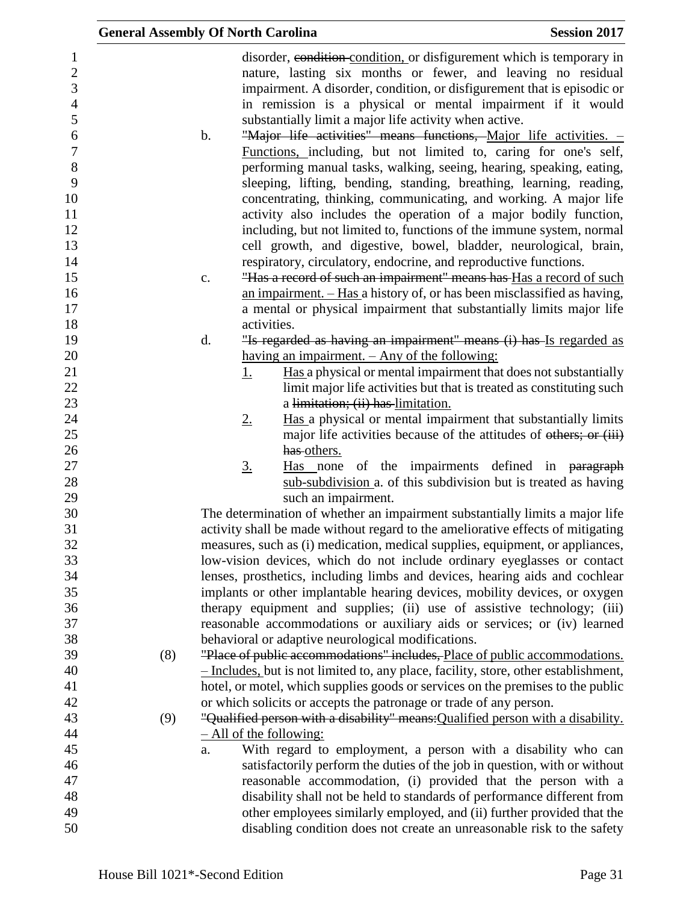|                                                                                                                                   |     | <b>General Assembly Of North Carolina</b>                                                                                                                                                                                                                                                                                                                                                                                                                                                                                                                                                                                                                                                                                                                                                                                                                                                                                                                                                                                                                                      | <b>Session 2017</b> |
|-----------------------------------------------------------------------------------------------------------------------------------|-----|--------------------------------------------------------------------------------------------------------------------------------------------------------------------------------------------------------------------------------------------------------------------------------------------------------------------------------------------------------------------------------------------------------------------------------------------------------------------------------------------------------------------------------------------------------------------------------------------------------------------------------------------------------------------------------------------------------------------------------------------------------------------------------------------------------------------------------------------------------------------------------------------------------------------------------------------------------------------------------------------------------------------------------------------------------------------------------|---------------------|
| $\mathbf{1}$<br>$\sqrt{2}$<br>3<br>$\overline{4}$<br>5<br>6<br>$\boldsymbol{7}$<br>$8\,$<br>9<br>10<br>11<br>12<br>13<br>14<br>15 |     | disorder, condition condition, or disfigurement which is temporary in<br>nature, lasting six months or fewer, and leaving no residual<br>impairment. A disorder, condition, or disfigurement that is episodic or<br>in remission is a physical or mental impairment if it would<br>substantially limit a major life activity when active.<br>"Major life activities" means functions, Major life activities. -<br>b.<br>Functions, including, but not limited to, caring for one's self,<br>performing manual tasks, walking, seeing, hearing, speaking, eating,<br>sleeping, lifting, bending, standing, breathing, learning, reading,<br>concentrating, thinking, communicating, and working. A major life<br>activity also includes the operation of a major bodily function,<br>including, but not limited to, functions of the immune system, normal<br>cell growth, and digestive, bowel, bladder, neurological, brain,<br>respiratory, circulatory, endocrine, and reproductive functions.<br>"Has a record of such an impairment" means has Has a record of such<br>c. |                     |
| 16<br>17                                                                                                                          |     | an impairment. - Has a history of, or has been misclassified as having,<br>a mental or physical impairment that substantially limits major life                                                                                                                                                                                                                                                                                                                                                                                                                                                                                                                                                                                                                                                                                                                                                                                                                                                                                                                                |                     |
| 18                                                                                                                                |     | activities.                                                                                                                                                                                                                                                                                                                                                                                                                                                                                                                                                                                                                                                                                                                                                                                                                                                                                                                                                                                                                                                                    |                     |
| 19                                                                                                                                |     | "Is regarded as having an impairment" means (i) has Is regarded as<br>d.                                                                                                                                                                                                                                                                                                                                                                                                                                                                                                                                                                                                                                                                                                                                                                                                                                                                                                                                                                                                       |                     |
| 20                                                                                                                                |     | having an impairment. $-$ Any of the following:                                                                                                                                                                                                                                                                                                                                                                                                                                                                                                                                                                                                                                                                                                                                                                                                                                                                                                                                                                                                                                |                     |
| 21                                                                                                                                |     | Has a physical or mental impairment that does not substantially<br><u>1.</u>                                                                                                                                                                                                                                                                                                                                                                                                                                                                                                                                                                                                                                                                                                                                                                                                                                                                                                                                                                                                   |                     |
| 22                                                                                                                                |     | limit major life activities but that is treated as constituting such                                                                                                                                                                                                                                                                                                                                                                                                                                                                                                                                                                                                                                                                                                                                                                                                                                                                                                                                                                                                           |                     |
| 23                                                                                                                                |     | a limitation; (ii) has limitation.                                                                                                                                                                                                                                                                                                                                                                                                                                                                                                                                                                                                                                                                                                                                                                                                                                                                                                                                                                                                                                             |                     |
| 24                                                                                                                                |     | Has a physical or mental impairment that substantially limits<br>$2_{\cdot}$                                                                                                                                                                                                                                                                                                                                                                                                                                                                                                                                                                                                                                                                                                                                                                                                                                                                                                                                                                                                   |                     |
| 25                                                                                                                                |     | major life activities because of the attitudes of others; or (iii)                                                                                                                                                                                                                                                                                                                                                                                                                                                                                                                                                                                                                                                                                                                                                                                                                                                                                                                                                                                                             |                     |
| 26                                                                                                                                |     | has others.                                                                                                                                                                                                                                                                                                                                                                                                                                                                                                                                                                                                                                                                                                                                                                                                                                                                                                                                                                                                                                                                    |                     |
| 27                                                                                                                                |     | Has none of the impairments defined in paragraph<br><u>3.</u>                                                                                                                                                                                                                                                                                                                                                                                                                                                                                                                                                                                                                                                                                                                                                                                                                                                                                                                                                                                                                  |                     |
| 28                                                                                                                                |     | sub-subdivision a. of this subdivision but is treated as having                                                                                                                                                                                                                                                                                                                                                                                                                                                                                                                                                                                                                                                                                                                                                                                                                                                                                                                                                                                                                |                     |
| 29                                                                                                                                |     | such an impairment.                                                                                                                                                                                                                                                                                                                                                                                                                                                                                                                                                                                                                                                                                                                                                                                                                                                                                                                                                                                                                                                            |                     |
| 30<br>31                                                                                                                          |     | The determination of whether an impairment substantially limits a major life<br>activity shall be made without regard to the ameliorative effects of mitigating                                                                                                                                                                                                                                                                                                                                                                                                                                                                                                                                                                                                                                                                                                                                                                                                                                                                                                                |                     |
| 32                                                                                                                                |     | measures, such as (i) medication, medical supplies, equipment, or appliances,                                                                                                                                                                                                                                                                                                                                                                                                                                                                                                                                                                                                                                                                                                                                                                                                                                                                                                                                                                                                  |                     |
| 33                                                                                                                                |     | low-vision devices, which do not include ordinary eyeglasses or contact                                                                                                                                                                                                                                                                                                                                                                                                                                                                                                                                                                                                                                                                                                                                                                                                                                                                                                                                                                                                        |                     |
| 34                                                                                                                                |     | lenses, prosthetics, including limbs and devices, hearing aids and cochlear                                                                                                                                                                                                                                                                                                                                                                                                                                                                                                                                                                                                                                                                                                                                                                                                                                                                                                                                                                                                    |                     |
| 35                                                                                                                                |     | implants or other implantable hearing devices, mobility devices, or oxygen                                                                                                                                                                                                                                                                                                                                                                                                                                                                                                                                                                                                                                                                                                                                                                                                                                                                                                                                                                                                     |                     |
| 36                                                                                                                                |     | therapy equipment and supplies; (ii) use of assistive technology; (iii)                                                                                                                                                                                                                                                                                                                                                                                                                                                                                                                                                                                                                                                                                                                                                                                                                                                                                                                                                                                                        |                     |
| 37                                                                                                                                |     | reasonable accommodations or auxiliary aids or services; or (iv) learned                                                                                                                                                                                                                                                                                                                                                                                                                                                                                                                                                                                                                                                                                                                                                                                                                                                                                                                                                                                                       |                     |
| 38                                                                                                                                |     | behavioral or adaptive neurological modifications.                                                                                                                                                                                                                                                                                                                                                                                                                                                                                                                                                                                                                                                                                                                                                                                                                                                                                                                                                                                                                             |                     |
| 39                                                                                                                                | (8) | "Place of public accommodations" includes, Place of public accommodations.                                                                                                                                                                                                                                                                                                                                                                                                                                                                                                                                                                                                                                                                                                                                                                                                                                                                                                                                                                                                     |                     |
| 40                                                                                                                                |     | - Includes, but is not limited to, any place, facility, store, other establishment,                                                                                                                                                                                                                                                                                                                                                                                                                                                                                                                                                                                                                                                                                                                                                                                                                                                                                                                                                                                            |                     |
| 41                                                                                                                                |     | hotel, or motel, which supplies goods or services on the premises to the public                                                                                                                                                                                                                                                                                                                                                                                                                                                                                                                                                                                                                                                                                                                                                                                                                                                                                                                                                                                                |                     |
| 42                                                                                                                                |     | or which solicits or accepts the patronage or trade of any person.                                                                                                                                                                                                                                                                                                                                                                                                                                                                                                                                                                                                                                                                                                                                                                                                                                                                                                                                                                                                             |                     |
| 43                                                                                                                                | (9) | "Qualified person with a disability" means: Qualified person with a disability.                                                                                                                                                                                                                                                                                                                                                                                                                                                                                                                                                                                                                                                                                                                                                                                                                                                                                                                                                                                                |                     |
| 44                                                                                                                                |     | $-$ All of the following:                                                                                                                                                                                                                                                                                                                                                                                                                                                                                                                                                                                                                                                                                                                                                                                                                                                                                                                                                                                                                                                      |                     |
| 45                                                                                                                                |     | With regard to employment, a person with a disability who can<br>a.                                                                                                                                                                                                                                                                                                                                                                                                                                                                                                                                                                                                                                                                                                                                                                                                                                                                                                                                                                                                            |                     |
| 46                                                                                                                                |     | satisfactorily perform the duties of the job in question, with or without                                                                                                                                                                                                                                                                                                                                                                                                                                                                                                                                                                                                                                                                                                                                                                                                                                                                                                                                                                                                      |                     |
| 47                                                                                                                                |     | reasonable accommodation, (i) provided that the person with a                                                                                                                                                                                                                                                                                                                                                                                                                                                                                                                                                                                                                                                                                                                                                                                                                                                                                                                                                                                                                  |                     |
| 48                                                                                                                                |     | disability shall not be held to standards of performance different from                                                                                                                                                                                                                                                                                                                                                                                                                                                                                                                                                                                                                                                                                                                                                                                                                                                                                                                                                                                                        |                     |
| 49<br>50                                                                                                                          |     | other employees similarly employed, and (ii) further provided that the<br>disabling condition does not create an unreasonable risk to the safety                                                                                                                                                                                                                                                                                                                                                                                                                                                                                                                                                                                                                                                                                                                                                                                                                                                                                                                               |                     |
|                                                                                                                                   |     |                                                                                                                                                                                                                                                                                                                                                                                                                                                                                                                                                                                                                                                                                                                                                                                                                                                                                                                                                                                                                                                                                |                     |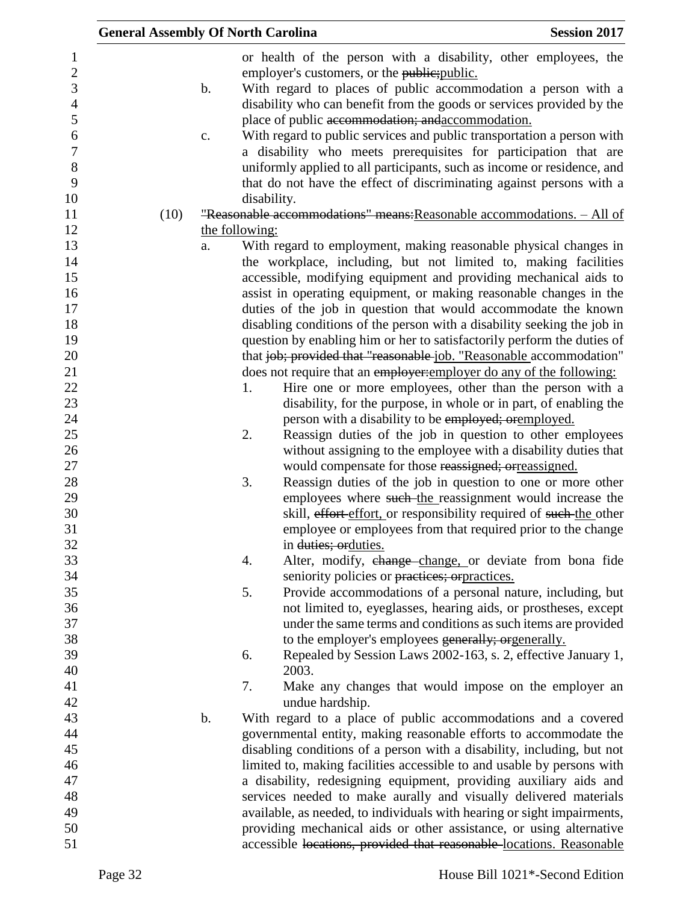| <b>General Assembly Of North Carolina</b> |               |                |                                                                                                                                       | <b>Session 2017</b> |
|-------------------------------------------|---------------|----------------|---------------------------------------------------------------------------------------------------------------------------------------|---------------------|
|                                           |               |                | or health of the person with a disability, other employees, the                                                                       |                     |
|                                           |               |                | employer's customers, or the public; public.                                                                                          |                     |
|                                           | $\mathbf b$ . |                | With regard to places of public accommodation a person with a                                                                         |                     |
|                                           |               |                | disability who can benefit from the goods or services provided by the                                                                 |                     |
|                                           |               |                | place of public accommodation; and accommodation.                                                                                     |                     |
|                                           | c.            |                | With regard to public services and public transportation a person with                                                                |                     |
|                                           |               |                | a disability who meets prerequisites for participation that are                                                                       |                     |
|                                           |               |                | uniformly applied to all participants, such as income or residence, and                                                               |                     |
|                                           |               |                | that do not have the effect of discriminating against persons with a                                                                  |                     |
|                                           |               | disability.    |                                                                                                                                       |                     |
| (10)                                      |               |                | "Reasonable accommodations" means: Reasonable accommodations. - All of                                                                |                     |
|                                           |               | the following: |                                                                                                                                       |                     |
|                                           | a.            |                | With regard to employment, making reasonable physical changes in                                                                      |                     |
|                                           |               |                | the workplace, including, but not limited to, making facilities                                                                       |                     |
|                                           |               |                | accessible, modifying equipment and providing mechanical aids to                                                                      |                     |
|                                           |               |                | assist in operating equipment, or making reasonable changes in the                                                                    |                     |
|                                           |               |                | duties of the job in question that would accommodate the known                                                                        |                     |
|                                           |               |                | disabling conditions of the person with a disability seeking the job in                                                               |                     |
|                                           |               |                | question by enabling him or her to satisfactorily perform the duties of                                                               |                     |
|                                           |               |                | that job; provided that "reasonable job. "Reasonable accommodation"                                                                   |                     |
|                                           |               |                | does not require that an employer: employer do any of the following:                                                                  |                     |
|                                           |               | 1.             | Hire one or more employees, other than the person with a                                                                              |                     |
|                                           |               |                | disability, for the purpose, in whole or in part, of enabling the                                                                     |                     |
|                                           |               |                | person with a disability to be employed; oremployed.                                                                                  |                     |
|                                           |               | 2.             | Reassign duties of the job in question to other employees                                                                             |                     |
|                                           |               |                | without assigning to the employee with a disability duties that                                                                       |                     |
|                                           |               |                | would compensate for those reassigned; orreassigned.                                                                                  |                     |
|                                           |               | 3.             | Reassign duties of the job in question to one or more other                                                                           |                     |
|                                           |               |                | employees where such-the reassignment would increase the                                                                              |                     |
|                                           |               |                | skill, effort effort, or responsibility required of such-the other                                                                    |                     |
|                                           |               |                | employee or employees from that required prior to the change                                                                          |                     |
|                                           |               |                | in duties; orduties.                                                                                                                  |                     |
|                                           |               | 4.             | Alter, modify, ehange-change, or deviate from bona fide                                                                               |                     |
|                                           |               |                | seniority policies or practices; orpractices.                                                                                         |                     |
|                                           |               | 5.             | Provide accommodations of a personal nature, including, but                                                                           |                     |
|                                           |               |                | not limited to, eyeglasses, hearing aids, or prostheses, except                                                                       |                     |
|                                           |               |                | under the same terms and conditions as such items are provided                                                                        |                     |
|                                           |               |                | to the employer's employees generally; orgenerally.                                                                                   |                     |
|                                           |               | 6.             | Repealed by Session Laws 2002-163, s. 2, effective January 1,                                                                         |                     |
|                                           |               |                | 2003.                                                                                                                                 |                     |
|                                           |               | 7.             | Make any changes that would impose on the employer an                                                                                 |                     |
|                                           |               |                | undue hardship.                                                                                                                       |                     |
|                                           | $\mathbf b$ . |                | With regard to a place of public accommodations and a covered                                                                         |                     |
|                                           |               |                | governmental entity, making reasonable efforts to accommodate the                                                                     |                     |
|                                           |               |                | disabling conditions of a person with a disability, including, but not                                                                |                     |
|                                           |               |                | limited to, making facilities accessible to and usable by persons with                                                                |                     |
|                                           |               |                | a disability, redesigning equipment, providing auxiliary aids and<br>services needed to make aurally and visually delivered materials |                     |
|                                           |               |                | available, as needed, to individuals with hearing or sight impairments,                                                               |                     |
|                                           |               |                | providing mechanical aids or other assistance, or using alternative                                                                   |                     |
|                                           |               |                | accessible locations, provided that reasonable locations. Reasonable                                                                  |                     |
|                                           |               |                |                                                                                                                                       |                     |